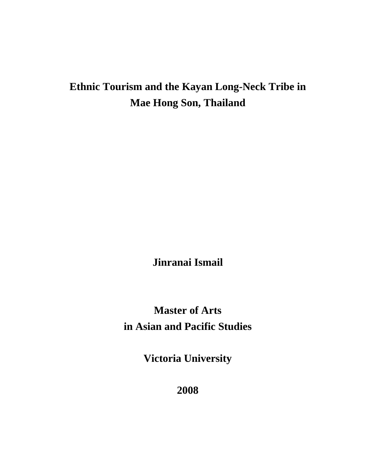# **Ethnic Tourism and the Kayan Long-Neck Tribe in Mae Hong Son, Thailand**

**Jinranai Ismail** 

**Master of Arts in Asian and Pacific Studies** 

**Victoria University** 

**2008**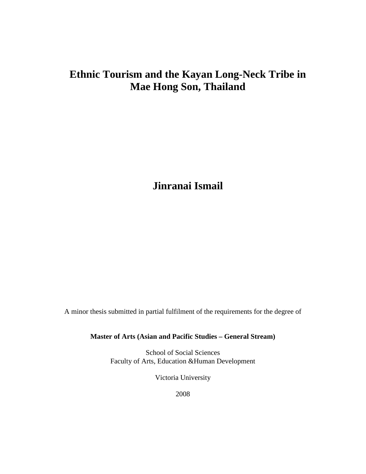# **Ethnic Tourism and the Kayan Long-Neck Tribe in Mae Hong Son, Thailand**

**Jinranai Ismail** 

A minor thesis submitted in partial fulfilment of the requirements for the degree of

**Master of Arts (Asian and Pacific Studies – General Stream)** 

School of Social Sciences Faculty of Arts, Education &Human Development

Victoria University

2008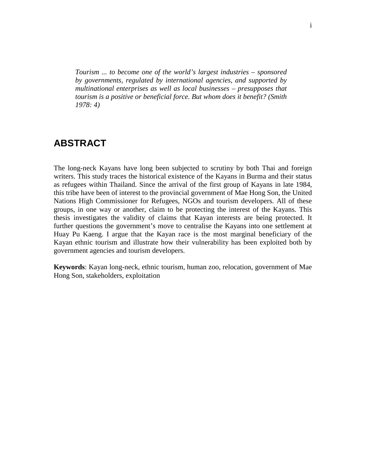*Tourism ... to become one of the world's largest industries – sponsored by governments, regulated by international agencies, and supported by multinational enterprises as well as local businesses – presupposes that tourism is a positive or beneficial force. But whom does it benefit? (Smith 1978: 4)*

## **ABSTRACT**

The long-neck Kayans have long been subjected to scrutiny by both Thai and foreign writers. This study traces the historical existence of the Kayans in Burma and their status as refugees within Thailand. Since the arrival of the first group of Kayans in late 1984, this tribe have been of interest to the provincial government of Mae Hong Son, the United Nations High Commissioner for Refugees, NGOs and tourism developers. All of these groups, in one way or another, claim to be protecting the interest of the Kayans. This thesis investigates the validity of claims that Kayan interests are being protected. It further questions the government's move to centralise the Kayans into one settlement at Huay Pu Kaeng. I argue that the Kayan race is the most marginal beneficiary of the Kayan ethnic tourism and illustrate how their vulnerability has been exploited both by government agencies and tourism developers.

**Keywords**: Kayan long-neck, ethnic tourism, human zoo, relocation, government of Mae Hong Son, stakeholders, exploitation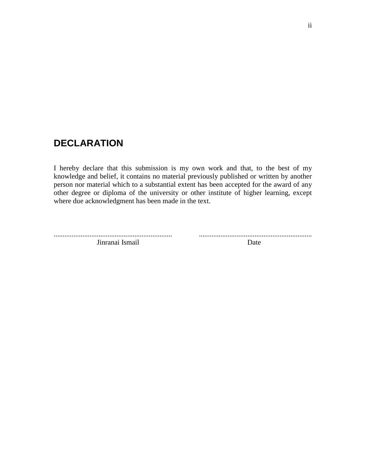# **DECLARATION**

I hereby declare that this submission is my own work and that, to the best of my knowledge and belief, it contains no material previously published or written by another person nor material which to a substantial extent has been accepted for the award of any other degree or diploma of the university or other institute of higher learning, except where due acknowledgment has been made in the text.

.................................................................. ............................................................... Jinranai Ismail Date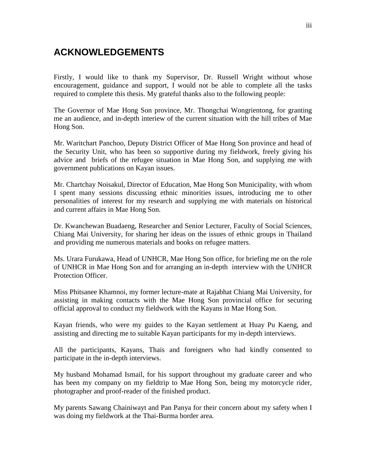# **ACKNOWLEDGEMENTS**

Firstly, I would like to thank my Supervisor, Dr. Russell Wright without whose encouragement, guidance and support, I would not be able to complete all the tasks required to complete this thesis. My grateful thanks also to the following people:

The Governor of Mae Hong Son province, Mr. Thongchai Wongrientong, for granting me an audience, and in-depth interiew of the current situation with the hill tribes of Mae Hong Son.

Mr. Waritchart Panchoo, Deputy District Officer of Mae Hong Son province and head of the Security Unit, who has been so supportive during my fieldwork, freely giving his advice and briefs of the refugee situation in Mae Hong Son, and supplying me with government publications on Kayan issues.

Mr. Chartchay Noisakul, Director of Education, Mae Hong Son Municipality, with whom I spent many sessions discussing ethnic minorities issues, introducing me to other personalities of interest for my research and supplying me with materials on historical and current affairs in Mae Hong Son.

Dr. Kwanchewan Buadaeng, Researcher and Senior Lecturer, Faculty of Social Sciences, Chiang Mai University, for sharing her ideas on the issues of ethnic groups in Thailand and providing me numerous materials and books on refugee matters.

Ms. Urara Furukawa, Head of UNHCR, Mae Hong Son office, for briefing me on the role of UNHCR in Mae Hong Son and for arranging an in-depth interview with the UNHCR Protection Officer.

Miss Phitsanee Khamnoi, my former lecture-mate at Rajabhat Chiang Mai University, for assisting in making contacts with the Mae Hong Son provincial office for securing official approval to conduct my fieldwork with the Kayans in Mae Hong Son.

Kayan friends, who were my guides to the Kayan settlement at Huay Pu Kaeng, and assisting and directing me to suitable Kayan participants for my in-depth interviews.

All the participants, Kayans, Thais and foreigners who had kindly consented to participate in the in-depth interviews.

My husband Mohamad Ismail, for his support throughout my graduate career and who has been my company on my fieldtrip to Mae Hong Son, being my motorcycle rider, photographer and proof-reader of the finished product.

My parents Sawang Chainiwayt and Pan Panya for their concern about my safety when I was doing my fieldwork at the Thai-Burma border area.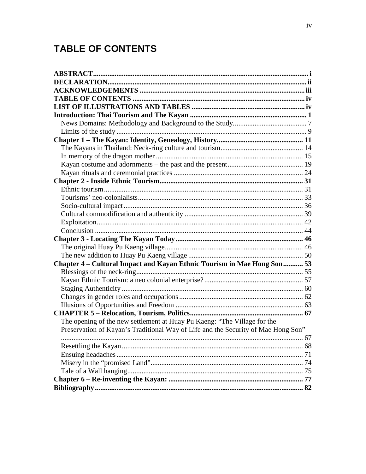# **TABLE OF CONTENTS**

| Chapter 4 - Cultural Impact and Kayan Ethnic Tourism in Mae Hong Son 53           |  |
|-----------------------------------------------------------------------------------|--|
|                                                                                   |  |
|                                                                                   |  |
|                                                                                   |  |
|                                                                                   |  |
|                                                                                   |  |
|                                                                                   |  |
| The opening of the new settlement at Huay Pu Kaeng: "The Village for the          |  |
| Preservation of Kayan's Traditional Way of Life and the Security of Mae Hong Son" |  |
|                                                                                   |  |
|                                                                                   |  |
|                                                                                   |  |
|                                                                                   |  |
|                                                                                   |  |
|                                                                                   |  |
|                                                                                   |  |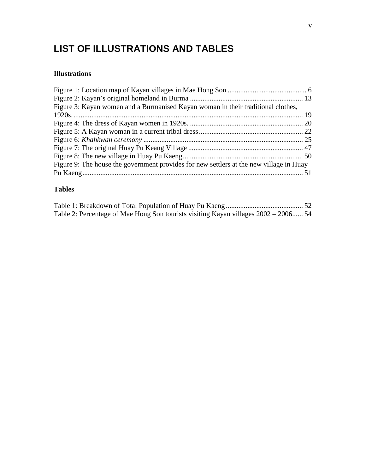# **LIST OF ILLUSTRATIONS AND TABLES**

### **Illustrations**

| Figure 3: Kayan women and a Burmanised Kayan woman in their traditional clothes,        |  |
|-----------------------------------------------------------------------------------------|--|
|                                                                                         |  |
|                                                                                         |  |
|                                                                                         |  |
|                                                                                         |  |
|                                                                                         |  |
|                                                                                         |  |
| Figure 9: The house the government provides for new settlers at the new village in Huay |  |
|                                                                                         |  |
|                                                                                         |  |

### **Tables**

| Table 2: Percentage of Mae Hong Son tourists visiting Kayan villages 2002 – 2006 54 |  |  |
|-------------------------------------------------------------------------------------|--|--|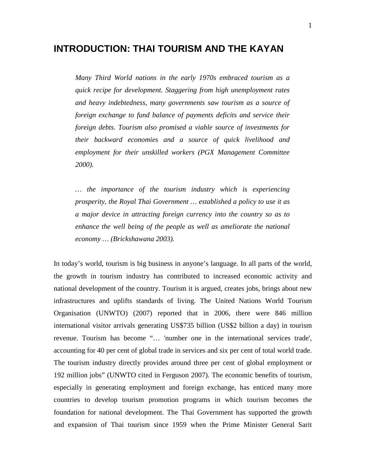## **INTRODUCTION: THAI TOURISM AND THE KAYAN**

*Many Third World nations in the early 1970s embraced tourism as a quick recipe for development. Staggering from high unemployment rates and heavy indebtedness, many governments saw tourism as a source of foreign exchange to fund balance of payments deficits and service their foreign debts. Tourism also promised a viable source of investments for their backward economies and a source of quick livelihood and employment for their unskilled workers (PGX Management Committee 2000).* 

*… the importance of the tourism industry which is experiencing prosperity, the Royal Thai Government … established a policy to use it as a major device in attracting foreign currency into the country so as to enhance the well being of the people as well as ameliorate the national economy … (Brickshawana 2003).* 

In today's world, tourism is big business in anyone's language. In all parts of the world, the growth in tourism industry has contributed to increased economic activity and national development of the country. Tourism it is argued, creates jobs, brings about new infrastructures and uplifts standards of living. The United Nations World Tourism Organisation (UNWTO) (2007) reported that in 2006, there were 846 million international visitor arrivals generating US\$735 billion (US\$2 billion a day) in tourism revenue. Tourism has become "… 'number one in the international services trade', accounting for 40 per cent of global trade in services and six per cent of total world trade. The tourism industry directly provides around three per cent of global employment or 192 million jobs" (UNWTO cited in Ferguson 2007). The economic benefits of tourism, especially in generating employment and foreign exchange, has enticed many more countries to develop tourism promotion programs in which tourism becomes the foundation for national development. The Thai Government has supported the growth and expansion of Thai tourism since 1959 when the Prime Minister General Sarit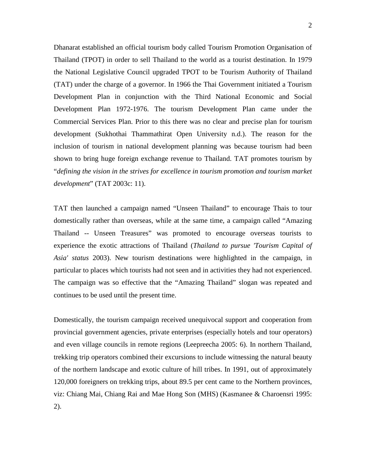Dhanarat established an official tourism body called Tourism Promotion Organisation of Thailand (TPOT) in order to sell Thailand to the world as a tourist destination. In 1979 the National Legislative Council upgraded TPOT to be Tourism Authority of Thailand (TAT) under the charge of a governor. In 1966 the Thai Government initiated a Tourism Development Plan in conjunction with the Third National Economic and Social Development Plan 1972-1976. The tourism Development Plan came under the Commercial Services Plan. Prior to this there was no clear and precise plan for tourism development (Sukhothai Thammathirat Open University n.d.). The reason for the inclusion of tourism in national development planning was because tourism had been shown to bring huge foreign exchange revenue to Thailand. TAT promotes tourism by "*defining the vision in the strives for excellence in tourism promotion and tourism market development*" (TAT 2003c: 11).

TAT then launched a campaign named "Unseen Thailand" to encourage Thais to tour domestically rather than overseas, while at the same time, a campaign called "Amazing Thailand -- Unseen Treasures" was promoted to encourage overseas tourists to experience the exotic attractions of Thailand (*Thailand to pursue 'Tourism Capital of Asia' status* 2003). New tourism destinations were highlighted in the campaign, in particular to places which tourists had not seen and in activities they had not experienced. The campaign was so effective that the "Amazing Thailand" slogan was repeated and continues to be used until the present time.

Domestically, the tourism campaign received unequivocal support and cooperation from provincial government agencies, private enterprises (especially hotels and tour operators) and even village councils in remote regions (Leepreecha 2005: 6). In northern Thailand, trekking trip operators combined their excursions to include witnessing the natural beauty of the northern landscape and exotic culture of hill tribes. In 1991, out of approximately 120,000 foreigners on trekking trips, about 89.5 per cent came to the Northern provinces, viz: Chiang Mai, Chiang Rai and Mae Hong Son (MHS) (Kasmanee & Charoensri 1995: 2).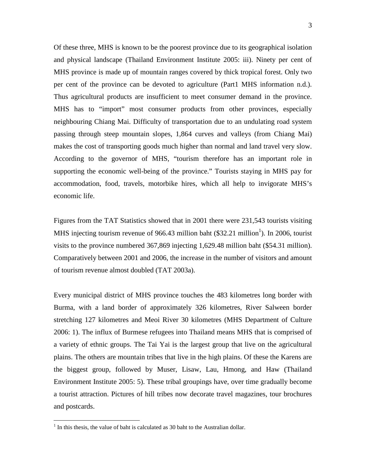Of these three, MHS is known to be the poorest province due to its geographical isolation and physical landscape (Thailand Environment Institute 2005: iii). Ninety per cent of MHS province is made up of mountain ranges covered by thick tropical forest. Only two per cent of the province can be devoted to agriculture (Part1 MHS information n.d.). Thus agricultural products are insufficient to meet consumer demand in the province. MHS has to "import" most consumer products from other provinces, especially neighbouring Chiang Mai. Difficulty of transportation due to an undulating road system passing through steep mountain slopes, 1,864 curves and valleys (from Chiang Mai) makes the cost of transporting goods much higher than normal and land travel very slow. According to the governor of MHS, "tourism therefore has an important role in supporting the economic well-being of the province." Tourists staying in MHS pay for accommodation, food, travels, motorbike hires, which all help to invigorate MHS's economic life.

Figures from the TAT Statistics showed that in 2001 there were 231,543 tourists visiting MHS injecting tourism revenue of 966.43 million baht  $(\$32.21$  million<sup>1</sup>). In 2006, tourist visits to the province numbered 367,869 injecting 1,629.48 million baht (\$54.31 million). Comparatively between 2001 and 2006, the increase in the number of visitors and amount of tourism revenue almost doubled (TAT 2003a).

Every municipal district of MHS province touches the 483 kilometres long border with Burma, with a land border of approximately 326 kilometres, River Salween border stretching 127 kilometres and Meoi River 30 kilometres (MHS Department of Culture 2006: 1). The influx of Burmese refugees into Thailand means MHS that is comprised of a variety of ethnic groups. The Tai Yai is the largest group that live on the agricultural plains. The others are mountain tribes that live in the high plains. Of these the Karens are the biggest group, followed by Muser, Lisaw, Lau, Hmong, and Haw (Thailand Environment Institute 2005: 5). These tribal groupings have, over time gradually become a tourist attraction. Pictures of hill tribes now decorate travel magazines, tour brochures and postcards.

 $\overline{a}$ 

 $<sup>1</sup>$  In this thesis, the value of baht is calculated as 30 baht to the Australian dollar.</sup>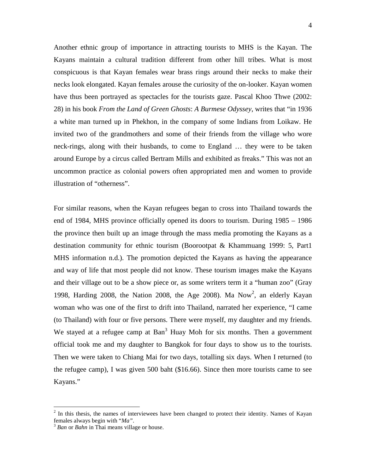Another ethnic group of importance in attracting tourists to MHS is the Kayan. The Kayans maintain a cultural tradition different from other hill tribes. What is most conspicuous is that Kayan females wear brass rings around their necks to make their necks look elongated. Kayan females arouse the curiosity of the on-looker. Kayan women have thus been portrayed as spectacles for the tourists gaze. Pascal Khoo Thwe (2002: 28) in his book *From the Land of Green Ghosts*: *A Burmese Odyssey*, writes that "in 1936 a white man turned up in Phekhon, in the company of some Indians from Loikaw. He invited two of the grandmothers and some of their friends from the village who wore neck-rings, along with their husbands, to come to England … they were to be taken around Europe by a circus called Bertram Mills and exhibited as freaks." This was not an uncommon practice as colonial powers often appropriated men and women to provide illustration of "otherness".

For similar reasons, when the Kayan refugees began to cross into Thailand towards the end of 1984, MHS province officially opened its doors to tourism. During 1985 – 1986 the province then built up an image through the mass media promoting the Kayans as a destination community for ethnic tourism (Boorootpat & Khammuang 1999: 5, Part1 MHS information n.d.). The promotion depicted the Kayans as having the appearance and way of life that most people did not know. These tourism images make the Kayans and their village out to be a show piece or, as some writers term it a "human zoo" (Gray 1998, Harding 2008, the Nation 2008, the Age 2008). Ma Now<sup>2</sup>, an elderly Kayan woman who was one of the first to drift into Thailand, narrated her experience, "I came (to Thailand) with four or five persons. There were myself, my daughter and my friends. We stayed at a refugee camp at Ban<sup>3</sup> Huay Moh for six months. Then a government official took me and my daughter to Bangkok for four days to show us to the tourists. Then we were taken to Chiang Mai for two days, totalling six days. When I returned (to the refugee camp), I was given 500 baht (\$16.66). Since then more tourists came to see Kayans."

<sup>&</sup>lt;sup>2</sup> In this thesis, the names of interviewees have been changed to protect their identity. Names of Kayan females always begin with "*Ma"*.

<sup>3</sup>  *Ban* or *Bahn* in Thai means village or house.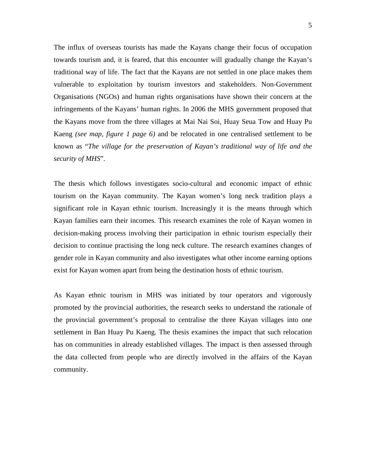The influx of overseas tourists has made the Kayans change their focus of occupation towards tourism and, it is feared, that this encounter will gradually change the Kayan's traditional way of life. The fact that the Kayans are not settled in one place makes them vulnerable to exploitation by tourism investors and stakeholders. Non-Government Organisations (NGOs) and human rights organisations have shown their concern at the infringements of the Kayans' human rights. In 2006 the MHS government proposed that the Kayans move from the three villages at Mai Nai Soi, Huay Seua Tow and Huay Pu Kaeng *(see map, figure 1 page 6)* and be relocated in one centralised settlement to be known as "*The village for the preservation of Kayan's traditional way of life and the security of MHS*".

The thesis which follows investigates socio-cultural and economic impact of ethnic tourism on the Kayan community. The Kayan women's long neck tradition plays a significant role in Kayan ethnic tourism. Increasingly it is the means through which Kayan families earn their incomes. This research examines the role of Kayan women in decision-making process involving their participation in ethnic tourism especially their decision to continue practising the long neck culture. The research examines changes of gender role in Kayan community and also investigates what other income earning options exist for Kayan women apart from being the destination hosts of ethnic tourism.

As Kayan ethnic tourism in MHS was initiated by tour operators and vigorously promoted by the provincial authorities, the research seeks to understand the rationale of the provincial government's proposal to centralise the three Kayan villages into one settlement in Ban Huay Pu Kaeng. The thesis examines the impact that such relocation has on communities in already established villages. The impact is then assessed through the data collected from people who are directly involved in the affairs of the Kayan community.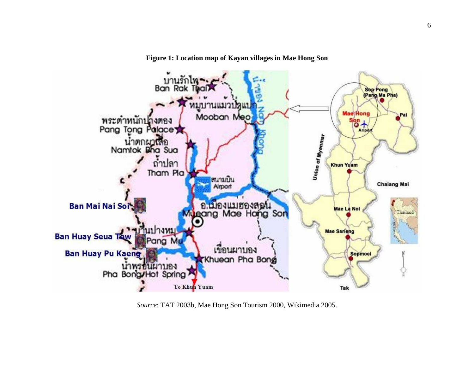



*Source*: TAT 2003b, Mae Hong Son Tourism 2000, Wikimedia 2005.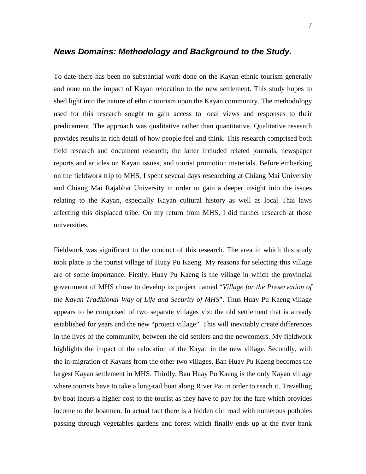#### **News Domains: Methodology and Background to the Study.**

To date there has been no substantial work done on the Kayan ethnic tourism generally and none on the impact of Kayan relocation to the new settlement. This study hopes to shed light into the nature of ethnic tourism upon the Kayan community. The methodology used for this research sought to gain access to local views and responses to their predicament. The approach was qualitative rather than quantitative. Qualitative research provides results in rich detail of how people feel and think. This research comprised both field research and document research; the latter included related journals, newspaper reports and articles on Kayan issues, and tourist promotion materials. Before embarking on the fieldwork trip to MHS, I spent several days researching at Chiang Mai University and Chiang Mai Rajabhat University in order to gain a deeper insight into the issues relating to the Kayan, especially Kayan cultural history as well as local Thai laws affecting this displaced tribe. On my return from MHS, I did further research at those universities.

Fieldwork was significant to the conduct of this research. The area in which this study took place is the tourist village of Huay Pu Kaeng. My reasons for selecting this village are of some importance. Firstly, Huay Pu Kaeng is the village in which the provincial government of MHS chose to develop its project named "*Village for the Preservation of the Kayan Traditional Way of Life and Security of MHS*". Thus Huay Pu Kaeng village appears to be comprised of two separate villages viz: the old settlement that is already established for years and the new "project village". This will inevitably create differences in the lives of the community, between the old settlers and the newcomers. My fieldwork highlights the impact of the relocation of the Kayan in the new village. Secondly, with the in-migration of Kayans from the other two villages, Ban Huay Pu Kaeng becomes the largest Kayan settlement in MHS. Thirdly, Ban Huay Pu Kaeng is the only Kayan village where tourists have to take a long-tail boat along River Pai in order to reach it. Travelling by boat incurs a higher cost to the tourist as they have to pay for the fare which provides income to the boatmen. In actual fact there is a hidden dirt road with numerous potholes passing through vegetables gardens and forest which finally ends up at the river bank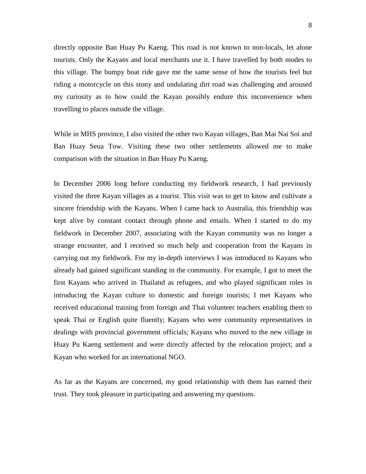directly opposite Ban Huay Pu Kaeng. This road is not known to non-locals, let alone tourists. Only the Kayans and local merchants use it. I have travelled by both modes to this village. The bumpy boat ride gave me the same sense of how the tourists feel but riding a motorcycle on this stony and undulating dirt road was challenging and aroused my curiosity as to how could the Kayan possibly endure this inconvenience when travelling to places outside the village.

While in MHS province, I also visited the other two Kayan villages, Ban Mai Nai Soi and Ban Huay Seua Tow. Visiting these two other settlements allowed me to make comparison with the situation in Ban Huay Pu Kaeng.

In December 2006 long before conducting my fieldwork research, I had previously visited the three Kayan villages as a tourist. This visit was to get to know and cultivate a sincere friendship with the Kayans. When I came back to Australia, this friendship was kept alive by constant contact through phone and emails. When I started to do my fieldwork in December 2007, associating with the Kayan community was no longer a strange encounter, and I received so much help and cooperation from the Kayans in carrying out my fieldwork. For my in-depth interviews I was introduced to Kayans who already had gained significant standing in the community. For example, I got to meet the first Kayans who arrived in Thailand as refugees, and who played significant roles in introducing the Kayan culture to domestic and foreign tourists; I met Kayans who received educational training from foreign and Thai volunteer teachers enabling them to speak Thai or English quite fluently; Kayans who were community representatives in dealings with provincial government officials; Kayans who moved to the new village in Huay Pu Kaeng settlement and were directly affected by the relocation project; and a Kayan who worked for an international NGO.

As far as the Kayans are concerned, my good relationship with them has earned their trust. They took pleasure in participating and answering my questions.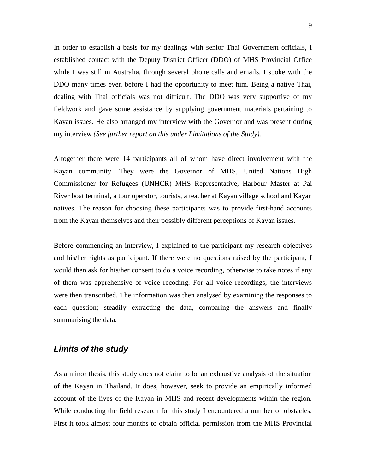In order to establish a basis for my dealings with senior Thai Government officials, I established contact with the Deputy District Officer (DDO) of MHS Provincial Office while I was still in Australia, through several phone calls and emails. I spoke with the DDO many times even before I had the opportunity to meet him. Being a native Thai, dealing with Thai officials was not difficult. The DDO was very supportive of my fieldwork and gave some assistance by supplying government materials pertaining to Kayan issues. He also arranged my interview with the Governor and was present during my interview *(See further report on this under Limitations of the Study).* 

Altogether there were 14 participants all of whom have direct involvement with the Kayan community. They were the Governor of MHS, United Nations High Commissioner for Refugees (UNHCR) MHS Representative, Harbour Master at Pai River boat terminal, a tour operator, tourists, a teacher at Kayan village school and Kayan natives. The reason for choosing these participants was to provide first-hand accounts from the Kayan themselves and their possibly different perceptions of Kayan issues.

Before commencing an interview, I explained to the participant my research objectives and his/her rights as participant. If there were no questions raised by the participant, I would then ask for his/her consent to do a voice recording, otherwise to take notes if any of them was apprehensive of voice recoding. For all voice recordings, the interviews were then transcribed. The information was then analysed by examining the responses to each question; steadily extracting the data, comparing the answers and finally summarising the data.

### **Limits of the study**

As a minor thesis, this study does not claim to be an exhaustive analysis of the situation of the Kayan in Thailand. It does, however, seek to provide an empirically informed account of the lives of the Kayan in MHS and recent developments within the region. While conducting the field research for this study I encountered a number of obstacles. First it took almost four months to obtain official permission from the MHS Provincial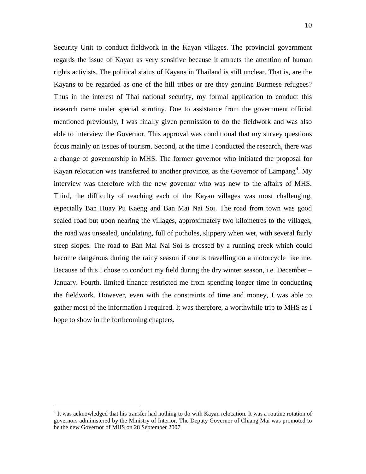Security Unit to conduct fieldwork in the Kayan villages. The provincial government regards the issue of Kayan as very sensitive because it attracts the attention of human rights activists. The political status of Kayans in Thailand is still unclear. That is, are the Kayans to be regarded as one of the hill tribes or are they genuine Burmese refugees? Thus in the interest of Thai national security, my formal application to conduct this research came under special scrutiny. Due to assistance from the government official mentioned previously, I was finally given permission to do the fieldwork and was also able to interview the Governor. This approval was conditional that my survey questions focus mainly on issues of tourism. Second, at the time I conducted the research, there was a change of governorship in MHS. The former governor who initiated the proposal for Kayan relocation was transferred to another province, as the Governor of Lampang<sup>4</sup>. My interview was therefore with the new governor who was new to the affairs of MHS. Third, the difficulty of reaching each of the Kayan villages was most challenging, especially Ban Huay Pu Kaeng and Ban Mai Nai Soi. The road from town was good sealed road but upon nearing the villages, approximately two kilometres to the villages, the road was unsealed, undulating, full of potholes, slippery when wet, with several fairly steep slopes. The road to Ban Mai Nai Soi is crossed by a running creek which could become dangerous during the rainy season if one is travelling on a motorcycle like me. Because of this I chose to conduct my field during the dry winter season, i.e. December – January. Fourth, limited finance restricted me from spending longer time in conducting the fieldwork. However, even with the constraints of time and money, I was able to gather most of the information I required. It was therefore, a worthwhile trip to MHS as I hope to show in the forthcoming chapters.

<u>.</u>

<sup>&</sup>lt;sup>4</sup> It was acknowledged that his transfer had nothing to do with Kayan relocation. It was a routine rotation of governors administered by the Ministry of Interior. The Deputy Governor of Chiang Mai was promoted to be the new Governor of MHS on 28 September 2007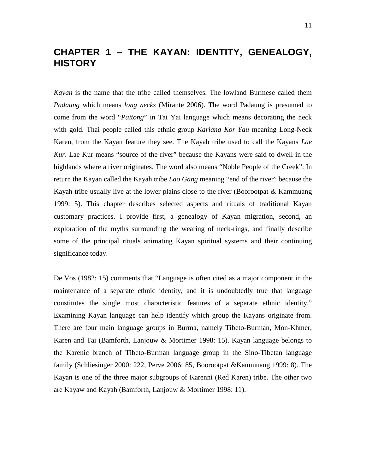## **CHAPTER 1 – THE KAYAN: IDENTITY, GENEALOGY, HISTORY**

*Kayan* is the name that the tribe called themselves. The lowland Burmese called them *Padaung* which means *long necks* (Mirante 2006). The word Padaung is presumed to come from the word "*Paitong*" in Tai Yai language which means decorating the neck with gold. Thai people called this ethnic group *Kariang Kor Yau* meaning Long-Neck Karen, from the Kayan feature they see. The Kayah tribe used to call the Kayans *Lae Kur*. Lae Kur means "source of the river" because the Kayans were said to dwell in the highlands where a river originates. The word also means "Noble People of the Creek". In return the Kayan called the Kayah tribe *Lao Gang* meaning "end of the river" because the Kayah tribe usually live at the lower plains close to the river (Boorootpat & Kammuang 1999: 5). This chapter describes selected aspects and rituals of traditional Kayan customary practices. I provide first, a genealogy of Kayan migration, second, an exploration of the myths surrounding the wearing of neck-rings, and finally describe some of the principal rituals animating Kayan spiritual systems and their continuing significance today.

De Vos (1982: 15) comments that "Language is often cited as a major component in the maintenance of a separate ethnic identity, and it is undoubtedly true that language constitutes the single most characteristic features of a separate ethnic identity." Examining Kayan language can help identify which group the Kayans originate from. There are four main language groups in Burma, namely Tibeto-Burman, Mon-Khmer, Karen and Tai (Bamforth, Lanjouw & Mortimer 1998: 15). Kayan language belongs to the Karenic branch of Tibeto-Burman language group in the Sino-Tibetan language family (Schliesinger 2000: 222, Perve 2006: 85, Boorootpat &Kammuang 1999: 8). The Kayan is one of the three major subgroups of Karenni (Red Karen) tribe. The other two are Kayaw and Kayah (Bamforth, Lanjouw & Mortimer 1998: 11).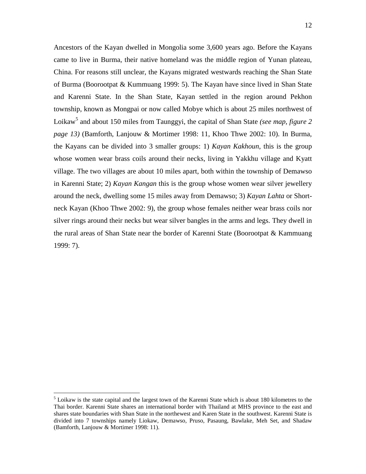Ancestors of the Kayan dwelled in Mongolia some 3,600 years ago. Before the Kayans came to live in Burma, their native homeland was the middle region of Yunan plateau, China. For reasons still unclear, the Kayans migrated westwards reaching the Shan State of Burma (Boorootpat & Kummuang 1999: 5). The Kayan have since lived in Shan State and Karenni State. In the Shan State, Kayan settled in the region around Pekhon township, known as Mongpai or now called Mobye which is about 25 miles northwest of Loikaw<sup>5</sup> and about 150 miles from Taunggyi, the capital of Shan State *(see map, figure 2 page 13)* (Bamforth, Lanjouw & Mortimer 1998: 11, Khoo Thwe 2002: 10). In Burma, the Kayans can be divided into 3 smaller groups: 1) *Kayan Kakhoun*, this is the group whose women wear brass coils around their necks, living in Yakkhu village and Kyatt village. The two villages are about 10 miles apart, both within the township of Demawso in Karenni State; 2) *Kayan Kangan* this is the group whose women wear silver jewellery around the neck, dwelling some 15 miles away from Demawso; 3) *Kayan Lahta* or Shortneck Kayan (Khoo Thwe 2002: 9), the group whose females neither wear brass coils nor silver rings around their necks but wear silver bangles in the arms and legs. They dwell in the rural areas of Shan State near the border of Karenni State (Boorootpat & Kammuang 1999: 7).

<sup>&</sup>lt;sup>5</sup> Loikaw is the state capital and the largest town of the Karenni State which is about 180 kilometres to the Thai border. Karenni State shares an international border with Thailand at MHS province to the east and shares state boundaries with Shan State in the northewest and Karen State in the southwest. Karenni State is divided into 7 townships namely Liokaw, Demawso, Pruso, Pasaung, Bawlake, Meh Set, and Shadaw (Bamforth, Lanjouw & Mortimer 1998: 11).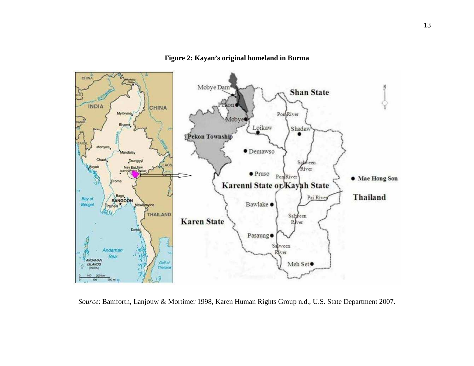

**Figure 2: Kayan's original homeland in Burma** 

*Source*: Bamforth, Lanjouw & Mortimer 1998, Karen Human Rights Group n.d., U.S. State Department 2007.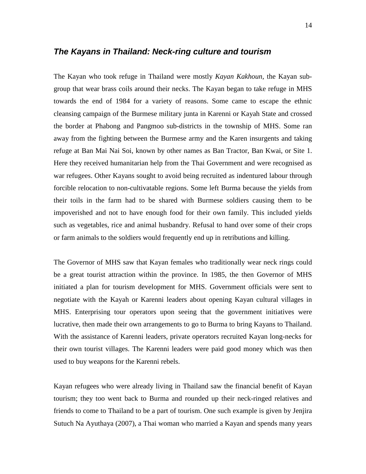#### **The Kayans in Thailand: Neck-ring culture and tourism**

The Kayan who took refuge in Thailand were mostly *Kayan Kakhoun*, the Kayan subgroup that wear brass coils around their necks. The Kayan began to take refuge in MHS towards the end of 1984 for a variety of reasons. Some came to escape the ethnic cleansing campaign of the Burmese military junta in Karenni or Kayah State and crossed the border at Phabong and Pangmoo sub-districts in the township of MHS. Some ran away from the fighting between the Burmese army and the Karen insurgents and taking refuge at Ban Mai Nai Soi, known by other names as Ban Tractor, Ban Kwai, or Site 1. Here they received humanitarian help from the Thai Government and were recognised as war refugees. Other Kayans sought to avoid being recruited as indentured labour through forcible relocation to non-cultivatable regions. Some left Burma because the yields from their toils in the farm had to be shared with Burmese soldiers causing them to be impoverished and not to have enough food for their own family. This included yields such as vegetables, rice and animal husbandry. Refusal to hand over some of their crops or farm animals to the soldiers would frequently end up in retributions and killing.

The Governor of MHS saw that Kayan females who traditionally wear neck rings could be a great tourist attraction within the province. In 1985, the then Governor of MHS initiated a plan for tourism development for MHS. Government officials were sent to negotiate with the Kayah or Karenni leaders about opening Kayan cultural villages in MHS. Enterprising tour operators upon seeing that the government initiatives were lucrative, then made their own arrangements to go to Burma to bring Kayans to Thailand. With the assistance of Karenni leaders, private operators recruited Kayan long-necks for their own tourist villages. The Karenni leaders were paid good money which was then used to buy weapons for the Karenni rebels.

Kayan refugees who were already living in Thailand saw the financial benefit of Kayan tourism; they too went back to Burma and rounded up their neck-ringed relatives and friends to come to Thailand to be a part of tourism. One such example is given by Jenjira Sutuch Na Ayuthaya (2007), a Thai woman who married a Kayan and spends many years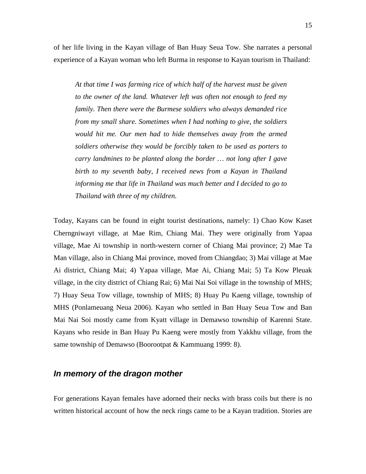of her life living in the Kayan village of Ban Huay Seua Tow. She narrates a personal experience of a Kayan woman who left Burma in response to Kayan tourism in Thailand:

*At that time I was farming rice of which half of the harvest must be given to the owner of the land. Whatever left was often not enough to feed my family. Then there were the Burmese soldiers who always demanded rice from my small share. Sometimes when I had nothing to give, the soldiers would hit me. Our men had to hide themselves away from the armed soldiers otherwise they would be forcibly taken to be used as porters to carry landmines to be planted along the border … not long after I gave birth to my seventh baby, I received news from a Kayan in Thailand informing me that life in Thailand was much better and I decided to go to Thailand with three of my children.* 

Today, Kayans can be found in eight tourist destinations, namely: 1) Chao Kow Kaset Cherngniwayt village, at Mae Rim, Chiang Mai. They were originally from Yapaa village, Mae Ai township in north-western corner of Chiang Mai province; 2) Mae Ta Man village, also in Chiang Mai province, moved from Chiangdao; 3) Mai village at Mae Ai district, Chiang Mai; 4) Yapaa village, Mae Ai, Chiang Mai; 5) Ta Kow Pleuak village, in the city district of Chiang Rai; 6) Mai Nai Soi village in the township of MHS; 7) Huay Seua Tow village, township of MHS; 8) Huay Pu Kaeng village, township of MHS (Ponlameuang Neua 2006). Kayan who settled in Ban Huay Seua Tow and Ban Mai Nai Soi mostly came from Kyatt village in Demawso township of Karenni State. Kayans who reside in Ban Huay Pu Kaeng were mostly from Yakkhu village, from the same township of Demawso (Boorootpat & Kammuang 1999: 8).

#### **In memory of the dragon mother**

For generations Kayan females have adorned their necks with brass coils but there is no written historical account of how the neck rings came to be a Kayan tradition. Stories are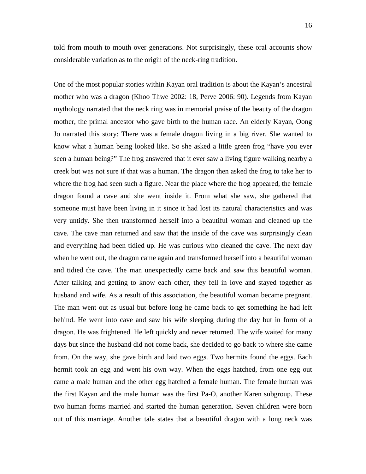told from mouth to mouth over generations. Not surprisingly, these oral accounts show considerable variation as to the origin of the neck-ring tradition.

One of the most popular stories within Kayan oral tradition is about the Kayan's ancestral mother who was a dragon (Khoo Thwe 2002: 18, Perve 2006: 90). Legends from Kayan mythology narrated that the neck ring was in memorial praise of the beauty of the dragon mother, the primal ancestor who gave birth to the human race. An elderly Kayan, Oong Jo narrated this story: There was a female dragon living in a big river. She wanted to know what a human being looked like. So she asked a little green frog "have you ever seen a human being?" The frog answered that it ever saw a living figure walking nearby a creek but was not sure if that was a human. The dragon then asked the frog to take her to where the frog had seen such a figure. Near the place where the frog appeared, the female dragon found a cave and she went inside it. From what she saw, she gathered that someone must have been living in it since it had lost its natural characteristics and was very untidy. She then transformed herself into a beautiful woman and cleaned up the cave. The cave man returned and saw that the inside of the cave was surprisingly clean and everything had been tidied up. He was curious who cleaned the cave. The next day when he went out, the dragon came again and transformed herself into a beautiful woman and tidied the cave. The man unexpectedly came back and saw this beautiful woman. After talking and getting to know each other, they fell in love and stayed together as husband and wife. As a result of this association, the beautiful woman became pregnant. The man went out as usual but before long he came back to get something he had left behind. He went into cave and saw his wife sleeping during the day but in form of a dragon. He was frightened. He left quickly and never returned. The wife waited for many days but since the husband did not come back, she decided to go back to where she came from. On the way, she gave birth and laid two eggs. Two hermits found the eggs. Each hermit took an egg and went his own way. When the eggs hatched, from one egg out came a male human and the other egg hatched a female human. The female human was the first Kayan and the male human was the first Pa-O, another Karen subgroup. These two human forms married and started the human generation. Seven children were born out of this marriage. Another tale states that a beautiful dragon with a long neck was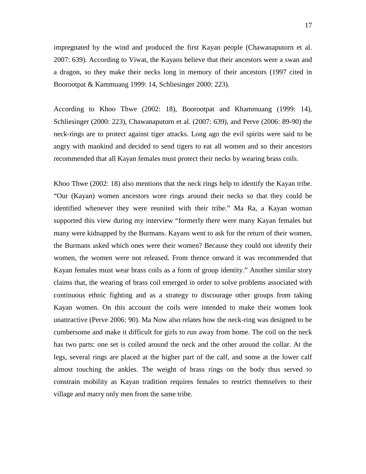impregnated by the wind and produced the first Kayan people (Chawanaputorn et al. 2007: 639). According to Viwat, the Kayans believe that their ancestors were a swan and a dragon, so they make their necks long in memory of their ancestors (1997 cited in Boorootpat & Kammuang 1999: 14, Schliesinger 2000: 223).

According to Khoo Thwe (2002: 18), Boorootpat and Khammuang (1999: 14), Schliesinger (2000: 223), Chawanaputorn et al. (2007: 639), and Perve (2006: 89-90) the neck-rings are to protect against tiger attacks. Long ago the evil spirits were said to be angry with mankind and decided to send tigers to eat all women and so their ancestors recommended that all Kayan females must protect their necks by wearing brass coils.

Khoo Thwe (2002: 18) also mentions that the neck rings help to identify the Kayan tribe. "Our (Kayan) women ancestors wore rings around their necks so that they could be identified whenever they were reunited with their tribe." Ma Ra, a Kayan woman supported this view during my interview "formerly there were many Kayan females but many were kidnapped by the Burmans. Kayans went to ask for the return of their women, the Burmans asked which ones were their women? Because they could not identify their women, the women were not released. From thence onward it was recommended that Kayan females must wear brass coils as a form of group identity." Another similar story claims that, the wearing of brass coil emerged in order to solve problems associated with continuous ethnic fighting and as a strategy to discourage other groups from taking Kayan women. On this account the coils were intended to make their women look unattractive (Perve 2006: 90). Ma Now also relates how the neck-ring was designed to be cumbersome and make it difficult for girls to run away from home. The coil on the neck has two parts: one set is coiled around the neck and the other around the collar. At the legs, several rings are placed at the higher part of the calf, and some at the lower calf almost touching the ankles. The weight of brass rings on the body thus served to constrain mobility as Kayan tradition requires females to restrict themselves to their village and marry only men from the same tribe.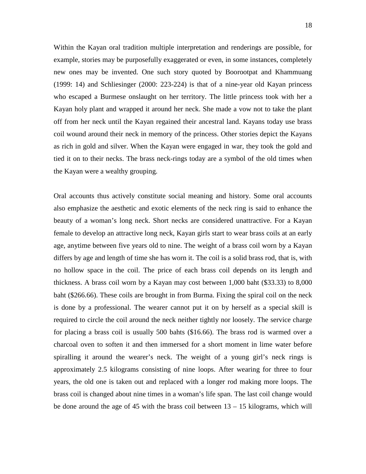Within the Kayan oral tradition multiple interpretation and renderings are possible, for example, stories may be purposefully exaggerated or even, in some instances, completely new ones may be invented. One such story quoted by Boorootpat and Khammuang (1999: 14) and Schliesinger (2000: 223-224) is that of a nine-year old Kayan princess who escaped a Burmese onslaught on her territory. The little princess took with her a Kayan holy plant and wrapped it around her neck. She made a vow not to take the plant off from her neck until the Kayan regained their ancestral land. Kayans today use brass coil wound around their neck in memory of the princess. Other stories depict the Kayans as rich in gold and silver. When the Kayan were engaged in war, they took the gold and tied it on to their necks. The brass neck-rings today are a symbol of the old times when the Kayan were a wealthy grouping.

Oral accounts thus actively constitute social meaning and history. Some oral accounts also emphasize the aesthetic and exotic elements of the neck ring is said to enhance the beauty of a woman's long neck. Short necks are considered unattractive. For a Kayan female to develop an attractive long neck, Kayan girls start to wear brass coils at an early age, anytime between five years old to nine. The weight of a brass coil worn by a Kayan differs by age and length of time she has worn it. The coil is a solid brass rod, that is, with no hollow space in the coil. The price of each brass coil depends on its length and thickness. A brass coil worn by a Kayan may cost between 1,000 baht (\$33.33) to 8,000 baht (\$266.66). These coils are brought in from Burma. Fixing the spiral coil on the neck is done by a professional. The wearer cannot put it on by herself as a special skill is required to circle the coil around the neck neither tightly nor loosely. The service charge for placing a brass coil is usually 500 bahts (\$16.66). The brass rod is warmed over a charcoal oven to soften it and then immersed for a short moment in lime water before spiralling it around the wearer's neck. The weight of a young girl's neck rings is approximately 2.5 kilograms consisting of nine loops. After wearing for three to four years, the old one is taken out and replaced with a longer rod making more loops. The brass coil is changed about nine times in a woman's life span. The last coil change would be done around the age of 45 with the brass coil between 13 – 15 kilograms, which will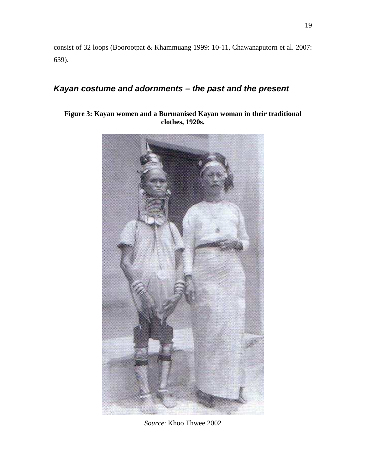consist of 32 loops (Boorootpat & Khammuang 1999: 10-11, Chawanaputorn et al. 2007: 639).

## **Kayan costume and adornments – the past and the present**

#### **Figure 3: Kayan women and a Burmanised Kayan woman in their traditional clothes, 1920s.**



*Source*: Khoo Thwee 2002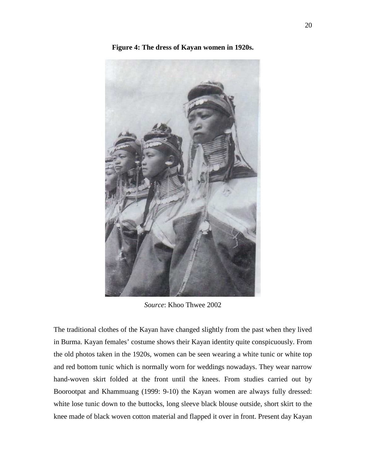

**Figure 4: The dress of Kayan women in 1920s.** 

*Source*: Khoo Thwee 2002

The traditional clothes of the Kayan have changed slightly from the past when they lived in Burma. Kayan females' costume shows their Kayan identity quite conspicuously. From the old photos taken in the 1920s*,* women can be seen wearing a white tunic or white top and red bottom tunic which is normally worn for weddings nowadays. They wear narrow hand-woven skirt folded at the front until the knees. From studies carried out by Boorootpat and Khammuang (1999: 9-10) the Kayan women are always fully dressed: white lose tunic down to the buttocks, long sleeve black blouse outside, short skirt to the knee made of black woven cotton material and flapped it over in front. Present day Kayan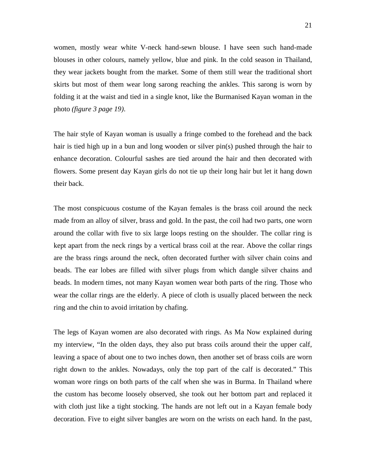women, mostly wear white V-neck hand-sewn blouse. I have seen such hand-made blouses in other colours, namely yellow, blue and pink. In the cold season in Thailand, they wear jackets bought from the market. Some of them still wear the traditional short skirts but most of them wear long sarong reaching the ankles. This sarong is worn by folding it at the waist and tied in a single knot, like the Burmanised Kayan woman in the photo *(figure 3 page 19)*.

The hair style of Kayan woman is usually a fringe combed to the forehead and the back hair is tied high up in a bun and long wooden or silver pin(s) pushed through the hair to enhance decoration. Colourful sashes are tied around the hair and then decorated with flowers. Some present day Kayan girls do not tie up their long hair but let it hang down their back.

The most conspicuous costume of the Kayan females is the brass coil around the neck made from an alloy of silver, brass and gold. In the past, the coil had two parts, one worn around the collar with five to six large loops resting on the shoulder. The collar ring is kept apart from the neck rings by a vertical brass coil at the rear. Above the collar rings are the brass rings around the neck, often decorated further with silver chain coins and beads. The ear lobes are filled with silver plugs from which dangle silver chains and beads. In modern times, not many Kayan women wear both parts of the ring. Those who wear the collar rings are the elderly. A piece of cloth is usually placed between the neck ring and the chin to avoid irritation by chafing.

The legs of Kayan women are also decorated with rings. As Ma Now explained during my interview, "In the olden days, they also put brass coils around their the upper calf, leaving a space of about one to two inches down, then another set of brass coils are worn right down to the ankles. Nowadays, only the top part of the calf is decorated." This woman wore rings on both parts of the calf when she was in Burma. In Thailand where the custom has become loosely observed, she took out her bottom part and replaced it with cloth just like a tight stocking. The hands are not left out in a Kayan female body decoration. Five to eight silver bangles are worn on the wrists on each hand. In the past,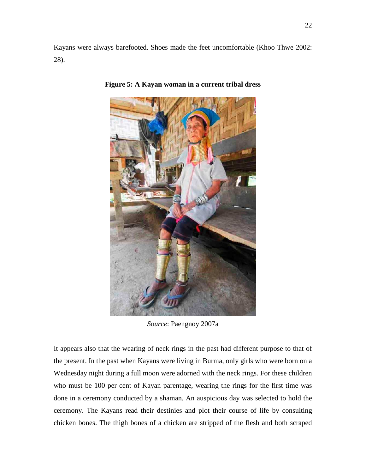Kayans were always barefooted. Shoes made the feet uncomfortable (Khoo Thwe 2002: 28).



**Figure 5: A Kayan woman in a current tribal dress** 

*Source*: Paengnoy 2007a

It appears also that the wearing of neck rings in the past had different purpose to that of the present. In the past when Kayans were living in Burma, only girls who were born on a Wednesday night during a full moon were adorned with the neck rings. For these children who must be 100 per cent of Kayan parentage, wearing the rings for the first time was done in a ceremony conducted by a shaman. An auspicious day was selected to hold the ceremony. The Kayans read their destinies and plot their course of life by consulting chicken bones. The thigh bones of a chicken are stripped of the flesh and both scraped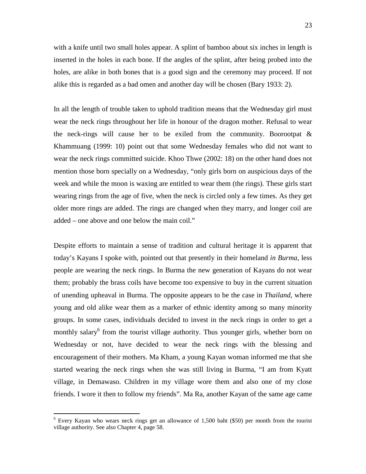with a knife until two small holes appear. A splint of bamboo about six inches in length is inserted in the holes in each bone. If the angles of the splint, after being probed into the holes, are alike in both bones that is a good sign and the ceremony may proceed. If not alike this is regarded as a bad omen and another day will be chosen (Bary 1933: 2).

In all the length of trouble taken to uphold tradition means that the Wednesday girl must wear the neck rings throughout her life in honour of the dragon mother. Refusal to wear the neck-rings will cause her to be exiled from the community. Boorootpat  $\&$ Khammuang (1999: 10) point out that some Wednesday females who did not want to wear the neck rings committed suicide. Khoo Thwe (2002: 18) on the other hand does not mention those born specially on a Wednesday, "only girls born on auspicious days of the week and while the moon is waxing are entitled to wear them (the rings). These girls start wearing rings from the age of five, when the neck is circled only a few times. As they get older more rings are added. The rings are changed when they marry, and longer coil are added – one above and one below the main coil."

Despite efforts to maintain a sense of tradition and cultural heritage it is apparent that today's Kayans I spoke with, pointed out that presently in their homeland *in Burma*, less people are wearing the neck rings. In Burma the new generation of Kayans do not wear them; probably the brass coils have become too expensive to buy in the current situation of unending upheaval in Burma. The opposite appears to be the case in *Thailand*, where young and old alike wear them as a marker of ethnic identity among so many minority groups. In some cases, individuals decided to invest in the neck rings in order to get a monthly salary<sup>6</sup> from the tourist village authority. Thus younger girls, whether born on Wednesday or not, have decided to wear the neck rings with the blessing and encouragement of their mothers. Ma Kham, a young Kayan woman informed me that she started wearing the neck rings when she was still living in Burma, "I am from Kyatt village, in Demawaso. Children in my village wore them and also one of my close friends. I wore it then to follow my friends". Ma Ra, another Kayan of the same age came

<sup>&</sup>lt;sup>6</sup> Every Kayan who wears neck rings get an allowance of 1,500 baht (\$50) per month from the tourist village authority. See also Chapter 4, page 58.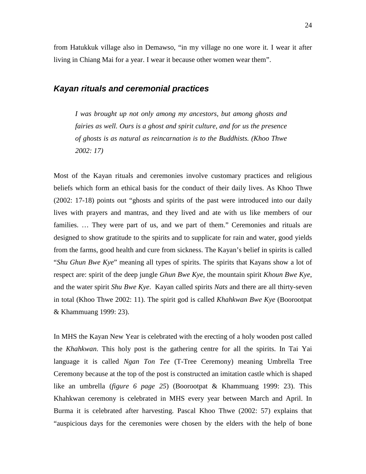from Hatukkuk village also in Demawso, "in my village no one wore it. I wear it after living in Chiang Mai for a year. I wear it because other women wear them".

#### **Kayan rituals and ceremonial practices**

*I was brought up not only among my ancestors, but among ghosts and fairies as well. Ours is a ghost and spirit culture, and for us the presence of ghosts is as natural as reincarnation is to the Buddhists. (Khoo Thwe 2002: 17)* 

Most of the Kayan rituals and ceremonies involve customary practices and religious beliefs which form an ethical basis for the conduct of their daily lives. As Khoo Thwe (2002: 17-18) points out "ghosts and spirits of the past were introduced into our daily lives with prayers and mantras, and they lived and ate with us like members of our families. … They were part of us, and we part of them." Ceremonies and rituals are designed to show gratitude to the spirits and to supplicate for rain and water, good yields from the farms, good health and cure from sickness. The Kayan's belief in spirits is called "*Shu Ghun Bwe Kye*" meaning all types of spirits. The spirits that Kayans show a lot of respect are: spirit of the deep jungle *Ghun Bwe Kye*, the mountain spirit *Khoun Bwe Kye*, and the water spirit *Shu Bwe Kye*. Kayan called spirits *Nats* and there are all thirty-seven in total (Khoo Thwe 2002: 11). The spirit god is called *Khahkwan Bwe Kye* (Boorootpat & Khammuang 1999: 23).

In MHS the Kayan New Year is celebrated with the erecting of a holy wooden post called the *Khahkwan*. This holy post is the gathering centre for all the spirits. In Tai Yai language it is called *Ngan Ton Tee* (T-Tree Ceremony) meaning Umbrella Tree Ceremony because at the top of the post is constructed an imitation castle which is shaped like an umbrella (*figure 6 page 25*) (Boorootpat & Khammuang 1999: 23). This Khahkwan ceremony is celebrated in MHS every year between March and April. In Burma it is celebrated after harvesting. Pascal Khoo Thwe (2002: 57) explains that "auspicious days for the ceremonies were chosen by the elders with the help of bone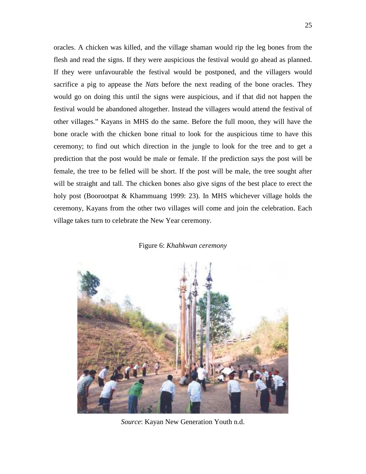oracles. A chicken was killed, and the village shaman would rip the leg bones from the flesh and read the signs. If they were auspicious the festival would go ahead as planned. If they were unfavourable the festival would be postponed, and the villagers would sacrifice a pig to appease the *Nats* before the next reading of the bone oracles. They would go on doing this until the signs were auspicious, and if that did not happen the festival would be abandoned altogether. Instead the villagers would attend the festival of other villages." Kayans in MHS do the same. Before the full moon, they will have the bone oracle with the chicken bone ritual to look for the auspicious time to have this ceremony; to find out which direction in the jungle to look for the tree and to get a prediction that the post would be male or female. If the prediction says the post will be female, the tree to be felled will be short. If the post will be male, the tree sought after will be straight and tall. The chicken bones also give signs of the best place to erect the holy post (Boorootpat & Khammuang 1999: 23). In MHS whichever village holds the ceremony, Kayans from the other two villages will come and join the celebration. Each village takes turn to celebrate the New Year ceremony.

#### Figure 6: *Khahkwan ceremony*



*Source*: Kayan New Generation Youth n.d.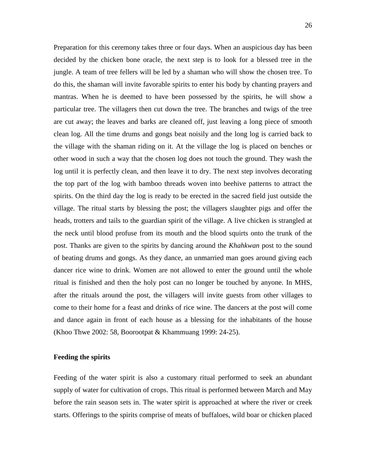Preparation for this ceremony takes three or four days. When an auspicious day has been decided by the chicken bone oracle, the next step is to look for a blessed tree in the jungle. A team of tree fellers will be led by a shaman who will show the chosen tree. To do this, the shaman will invite favorable spirits to enter his body by chanting prayers and mantras. When he is deemed to have been possessed by the spirits, he will show a particular tree. The villagers then cut down the tree. The branches and twigs of the tree are cut away; the leaves and barks are cleaned off, just leaving a long piece of smooth clean log. All the time drums and gongs beat noisily and the long log is carried back to the village with the shaman riding on it. At the village the log is placed on benches or other wood in such a way that the chosen log does not touch the ground. They wash the log until it is perfectly clean, and then leave it to dry. The next step involves decorating the top part of the log with bamboo threads woven into beehive patterns to attract the spirits. On the third day the log is ready to be erected in the sacred field just outside the village. The ritual starts by blessing the post; the villagers slaughter pigs and offer the heads, trotters and tails to the guardian spirit of the village. A live chicken is strangled at the neck until blood profuse from its mouth and the blood squirts onto the trunk of the post. Thanks are given to the spirits by dancing around the *Khahkwan* post to the sound of beating drums and gongs. As they dance, an unmarried man goes around giving each dancer rice wine to drink. Women are not allowed to enter the ground until the whole ritual is finished and then the holy post can no longer be touched by anyone. In MHS, after the rituals around the post, the villagers will invite guests from other villages to come to their home for a feast and drinks of rice wine. The dancers at the post will come and dance again in front of each house as a blessing for the inhabitants of the house (Khoo Thwe 2002: 58, Boorootpat & Khammuang 1999: 24-25).

#### **Feeding the spirits**

Feeding of the water spirit is also a customary ritual performed to seek an abundant supply of water for cultivation of crops. This ritual is performed between March and May before the rain season sets in. The water spirit is approached at where the river or creek starts. Offerings to the spirits comprise of meats of buffaloes, wild boar or chicken placed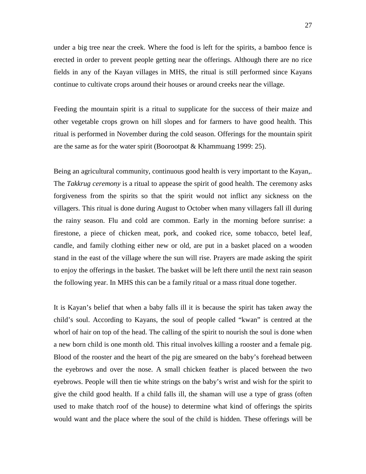under a big tree near the creek. Where the food is left for the spirits, a bamboo fence is erected in order to prevent people getting near the offerings. Although there are no rice fields in any of the Kayan villages in MHS, the ritual is still performed since Kayans continue to cultivate crops around their houses or around creeks near the village.

Feeding the mountain spirit is a ritual to supplicate for the success of their maize and other vegetable crops grown on hill slopes and for farmers to have good health. This ritual is performed in November during the cold season. Offerings for the mountain spirit are the same as for the water spirit (Boorootpat & Khammuang 1999: 25).

Being an agricultural community, continuous good health is very important to the Kayan,. The *Takkrug ceremony* is a ritual to appease the spirit of good health. The ceremony asks forgiveness from the spirits so that the spirit would not inflict any sickness on the villagers. This ritual is done during August to October when many villagers fall ill during the rainy season. Flu and cold are common. Early in the morning before sunrise: a firestone, a piece of chicken meat, pork, and cooked rice, some tobacco, betel leaf, candle, and family clothing either new or old, are put in a basket placed on a wooden stand in the east of the village where the sun will rise. Prayers are made asking the spirit to enjoy the offerings in the basket. The basket will be left there until the next rain season the following year. In MHS this can be a family ritual or a mass ritual done together.

It is Kayan's belief that when a baby falls ill it is because the spirit has taken away the child's soul. According to Kayans, the soul of people called "kwan" is centred at the whorl of hair on top of the head. The calling of the spirit to nourish the soul is done when a new born child is one month old. This ritual involves killing a rooster and a female pig. Blood of the rooster and the heart of the pig are smeared on the baby's forehead between the eyebrows and over the nose. A small chicken feather is placed between the two eyebrows. People will then tie white strings on the baby's wrist and wish for the spirit to give the child good health. If a child falls ill, the shaman will use a type of grass (often used to make thatch roof of the house) to determine what kind of offerings the spirits would want and the place where the soul of the child is hidden. These offerings will be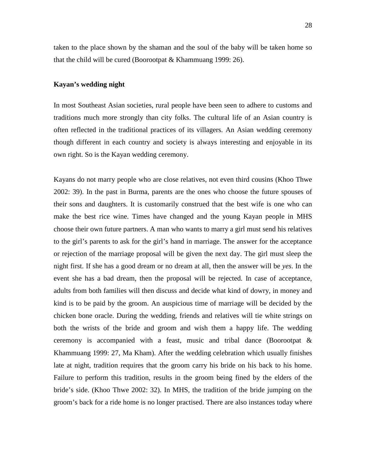taken to the place shown by the shaman and the soul of the baby will be taken home so that the child will be cured (Boorootpat & Khammuang 1999: 26).

#### **Kayan's wedding night**

In most Southeast Asian societies, rural people have been seen to adhere to customs and traditions much more strongly than city folks. The cultural life of an Asian country is often reflected in the traditional practices of its villagers. An Asian wedding ceremony though different in each country and society is always interesting and enjoyable in its own right. So is the Kayan wedding ceremony.

Kayans do not marry people who are close relatives, not even third cousins (Khoo Thwe 2002: 39). In the past in Burma, parents are the ones who choose the future spouses of their sons and daughters. It is customarily construed that the best wife is one who can make the best rice wine. Times have changed and the young Kayan people in MHS choose their own future partners. A man who wants to marry a girl must send his relatives to the girl's parents to ask for the girl's hand in marriage. The answer for the acceptance or rejection of the marriage proposal will be given the next day. The girl must sleep the night first. If she has a good dream or no dream at all, then the answer will be *yes*. In the event she has a bad dream, then the proposal will be rejected. In case of acceptance, adults from both families will then discuss and decide what kind of dowry, in money and kind is to be paid by the groom. An auspicious time of marriage will be decided by the chicken bone oracle. During the wedding, friends and relatives will tie white strings on both the wrists of the bride and groom and wish them a happy life. The wedding ceremony is accompanied with a feast, music and tribal dance (Boorootpat & Khammuang 1999: 27, Ma Kham). After the wedding celebration which usually finishes late at night, tradition requires that the groom carry his bride on his back to his home. Failure to perform this tradition, results in the groom being fined by the elders of the bride's side. (Khoo Thwe 2002: 32). In MHS, the tradition of the bride jumping on the groom's back for a ride home is no longer practised. There are also instances today where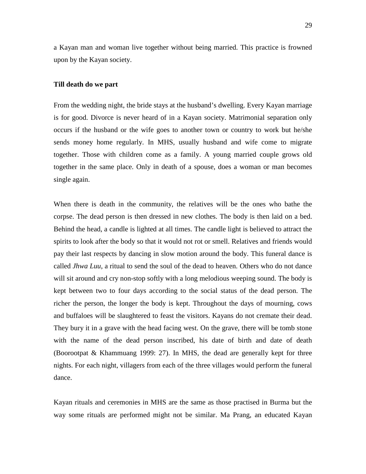a Kayan man and woman live together without being married. This practice is frowned upon by the Kayan society.

#### **Till death do we part**

From the wedding night, the bride stays at the husband's dwelling. Every Kayan marriage is for good. Divorce is never heard of in a Kayan society. Matrimonial separation only occurs if the husband or the wife goes to another town or country to work but he/she sends money home regularly. In MHS, usually husband and wife come to migrate together. Those with children come as a family. A young married couple grows old together in the same place. Only in death of a spouse, does a woman or man becomes single again.

When there is death in the community, the relatives will be the ones who bathe the corpse. The dead person is then dressed in new clothes. The body is then laid on a bed. Behind the head, a candle is lighted at all times. The candle light is believed to attract the spirits to look after the body so that it would not rot or smell. Relatives and friends would pay their last respects by dancing in slow motion around the body. This funeral dance is called *Jhwa Luu*, a ritual to send the soul of the dead to heaven. Others who do not dance will sit around and cry non-stop softly with a long melodious weeping sound. The body is kept between two to four days according to the social status of the dead person. The richer the person, the longer the body is kept. Throughout the days of mourning, cows and buffaloes will be slaughtered to feast the visitors. Kayans do not cremate their dead. They bury it in a grave with the head facing west. On the grave, there will be tomb stone with the name of the dead person inscribed, his date of birth and date of death (Boorootpat & Khammuang 1999: 27). In MHS, the dead are generally kept for three nights. For each night, villagers from each of the three villages would perform the funeral dance.

Kayan rituals and ceremonies in MHS are the same as those practised in Burma but the way some rituals are performed might not be similar. Ma Prang, an educated Kayan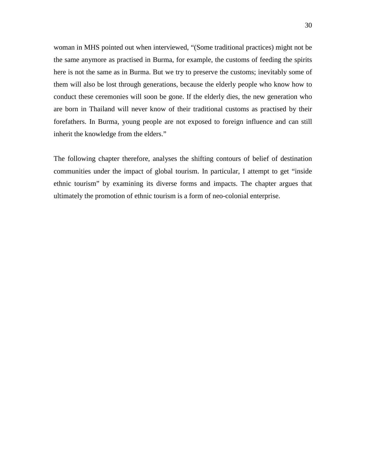woman in MHS pointed out when interviewed, "(Some traditional practices) might not be the same anymore as practised in Burma, for example, the customs of feeding the spirits here is not the same as in Burma. But we try to preserve the customs; inevitably some of them will also be lost through generations, because the elderly people who know how to conduct these ceremonies will soon be gone. If the elderly dies, the new generation who are born in Thailand will never know of their traditional customs as practised by their forefathers. In Burma, young people are not exposed to foreign influence and can still inherit the knowledge from the elders."

The following chapter therefore, analyses the shifting contours of belief of destination communities under the impact of global tourism. In particular, I attempt to get "inside ethnic tourism" by examining its diverse forms and impacts. The chapter argues that ultimately the promotion of ethnic tourism is a form of neo-colonial enterprise.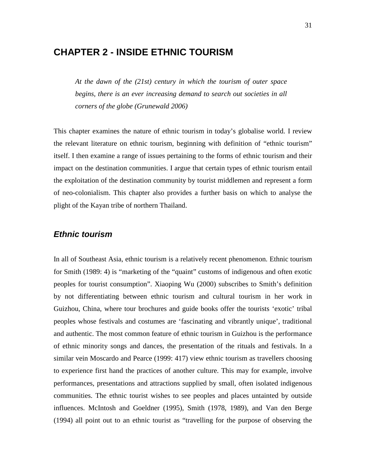## **CHAPTER 2 - INSIDE ETHNIC TOURISM**

*At the dawn of the (21st) century in which the tourism of outer space begins, there is an ever increasing demand to search out societies in all corners of the globe (Grunewald 2006)* 

This chapter examines the nature of ethnic tourism in today's globalise world. I review the relevant literature on ethnic tourism, beginning with definition of "ethnic tourism" itself. I then examine a range of issues pertaining to the forms of ethnic tourism and their impact on the destination communities. I argue that certain types of ethnic tourism entail the exploitation of the destination community by tourist middlemen and represent a form of neo-colonialism. This chapter also provides a further basis on which to analyse the plight of the Kayan tribe of northern Thailand.

#### **Ethnic tourism**

In all of Southeast Asia, ethnic tourism is a relatively recent phenomenon. Ethnic tourism for Smith (1989: 4) is "marketing of the "quaint" customs of indigenous and often exotic peoples for tourist consumption". Xiaoping Wu (2000) subscribes to Smith's definition by not differentiating between ethnic tourism and cultural tourism in her work in Guizhou, China, where tour brochures and guide books offer the tourists 'exotic' tribal peoples whose festivals and costumes are 'fascinating and vibrantly unique', traditional and authentic. The most common feature of ethnic tourism in Guizhou is the performance of ethnic minority songs and dances, the presentation of the rituals and festivals. In a similar vein Moscardo and Pearce (1999: 417) view ethnic tourism as travellers choosing to experience first hand the practices of another culture. This may for example, involve performances, presentations and attractions supplied by small, often isolated indigenous communities. The ethnic tourist wishes to see peoples and places untainted by outside influences. McIntosh and Goeldner (1995), Smith (1978, 1989), and Van den Berge (1994) all point out to an ethnic tourist as "travelling for the purpose of observing the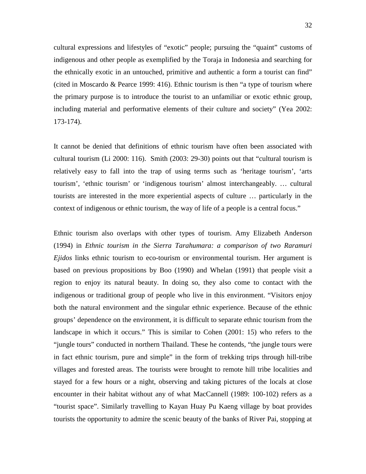cultural expressions and lifestyles of "exotic" people; pursuing the "quaint" customs of indigenous and other people as exemplified by the Toraja in Indonesia and searching for the ethnically exotic in an untouched, primitive and authentic a form a tourist can find" (cited in Moscardo & Pearce 1999: 416). Ethnic tourism is then "a type of tourism where the primary purpose is to introduce the tourist to an unfamiliar or exotic ethnic group, including material and performative elements of their culture and society" (Yea 2002: 173-174).

It cannot be denied that definitions of ethnic tourism have often been associated with cultural tourism (Li 2000: 116). Smith (2003: 29-30) points out that "cultural tourism is relatively easy to fall into the trap of using terms such as 'heritage tourism', 'arts tourism', 'ethnic tourism' or 'indigenous tourism' almost interchangeably. … cultural tourists are interested in the more experiential aspects of culture … particularly in the context of indigenous or ethnic tourism, the way of life of a people is a central focus."

Ethnic tourism also overlaps with other types of tourism. Amy Elizabeth Anderson (1994) in *Ethnic tourism in the Sierra Tarahumara: a comparison of two Raramuri Ejidos* links ethnic tourism to eco-tourism or environmental tourism. Her argument is based on previous propositions by Boo (1990) and Whelan (1991) that people visit a region to enjoy its natural beauty. In doing so, they also come to contact with the indigenous or traditional group of people who live in this environment. "Visitors enjoy both the natural environment and the singular ethnic experience. Because of the ethnic groups' dependence on the environment, it is difficult to separate ethnic tourism from the landscape in which it occurs." This is similar to Cohen (2001: 15) who refers to the "jungle tours" conducted in northern Thailand. These he contends, "the jungle tours were in fact ethnic tourism, pure and simple" in the form of trekking trips through hill-tribe villages and forested areas. The tourists were brought to remote hill tribe localities and stayed for a few hours or a night, observing and taking pictures of the locals at close encounter in their habitat without any of what MacCannell (1989: 100-102) refers as a "tourist space". Similarly travelling to Kayan Huay Pu Kaeng village by boat provides tourists the opportunity to admire the scenic beauty of the banks of River Pai, stopping at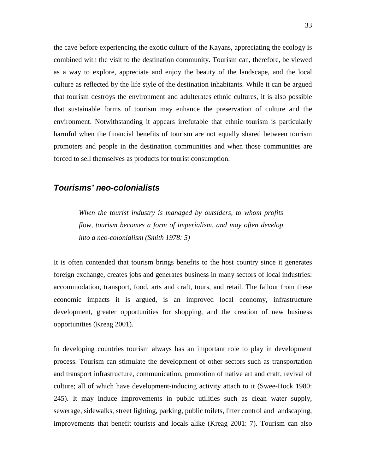the cave before experiencing the exotic culture of the Kayans, appreciating the ecology is combined with the visit to the destination community. Tourism can, therefore, be viewed as a way to explore, appreciate and enjoy the beauty of the landscape, and the local culture as reflected by the life style of the destination inhabitants. While it can be argued that tourism destroys the environment and adulterates ethnic cultures, it is also possible that sustainable forms of tourism may enhance the preservation of culture and the environment. Notwithstanding it appears irrefutable that ethnic tourism is particularly harmful when the financial benefits of tourism are not equally shared between tourism promoters and people in the destination communities and when those communities are forced to sell themselves as products for tourist consumption.

#### **Tourisms' neo-colonialists**

*When the tourist industry is managed by outsiders, to whom profits flow, tourism becomes a form of imperialism, and may often develop into a neo-colonialism (Smith 1978: 5)* 

It is often contended that tourism brings benefits to the host country since it generates foreign exchange, creates jobs and generates business in many sectors of local industries: accommodation, transport, food, arts and craft, tours, and retail. The fallout from these economic impacts it is argued, is an improved local economy, infrastructure development, greater opportunities for shopping, and the creation of new business opportunities (Kreag 2001).

In developing countries tourism always has an important role to play in development process. Tourism can stimulate the development of other sectors such as transportation and transport infrastructure, communication, promotion of native art and craft, revival of culture; all of which have development-inducing activity attach to it (Swee-Hock 1980: 245). It may induce improvements in public utilities such as clean water supply, sewerage, sidewalks, street lighting, parking, public toilets, litter control and landscaping, improvements that benefit tourists and locals alike (Kreag 2001: 7). Tourism can also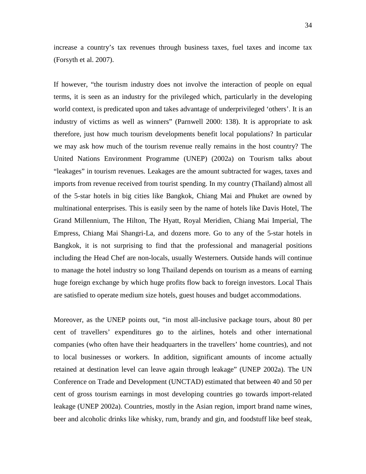increase a country's tax revenues through business taxes, fuel taxes and income tax (Forsyth et al. 2007).

If however, "the tourism industry does not involve the interaction of people on equal terms, it is seen as an industry for the privileged which, particularly in the developing world context, is predicated upon and takes advantage of underprivileged 'others'. It is an industry of victims as well as winners" (Parnwell 2000: 138). It is appropriate to ask therefore, just how much tourism developments benefit local populations? In particular we may ask how much of the tourism revenue really remains in the host country? The United Nations Environment Programme (UNEP) (2002a) on Tourism talks about "leakages" in tourism revenues. Leakages are the amount subtracted for wages, taxes and imports from revenue received from tourist spending. In my country (Thailand) almost all of the 5-star hotels in big cities like Bangkok, Chiang Mai and Phuket are owned by multinational enterprises. This is easily seen by the name of hotels like Davis Hotel, The Grand Millennium, The Hilton, The Hyatt, Royal Meridien, Chiang Mai Imperial, The Empress, Chiang Mai Shangri-La, and dozens more. Go to any of the 5-star hotels in Bangkok, it is not surprising to find that the professional and managerial positions including the Head Chef are non-locals, usually Westerners. Outside hands will continue to manage the hotel industry so long Thailand depends on tourism as a means of earning huge foreign exchange by which huge profits flow back to foreign investors. Local Thais are satisfied to operate medium size hotels, guest houses and budget accommodations.

Moreover, as the UNEP points out, "in most all-inclusive package tours, about 80 per cent of travellers' expenditures go to the airlines, hotels and other international companies (who often have their headquarters in the travellers' home countries), and not to local businesses or workers. In addition, significant amounts of income actually retained at destination level can leave again through leakage" (UNEP 2002a). The UN Conference on Trade and Development (UNCTAD) estimated that between 40 and 50 per cent of gross tourism earnings in most developing countries go towards import-related leakage (UNEP 2002a). Countries, mostly in the Asian region, import brand name wines, beer and alcoholic drinks like whisky, rum, brandy and gin, and foodstuff like beef steak,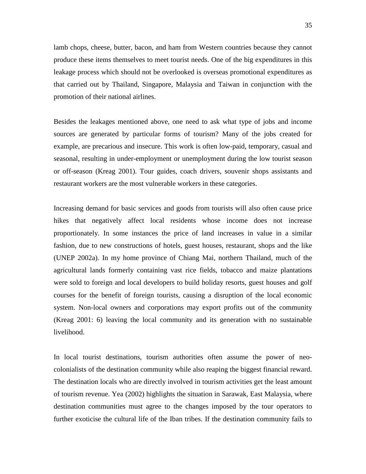lamb chops, cheese, butter, bacon, and ham from Western countries because they cannot produce these items themselves to meet tourist needs. One of the big expenditures in this leakage process which should not be overlooked is overseas promotional expenditures as that carried out by Thailand, Singapore, Malaysia and Taiwan in conjunction with the promotion of their national airlines.

Besides the leakages mentioned above, one need to ask what type of jobs and income sources are generated by particular forms of tourism? Many of the jobs created for example, are precarious and insecure. This work is often low-paid, temporary, casual and seasonal, resulting in under-employment or unemployment during the low tourist season or off-season (Kreag 2001). Tour guides, coach drivers, souvenir shops assistants and restaurant workers are the most vulnerable workers in these categories.

Increasing demand for basic services and goods from tourists will also often cause price hikes that negatively affect local residents whose income does not increase proportionately. In some instances the price of land increases in value in a similar fashion, due to new constructions of hotels, guest houses, restaurant, shops and the like (UNEP 2002a). In my home province of Chiang Mai, northern Thailand, much of the agricultural lands formerly containing vast rice fields, tobacco and maize plantations were sold to foreign and local developers to build holiday resorts, guest houses and golf courses for the benefit of foreign tourists, causing a disruption of the local economic system. Non-local owners and corporations may export profits out of the community (Kreag 2001: 6) leaving the local community and its generation with no sustainable livelihood.

In local tourist destinations, tourism authorities often assume the power of neocolonialists of the destination community while also reaping the biggest financial reward. The destination locals who are directly involved in tourism activities get the least amount of tourism revenue. Yea (2002) highlights the situation in Sarawak, East Malaysia, where destination communities must agree to the changes imposed by the tour operators to further exoticise the cultural life of the Iban tribes. If the destination community fails to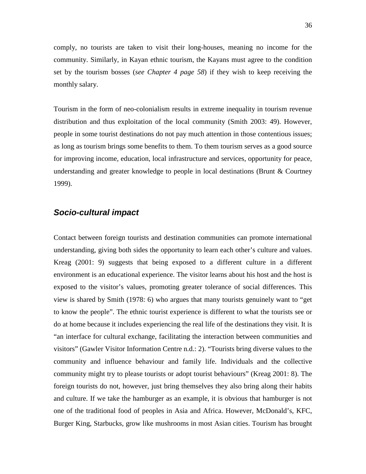comply, no tourists are taken to visit their long-houses, meaning no income for the community. Similarly, in Kayan ethnic tourism, the Kayans must agree to the condition set by the tourism bosses (*see Chapter 4 page 58*) if they wish to keep receiving the monthly salary.

Tourism in the form of neo-colonialism results in extreme inequality in tourism revenue distribution and thus exploitation of the local community (Smith 2003: 49). However, people in some tourist destinations do not pay much attention in those contentious issues; as long as tourism brings some benefits to them. To them tourism serves as a good source for improving income, education, local infrastructure and services, opportunity for peace, understanding and greater knowledge to people in local destinations (Brunt & Courtney 1999).

### **Socio-cultural impact**

Contact between foreign tourists and destination communities can promote international understanding, giving both sides the opportunity to learn each other's culture and values. Kreag (2001: 9) suggests that being exposed to a different culture in a different environment is an educational experience. The visitor learns about his host and the host is exposed to the visitor's values, promoting greater tolerance of social differences. This view is shared by Smith (1978: 6) who argues that many tourists genuinely want to "get to know the people". The ethnic tourist experience is different to what the tourists see or do at home because it includes experiencing the real life of the destinations they visit. It is "an interface for cultural exchange, facilitating the interaction between communities and visitors" (Gawler Visitor Information Centre n.d.: 2). "Tourists bring diverse values to the community and influence behaviour and family life. Individuals and the collective community might try to please tourists or adopt tourist behaviours" (Kreag 2001: 8). The foreign tourists do not, however, just bring themselves they also bring along their habits and culture. If we take the hamburger as an example, it is obvious that hamburger is not one of the traditional food of peoples in Asia and Africa. However, McDonald's, KFC, Burger King, Starbucks, grow like mushrooms in most Asian cities. Tourism has brought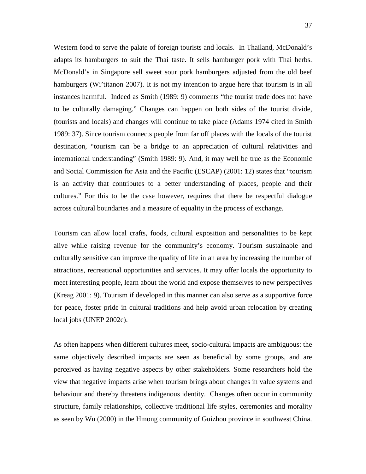Western food to serve the palate of foreign tourists and locals. In Thailand, McDonald's adapts its hamburgers to suit the Thai taste. It sells hamburger pork with Thai herbs. McDonald's in Singapore sell sweet sour pork hamburgers adjusted from the old beef hamburgers (Wi'titanon 2007). It is not my intention to argue here that tourism is in all instances harmful. Indeed as Smith (1989: 9) comments "the tourist trade does not have to be culturally damaging." Changes can happen on both sides of the tourist divide, (tourists and locals) and changes will continue to take place (Adams 1974 cited in Smith 1989: 37). Since tourism connects people from far off places with the locals of the tourist destination, "tourism can be a bridge to an appreciation of cultural relativities and international understanding" (Smith 1989: 9). And, it may well be true as the Economic and Social Commission for Asia and the Pacific (ESCAP) (2001: 12) states that "tourism is an activity that contributes to a better understanding of places, people and their cultures." For this to be the case however, requires that there be respectful dialogue across cultural boundaries and a measure of equality in the process of exchange.

Tourism can allow local crafts, foods, cultural exposition and personalities to be kept alive while raising revenue for the community's economy. Tourism sustainable and culturally sensitive can improve the quality of life in an area by increasing the number of attractions, recreational opportunities and services. It may offer locals the opportunity to meet interesting people, learn about the world and expose themselves to new perspectives (Kreag 2001: 9). Tourism if developed in this manner can also serve as a supportive force for peace, foster pride in cultural traditions and help avoid urban relocation by creating local jobs (UNEP 2002c).

As often happens when different cultures meet, socio-cultural impacts are ambiguous: the same objectively described impacts are seen as beneficial by some groups, and are perceived as having negative aspects by other stakeholders. Some researchers hold the view that negative impacts arise when tourism brings about changes in value systems and behaviour and thereby threatens indigenous identity. Changes often occur in community structure, family relationships, collective traditional life styles, ceremonies and morality as seen by Wu (2000) in the Hmong community of Guizhou province in southwest China.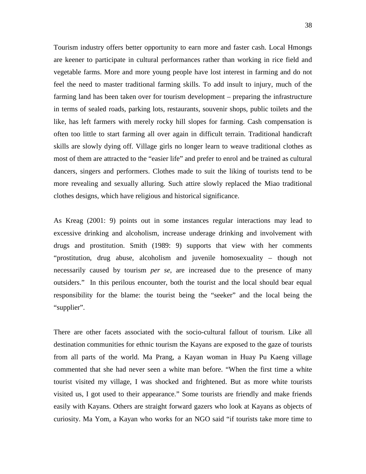Tourism industry offers better opportunity to earn more and faster cash. Local Hmongs are keener to participate in cultural performances rather than working in rice field and vegetable farms. More and more young people have lost interest in farming and do not feel the need to master traditional farming skills. To add insult to injury, much of the farming land has been taken over for tourism development – preparing the infrastructure in terms of sealed roads, parking lots, restaurants, souvenir shops, public toilets and the like, has left farmers with merely rocky hill slopes for farming. Cash compensation is often too little to start farming all over again in difficult terrain. Traditional handicraft skills are slowly dying off. Village girls no longer learn to weave traditional clothes as most of them are attracted to the "easier life" and prefer to enrol and be trained as cultural dancers, singers and performers. Clothes made to suit the liking of tourists tend to be more revealing and sexually alluring. Such attire slowly replaced the Miao traditional clothes designs, which have religious and historical significance.

As Kreag (2001: 9) points out in some instances regular interactions may lead to excessive drinking and alcoholism, increase underage drinking and involvement with drugs and prostitution. Smith (1989: 9) supports that view with her comments "prostitution, drug abuse, alcoholism and juvenile homosexuality – though not necessarily caused by tourism *per se*, are increased due to the presence of many outsiders." In this perilous encounter, both the tourist and the local should bear equal responsibility for the blame: the tourist being the "seeker" and the local being the "supplier".

There are other facets associated with the socio-cultural fallout of tourism. Like all destination communities for ethnic tourism the Kayans are exposed to the gaze of tourists from all parts of the world. Ma Prang, a Kayan woman in Huay Pu Kaeng village commented that she had never seen a white man before. "When the first time a white tourist visited my village, I was shocked and frightened. But as more white tourists visited us, I got used to their appearance." Some tourists are friendly and make friends easily with Kayans. Others are straight forward gazers who look at Kayans as objects of curiosity. Ma Yom, a Kayan who works for an NGO said "if tourists take more time to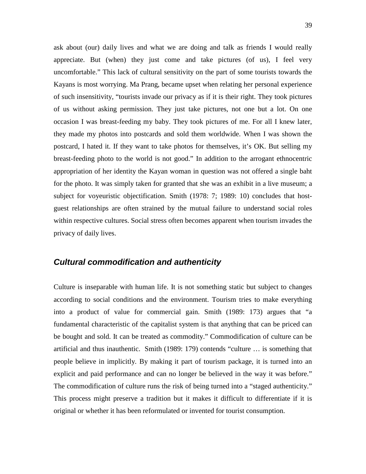ask about (our) daily lives and what we are doing and talk as friends I would really appreciate. But (when) they just come and take pictures (of us), I feel very uncomfortable." This lack of cultural sensitivity on the part of some tourists towards the Kayans is most worrying. Ma Prang, became upset when relating her personal experience of such insensitivity, "tourists invade our privacy as if it is their right. They took pictures of us without asking permission. They just take pictures, not one but a lot. On one occasion I was breast-feeding my baby. They took pictures of me. For all I knew later, they made my photos into postcards and sold them worldwide. When I was shown the postcard, I hated it. If they want to take photos for themselves, it's OK. But selling my breast-feeding photo to the world is not good." In addition to the arrogant ethnocentric appropriation of her identity the Kayan woman in question was not offered a single baht for the photo. It was simply taken for granted that she was an exhibit in a live museum; a subject for voyeuristic objectification. Smith (1978: 7; 1989: 10) concludes that hostguest relationships are often strained by the mutual failure to understand social roles within respective cultures. Social stress often becomes apparent when tourism invades the privacy of daily lives.

#### **Cultural commodification and authenticity**

Culture is inseparable with human life. It is not something static but subject to changes according to social conditions and the environment. Tourism tries to make everything into a product of value for commercial gain. Smith (1989: 173) argues that "a fundamental characteristic of the capitalist system is that anything that can be priced can be bought and sold. It can be treated as commodity." Commodification of culture can be artificial and thus inauthentic. Smith (1989: 179) contends "culture … is something that people believe in implicitly. By making it part of tourism package, it is turned into an explicit and paid performance and can no longer be believed in the way it was before." The commodification of culture runs the risk of being turned into a "staged authenticity." This process might preserve a tradition but it makes it difficult to differentiate if it is original or whether it has been reformulated or invented for tourist consumption.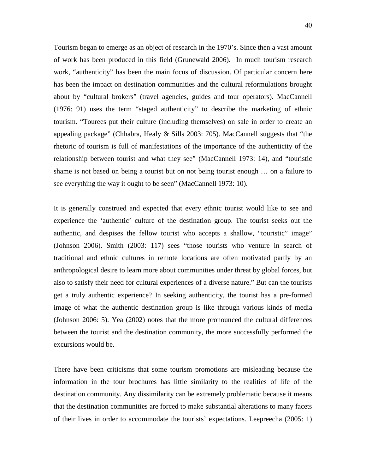Tourism began to emerge as an object of research in the 1970's. Since then a vast amount of work has been produced in this field (Grunewald 2006). In much tourism research work, "authenticity" has been the main focus of discussion. Of particular concern here has been the impact on destination communities and the cultural reformulations brought about by "cultural brokers" (travel agencies, guides and tour operators). MacCannell (1976: 91) uses the term "staged authenticity" to describe the marketing of ethnic tourism. "Tourees put their culture (including themselves) on sale in order to create an appealing package" (Chhabra, Healy & Sills 2003: 705). MacCannell suggests that "the rhetoric of tourism is full of manifestations of the importance of the authenticity of the relationship between tourist and what they see" (MacCannell 1973: 14), and "touristic shame is not based on being a tourist but on not being tourist enough … on a failure to see everything the way it ought to be seen" (MacCannell 1973: 10).

It is generally construed and expected that every ethnic tourist would like to see and experience the 'authentic' culture of the destination group. The tourist seeks out the authentic, and despises the fellow tourist who accepts a shallow, "touristic" image" (Johnson 2006). Smith (2003: 117) sees "those tourists who venture in search of traditional and ethnic cultures in remote locations are often motivated partly by an anthropological desire to learn more about communities under threat by global forces, but also to satisfy their need for cultural experiences of a diverse nature." But can the tourists get a truly authentic experience? In seeking authenticity, the tourist has a pre-formed image of what the authentic destination group is like through various kinds of media (Johnson 2006: 5). Yea (2002) notes that the more pronounced the cultural differences between the tourist and the destination community, the more successfully performed the excursions would be.

There have been criticisms that some tourism promotions are misleading because the information in the tour brochures has little similarity to the realities of life of the destination community. Any dissimilarity can be extremely problematic because it means that the destination communities are forced to make substantial alterations to many facets of their lives in order to accommodate the tourists' expectations. Leepreecha (2005: 1)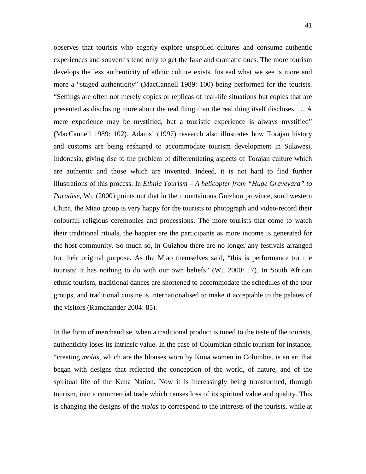observes that tourists who eagerly explore unspoiled cultures and consume authentic experiences and souvenirs tend only to get the fake and dramatic ones. The more tourism develops the less authenticity of ethnic culture exists. Instead what we see is more and more a "staged authenticity" (MacCannell 1989: 100) being performed for the tourists. "Settings are often not merely copies or replicas of real-life situations but copies that are presented as disclosing more about the real thing than the real thing itself discloses. … A mere experience may be mystified, but a touristic experience is always mystified" (MacCannell 1989: 102). Adams' (1997) research also illustrates how Torajan history and customs are being reshaped to accommodate tourism development in Sulawesi, Indonesia, giving rise to the problem of differentiating aspects of Torajan culture which are authentic and those which are invented. Indeed, it is not hard to find further illustrations of this process. In *Ethnic Tourism – A helicopter from "Huge Graveyard" to Paradise,* Wu (2000) points out that in the mountainous Guizhou province, southwestern China, the Miao group is very happy for the tourists to photograph and video-record their colourful religious ceremonies and processions. The more tourists that come to watch their traditional rituals, the happier are the participants as more income is generated for the host community. So much so, in Guizhou there are no longer any festivals arranged for their original purpose. As the Miao themselves said, "this is performance for the tourists; It has nothing to do with our own beliefs" (Wu 2000: 17). In South African ethnic tourism, traditional dances are shortened to accommodate the schedules of the tour groups, and traditional cuisine is internationalised to make it acceptable to the palates of the visitors (Ramchander 2004: 85).

In the form of merchandise, when a traditional product is tuned to the taste of the tourists, authenticity loses its intrinsic value. In the case of Columbian ethnic tourism for instance, "creating *molas*, which are the blouses worn by Kuna women in Colombia, is an art that began with designs that reflected the conception of the world, of nature, and of the spiritual life of the Kuna Nation. Now it is increasingly being transformed, through tourism, into a commercial trade which causes loss of its spiritual value and quality. This is changing the designs of the *molas* to correspond to the interests of the tourists, while at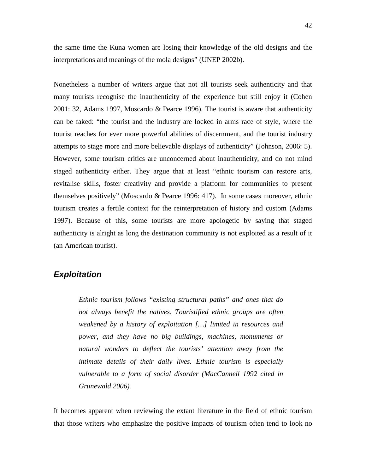the same time the Kuna women are losing their knowledge of the old designs and the interpretations and meanings of the mola designs" (UNEP 2002b).

Nonetheless a number of writers argue that not all tourists seek authenticity and that many tourists recognise the inauthenticity of the experience but still enjoy it (Cohen 2001: 32, Adams 1997, Moscardo & Pearce 1996). The tourist is aware that authenticity can be faked: "the tourist and the industry are locked in arms race of style, where the tourist reaches for ever more powerful abilities of discernment, and the tourist industry attempts to stage more and more believable displays of authenticity" (Johnson, 2006: 5). However, some tourism critics are unconcerned about inauthenticity, and do not mind staged authenticity either. They argue that at least "ethnic tourism can restore arts, revitalise skills, foster creativity and provide a platform for communities to present themselves positively" (Moscardo & Pearce 1996: 417). In some cases moreover, ethnic tourism creates a fertile context for the reinterpretation of history and custom (Adams 1997). Because of this, some tourists are more apologetic by saying that staged authenticity is alright as long the destination community is not exploited as a result of it (an American tourist).

### **Exploitation**

*Ethnic tourism follows "existing structural paths" and ones that do not always benefit the natives. Touristified ethnic groups are often weakened by a history of exploitation […] limited in resources and power, and they have no big buildings, machines, monuments or natural wonders to deflect the tourists' attention away from the intimate details of their daily lives. Ethnic tourism is especially vulnerable to a form of social disorder (MacCannell 1992 cited in Grunewald 2006).* 

It becomes apparent when reviewing the extant literature in the field of ethnic tourism that those writers who emphasize the positive impacts of tourism often tend to look no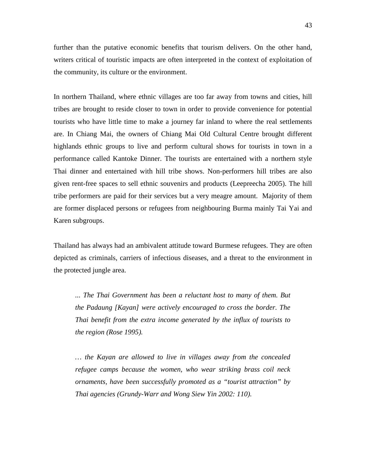further than the putative economic benefits that tourism delivers. On the other hand, writers critical of touristic impacts are often interpreted in the context of exploitation of the community, its culture or the environment.

In northern Thailand, where ethnic villages are too far away from towns and cities, hill tribes are brought to reside closer to town in order to provide convenience for potential tourists who have little time to make a journey far inland to where the real settlements are. In Chiang Mai, the owners of Chiang Mai Old Cultural Centre brought different highlands ethnic groups to live and perform cultural shows for tourists in town in a performance called Kantoke Dinner. The tourists are entertained with a northern style Thai dinner and entertained with hill tribe shows. Non-performers hill tribes are also given rent-free spaces to sell ethnic souvenirs and products (Leepreecha 2005). The hill tribe performers are paid for their services but a very meagre amount. Majority of them are former displaced persons or refugees from neighbouring Burma mainly Tai Yai and Karen subgroups.

Thailand has always had an ambivalent attitude toward Burmese refugees. They are often depicted as criminals, carriers of infectious diseases, and a threat to the environment in the protected jungle area.

*... The Thai Government has been a reluctant host to many of them. But the Padaung [Kayan] were actively encouraged to cross the border. The Thai benefit from the extra income generated by the influx of tourists to the region (Rose 1995).* 

*… the Kayan are allowed to live in villages away from the concealed refugee camps because the women, who wear striking brass coil neck ornaments, have been successfully promoted as a "tourist attraction" by Thai agencies (Grundy-Warr and Wong Siew Yin 2002: 110).*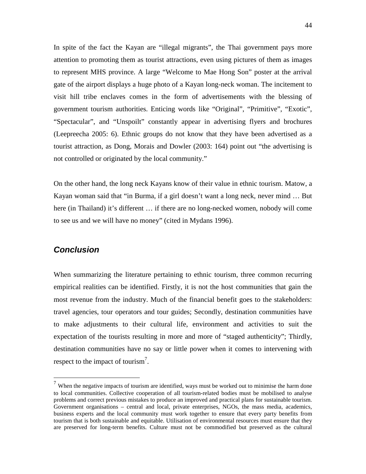In spite of the fact the Kayan are "illegal migrants", the Thai government pays more attention to promoting them as tourist attractions, even using pictures of them as images to represent MHS province. A large "Welcome to Mae Hong Son" poster at the arrival gate of the airport displays a huge photo of a Kayan long-neck woman. The incitement to visit hill tribe enclaves comes in the form of advertisements with the blessing of government tourism authorities. Enticing words like "Original", "Primitive", "Exotic", "Spectacular", and "Unspoilt" constantly appear in advertising flyers and brochures (Leepreecha 2005: 6). Ethnic groups do not know that they have been advertised as a tourist attraction, as Dong, Morais and Dowler (2003: 164) point out "the advertising is not controlled or originated by the local community."

On the other hand, the long neck Kayans know of their value in ethnic tourism. Matow, a Kayan woman said that "in Burma, if a girl doesn't want a long neck, never mind … But here (in Thailand) it's different … if there are no long-necked women, nobody will come to see us and we will have no money" (cited in Mydans 1996).

#### **Conclusion**

 $\overline{a}$ 

When summarizing the literature pertaining to ethnic tourism, three common recurring empirical realities can be identified. Firstly, it is not the host communities that gain the most revenue from the industry. Much of the financial benefit goes to the stakeholders: travel agencies, tour operators and tour guides; Secondly, destination communities have to make adjustments to their cultural life, environment and activities to suit the expectation of the tourists resulting in more and more of "staged authenticity"; Thirdly, destination communities have no say or little power when it comes to intervening with respect to the impact of tourism<sup>7</sup>.

 $<sup>7</sup>$  When the negative impacts of tourism are identified, ways must be worked out to minimise the harm done</sup> to local communities. Collective cooperation of all tourism-related bodies must be mobilised to analyse problems and correct previous mistakes to produce an improved and practical plans for sustainable tourism. Government organisations – central and local, private enterprises, NGOs, the mass media, academics, business experts and the local community must work together to ensure that every party benefits from tourism that is both sustainable and equitable. Utilisation of environmental resources must ensure that they are preserved for long-term benefits. Culture must not be commodified but preserved as the cultural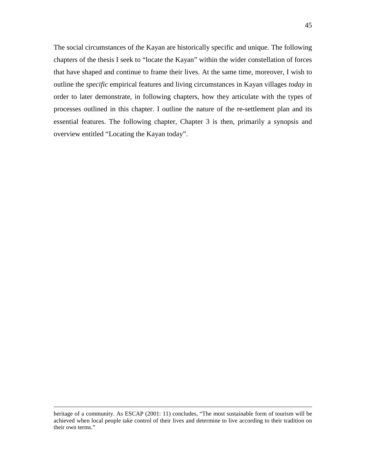The social circumstances of the Kayan are historically specific and unique. The following chapters of the thesis I seek to "locate the Kayan" within the wider constellation of forces that have shaped and continue to frame their lives. At the same time, moreover, I wish to outline the *specific* empirical features and living circumstances in Kayan villages *today* in order to later demonstrate, in following chapters, how they articulate with the types of

processes outlined in this chapter. I outline the nature of the re-settlement plan and its essential features. The following chapter, Chapter 3 is then, primarily a synopsis and overview entitled "Locating the Kayan today".

<u>.</u>

heritage of a community. As ESCAP (2001: 11) concludes, "The most sustainable form of tourism will be achieved when local people take control of their lives and determine to live according to their tradition on their own terms."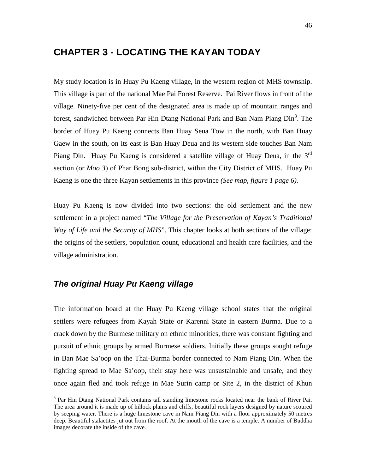## **CHAPTER 3 - LOCATING THE KAYAN TODAY**

My study location is in Huay Pu Kaeng village, in the western region of MHS township. This village is part of the national Mae Pai Forest Reserve. Pai River flows in front of the village. Ninety-five per cent of the designated area is made up of mountain ranges and forest, sandwiched between Par Hin Dtang National Park and Ban Nam Piang Din<sup>8</sup>. The border of Huay Pu Kaeng connects Ban Huay Seua Tow in the north, with Ban Huay Gaew in the south, on its east is Ban Huay Deua and its western side touches Ban Nam Piang Din. Huay Pu Kaeng is considered a satellite village of Huay Deua, in the  $3<sup>rd</sup>$ section (or *Moo 3*) of Phar Bong sub-district, within the City District of MHS. Huay Pu Kaeng is one the three Kayan settlements in this province *(See map, figure 1 page 6).* 

Huay Pu Kaeng is now divided into two sections: the old settlement and the new settlement in a project named "*The Village for the Preservation of Kayan's Traditional Way of Life and the Security of MHS*". This chapter looks at both sections of the village: the origins of the settlers, population count, educational and health care facilities, and the village administration.

### **The original Huay Pu Kaeng village**

The information board at the Huay Pu Kaeng village school states that the original settlers were refugees from Kayah State or Karenni State in eastern Burma. Due to a crack down by the Burmese military on ethnic minorities, there was constant fighting and pursuit of ethnic groups by armed Burmese soldiers. Initially these groups sought refuge in Ban Mae Sa'oop on the Thai-Burma border connected to Nam Piang Din. When the fighting spread to Mae Sa'oop, their stay here was unsustainable and unsafe, and they once again fled and took refuge in Mae Surin camp or Site 2, in the district of Khun

<sup>&</sup>lt;sup>8</sup> Par Hin Dtang National Park contains tall standing limestone rocks located near the bank of River Pai. The area around it is made up of hillock plains and cliffs, beautiful rock layers designed by nature scoured by seeping water. There is a huge limestone cave in Nam Piang Din with a floor approximately 50 metres deep. Beautiful stalactites jut out from the roof. At the mouth of the cave is a temple. A number of Buddha images decorate the inside of the cave.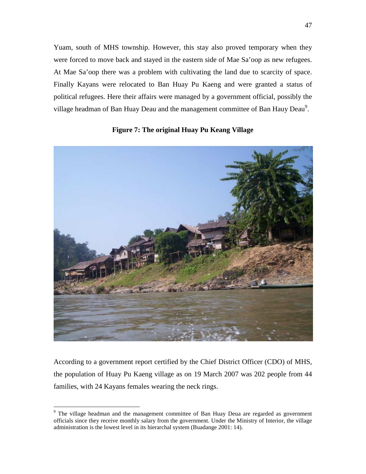Yuam, south of MHS township. However, this stay also proved temporary when they were forced to move back and stayed in the eastern side of Mae Sa'oop as new refugees. At Mae Sa'oop there was a problem with cultivating the land due to scarcity of space. Finally Kayans were relocated to Ban Huay Pu Kaeng and were granted a status of political refugees. Here their affairs were managed by a government official, possibly the village headman of Ban Huay Deau and the management committee of Ban Hauy Deau<sup>9</sup>.



**Figure 7: The original Huay Pu Keang Village** 

According to a government report certified by the Chief District Officer (CDO) of MHS, the population of Huay Pu Kaeng village as on 19 March 2007 was 202 people from 44 families, with 24 Kayans females wearing the neck rings.

 $\overline{a}$ 

<sup>&</sup>lt;sup>9</sup> The village headman and the management committee of Ban Huay Deua are regarded as government officials since they receive monthly salary from the government. Under the Ministry of Interior, the village administration is the lowest level in its hierarchal system (Buadange 2001: 14).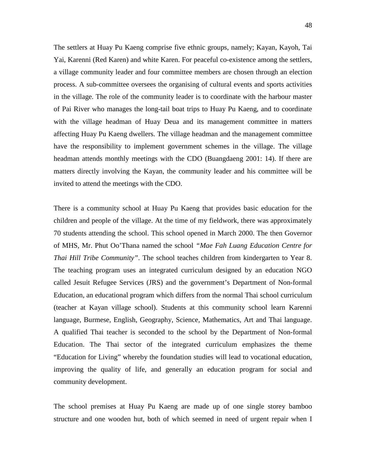The settlers at Huay Pu Kaeng comprise five ethnic groups, namely; Kayan, Kayoh, Tai Yai, Karenni (Red Karen) and white Karen. For peaceful co-existence among the settlers, a village community leader and four committee members are chosen through an election process. A sub-committee oversees the organising of cultural events and sports activities in the village. The role of the community leader is to coordinate with the harbour master of Pai River who manages the long-tail boat trips to Huay Pu Kaeng, and to coordinate with the village headman of Huay Deua and its management committee in matters affecting Huay Pu Kaeng dwellers. The village headman and the management committee have the responsibility to implement government schemes in the village. The village headman attends monthly meetings with the CDO (Buangdaeng 2001: 14). If there are matters directly involving the Kayan, the community leader and his committee will be invited to attend the meetings with the CDO.

There is a community school at Huay Pu Kaeng that provides basic education for the children and people of the village. At the time of my fieldwork, there was approximately 70 students attending the school. This school opened in March 2000. The then Governor of MHS, Mr. Phut Oo'Thana named the school *"Mae Fah Luang Education Centre for Thai Hill Tribe Community"*. The school teaches children from kindergarten to Year 8. The teaching program uses an integrated curriculum designed by an education NGO called Jesuit Refugee Services (JRS) and the government's Department of Non-formal Education, an educational program which differs from the normal Thai school curriculum (teacher at Kayan village school). Students at this community school learn Karenni language, Burmese, English, Geography, Science, Mathematics, Art and Thai language. A qualified Thai teacher is seconded to the school by the Department of Non-formal Education. The Thai sector of the integrated curriculum emphasizes the theme "Education for Living" whereby the foundation studies will lead to vocational education, improving the quality of life, and generally an education program for social and community development.

The school premises at Huay Pu Kaeng are made up of one single storey bamboo structure and one wooden hut, both of which seemed in need of urgent repair when I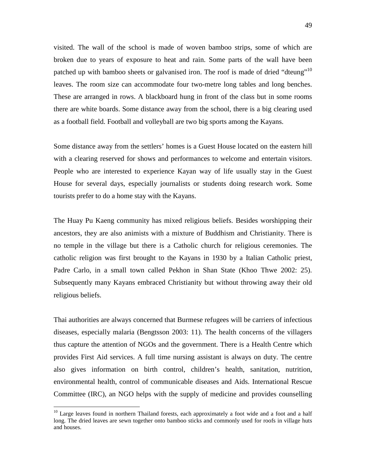visited. The wall of the school is made of woven bamboo strips, some of which are broken due to years of exposure to heat and rain. Some parts of the wall have been patched up with bamboo sheets or galvanised iron. The roof is made of dried "dteung"<sup>10</sup> leaves. The room size can accommodate four two-metre long tables and long benches. These are arranged in rows. A blackboard hung in front of the class but in some rooms there are white boards. Some distance away from the school, there is a big clearing used as a football field. Football and volleyball are two big sports among the Kayans.

Some distance away from the settlers' homes is a Guest House located on the eastern hill with a clearing reserved for shows and performances to welcome and entertain visitors. People who are interested to experience Kayan way of life usually stay in the Guest House for several days, especially journalists or students doing research work. Some tourists prefer to do a home stay with the Kayans.

The Huay Pu Kaeng community has mixed religious beliefs. Besides worshipping their ancestors, they are also animists with a mixture of Buddhism and Christianity. There is no temple in the village but there is a Catholic church for religious ceremonies. The catholic religion was first brought to the Kayans in 1930 by a Italian Catholic priest, Padre Carlo, in a small town called Pekhon in Shan State (Khoo Thwe 2002: 25). Subsequently many Kayans embraced Christianity but without throwing away their old religious beliefs.

Thai authorities are always concerned that Burmese refugees will be carriers of infectious diseases, especially malaria (Bengtsson 2003: 11). The health concerns of the villagers thus capture the attention of NGOs and the government. There is a Health Centre which provides First Aid services. A full time nursing assistant is always on duty. The centre also gives information on birth control, children's health, sanitation, nutrition, environmental health, control of communicable diseases and Aids. International Rescue Committee (IRC), an NGO helps with the supply of medicine and provides counselling

 $\overline{a}$ 

<sup>&</sup>lt;sup>10</sup> Large leaves found in northern Thailand forests, each approximately a foot wide and a foot and a half long. The dried leaves are sewn together onto bamboo sticks and commonly used for roofs in village huts and houses.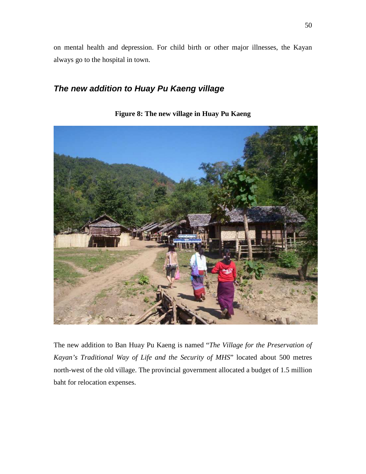on mental health and depression. For child birth or other major illnesses, the Kayan always go to the hospital in town.

### **The new addition to Huay Pu Kaeng village**



**Figure 8: The new village in Huay Pu Kaeng** 

The new addition to Ban Huay Pu Kaeng is named "*The Village for the Preservation of Kayan's Traditional Way of Life and the Security of MHS*" located about 500 metres north-west of the old village. The provincial government allocated a budget of 1.5 million baht for relocation expenses.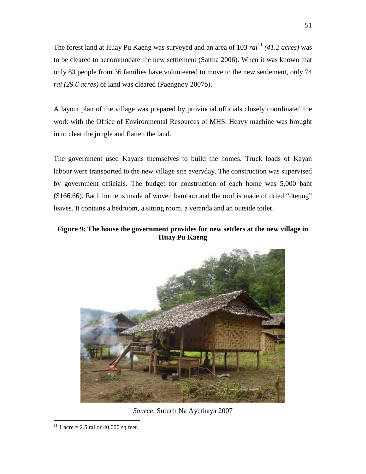The forest land at Huay Pu Kaeng was surveyed and an area of 103 *rai*<sup>11</sup> *(41.2 acres)* was to be cleared to accommodate the new settlement (Sattha 2006). When it was known that only 83 people from 36 families have volunteered to move to the new settlement, only 74 *rai (29.6 acres)* of land was cleared (Paengnoy 2007b).

A layout plan of the village was prepared by provincial officials closely coordinated the work with the Office of Environmental Resources of MHS. Heavy machine was brought in to clear the jungle and flatten the land.

The government used Kayans themselves to build the homes. Truck loads of Kayan labour were transported to the new village site everyday. The construction was supervised by government officials. The budget for construction of each home was 5,000 baht (\$166.66). Each home is made of woven bamboo and the roof is made of dried "dteung" leaves. It contains a bedroom, a sitting room, a veranda and an outside toilet.

#### **Figure 9: The house the government provides for new settlers at the new village in Huay Pu Kaeng**



*Source*: Sutuch Na Ayuthaya 2007

 $\overline{a}$ <sup>11</sup> 1 acre = 2.5 rai or 40,000 sq.feet.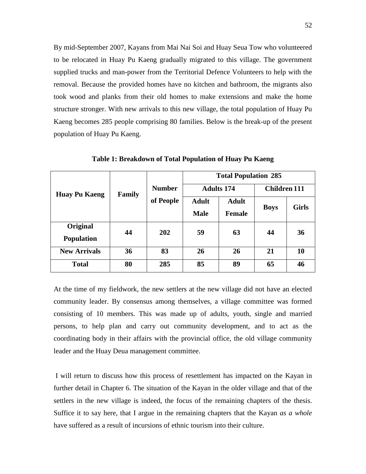By mid-September 2007, Kayans from Mai Nai Soi and Huay Seua Tow who volunteered to be relocated in Huay Pu Kaeng gradually migrated to this village. The government supplied trucks and man-power from the Territorial Defence Volunteers to help with the removal. Because the provided homes have no kitchen and bathroom, the migrants also took wood and planks from their old homes to make extensions and make the home structure stronger. With new arrivals to this new village, the total population of Huay Pu Kaeng becomes 285 people comprising 80 families. Below is the break-up of the present population of Huay Pu Kaeng.

| <b>Huay Pu Kaeng</b> | Family | <b>Number</b><br>of People | <b>Total Population 285</b> |               |                     |              |
|----------------------|--------|----------------------------|-----------------------------|---------------|---------------------|--------------|
|                      |        |                            | <b>Adults 174</b>           |               | <b>Children 111</b> |              |
|                      |        |                            | <b>Adult</b>                | <b>Adult</b>  | <b>Boys</b>         | <b>Girls</b> |
|                      |        |                            | <b>Male</b>                 | <b>Female</b> |                     |              |
| Original             | 44     | 202                        | 59                          | 63            | 44                  | 36           |
| <b>Population</b>    |        |                            |                             |               |                     |              |
| <b>New Arrivals</b>  | 36     | 83                         | 26                          | 26            | 21                  | <b>10</b>    |
| <b>Total</b>         | 80     | 285                        | 85                          | 89            | 65                  | 46           |

**Table 1: Breakdown of Total Population of Huay Pu Kaeng** 

At the time of my fieldwork, the new settlers at the new village did not have an elected community leader. By consensus among themselves, a village committee was formed consisting of 10 members. This was made up of adults, youth, single and married persons, to help plan and carry out community development, and to act as the coordinating body in their affairs with the provincial office, the old village community leader and the Huay Deua management committee.

 I will return to discuss how this process of resettlement has impacted on the Kayan in further detail in Chapter 6. The situation of the Kayan in the older village and that of the settlers in the new village is indeed, the focus of the remaining chapters of the thesis. Suffice it to say here, that I argue in the remaining chapters that the Kayan *as a whole* have suffered as a result of incursions of ethnic tourism into their culture.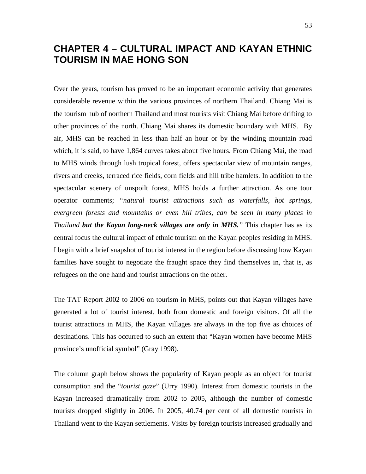# **CHAPTER 4 – CULTURAL IMPACT AND KAYAN ETHNIC TOURISM IN MAE HONG SON**

Over the years, tourism has proved to be an important economic activity that generates considerable revenue within the various provinces of northern Thailand. Chiang Mai is the tourism hub of northern Thailand and most tourists visit Chiang Mai before drifting to other provinces of the north. Chiang Mai shares its domestic boundary with MHS. By air, MHS can be reached in less than half an hour or by the winding mountain road which, it is said, to have 1,864 curves takes about five hours. From Chiang Mai, the road to MHS winds through lush tropical forest, offers spectacular view of mountain ranges, rivers and creeks, terraced rice fields, corn fields and hill tribe hamlets. In addition to the spectacular scenery of unspoilt forest, MHS holds a further attraction. As one tour operator comments; *"natural tourist attractions such as waterfalls, hot springs, evergreen forests and mountains or even hill tribes, can be seen in many places in Thailand but the Kayan long-neck villages are only in MHS."* This chapter has as its central focus the cultural impact of ethnic tourism on the Kayan peoples residing in MHS. I begin with a brief snapshot of tourist interest in the region before discussing how Kayan families have sought to negotiate the fraught space they find themselves in, that is, as refugees on the one hand and tourist attractions on the other.

The TAT Report 2002 to 2006 on tourism in MHS, points out that Kayan villages have generated a lot of tourist interest, both from domestic and foreign visitors. Of all the tourist attractions in MHS, the Kayan villages are always in the top five as choices of destinations. This has occurred to such an extent that "Kayan women have become MHS province's unofficial symbol" (Gray 1998).

The column graph below shows the popularity of Kayan people as an object for tourist consumption and the "*tourist gaze*" (Urry 1990). Interest from domestic tourists in the Kayan increased dramatically from 2002 to 2005, although the number of domestic tourists dropped slightly in 2006. In 2005, 40.74 per cent of all domestic tourists in Thailand went to the Kayan settlements. Visits by foreign tourists increased gradually and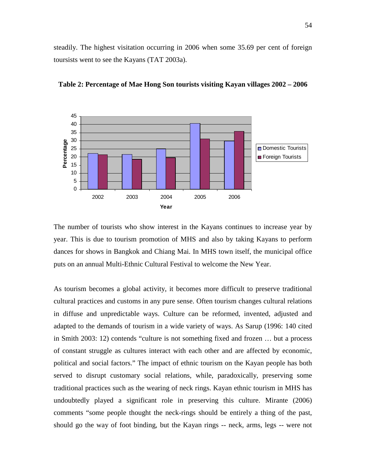steadily. The highest visitation occurring in 2006 when some 35.69 per cent of foreign toursists went to see the Kayans (TAT 2003a).



**Table 2: Percentage of Mae Hong Son tourists visiting Kayan villages 2002 – 2006** 

The number of tourists who show interest in the Kayans continues to increase year by year. This is due to tourism promotion of MHS and also by taking Kayans to perform dances for shows in Bangkok and Chiang Mai. In MHS town itself, the municipal office puts on an annual Multi-Ethnic Cultural Festival to welcome the New Year.

As tourism becomes a global activity, it becomes more difficult to preserve traditional cultural practices and customs in any pure sense. Often tourism changes cultural relations in diffuse and unpredictable ways. Culture can be reformed, invented, adjusted and adapted to the demands of tourism in a wide variety of ways. As Sarup (1996: 140 cited in Smith 2003: 12) contends "culture is not something fixed and frozen … but a process of constant struggle as cultures interact with each other and are affected by economic, political and social factors." The impact of ethnic tourism on the Kayan people has both served to disrupt customary social relations, while, paradoxically, preserving some traditional practices such as the wearing of neck rings. Kayan ethnic tourism in MHS has undoubtedly played a significant role in preserving this culture. Mirante (2006) comments "some people thought the neck-rings should be entirely a thing of the past, should go the way of foot binding, but the Kayan rings -- neck, arms, legs -- were not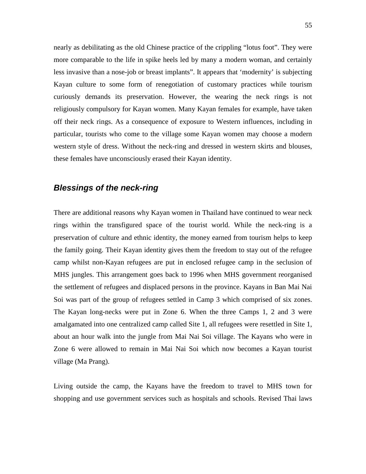nearly as debilitating as the old Chinese practice of the crippling "lotus foot". They were more comparable to the life in spike heels led by many a modern woman, and certainly less invasive than a nose-job or breast implants". It appears that 'modernity' is subjecting Kayan culture to some form of renegotiation of customary practices while tourism curiously demands its preservation. However, the wearing the neck rings is not religiously compulsory for Kayan women. Many Kayan females for example, have taken off their neck rings. As a consequence of exposure to Western influences, including in particular, tourists who come to the village some Kayan women may choose a modern western style of dress. Without the neck-ring and dressed in western skirts and blouses, these females have unconsciously erased their Kayan identity.

#### **Blessings of the neck-ring**

There are additional reasons why Kayan women in Thailand have continued to wear neck rings within the transfigured space of the tourist world. While the neck-ring is a preservation of culture and ethnic identity, the money earned from tourism helps to keep the family going. Their Kayan identity gives them the freedom to stay out of the refugee camp whilst non-Kayan refugees are put in enclosed refugee camp in the seclusion of MHS jungles. This arrangement goes back to 1996 when MHS government reorganised the settlement of refugees and displaced persons in the province. Kayans in Ban Mai Nai Soi was part of the group of refugees settled in Camp 3 which comprised of six zones. The Kayan long-necks were put in Zone 6. When the three Camps 1, 2 and 3 were amalgamated into one centralized camp called Site 1, all refugees were resettled in Site 1, about an hour walk into the jungle from Mai Nai Soi village. The Kayans who were in Zone 6 were allowed to remain in Mai Nai Soi which now becomes a Kayan tourist village (Ma Prang).

Living outside the camp, the Kayans have the freedom to travel to MHS town for shopping and use government services such as hospitals and schools. Revised Thai laws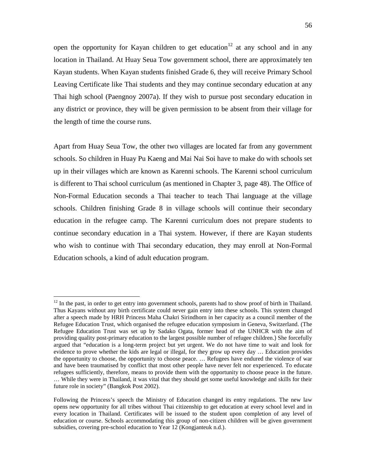open the opportunity for Kayan children to get education<sup>12</sup> at any school and in any location in Thailand. At Huay Seua Tow government school, there are approximately ten Kayan students. When Kayan students finished Grade 6, they will receive Primary School Leaving Certificate like Thai students and they may continue secondary education at any Thai high school (Paengnoy 2007a). If they wish to pursue post secondary education in any district or province, they will be given permission to be absent from their village for the length of time the course runs.

Apart from Huay Seua Tow, the other two villages are located far from any government schools. So children in Huay Pu Kaeng and Mai Nai Soi have to make do with schools set up in their villages which are known as Karenni schools. The Karenni school curriculum is different to Thai school curriculum (as mentioned in Chapter 3, page 48). The Office of Non-Formal Education seconds a Thai teacher to teach Thai language at the village schools. Children finishing Grade 8 in village schools will continue their secondary education in the refugee camp. The Karenni curriculum does not prepare students to continue secondary education in a Thai system. However, if there are Kayan students who wish to continue with Thai secondary education, they may enroll at Non-Formal Education schools, a kind of adult education program.

 $\overline{a}$ 

<sup>&</sup>lt;sup>12</sup> In the past, in order to get entry into government schools, parents had to show proof of birth in Thailand. Thus Kayans without any birth certificate could never gain entry into these schools. This system changed after a speech made by HRH Princess Maha Chakri Sirindhorn in her capacity as a council member of the Refugee Education Trust, which organised the refugee education symposium in Geneva, Switzerland. (The Refugee Education Trust was set up by Sadako Ogata, former head of the UNHCR with the aim of providing quality post-primary education to the largest possible number of refugee children.) She forcefully argued that "education is a long-term project but yet urgent. We do not have time to wait and look for evidence to prove whether the kids are legal or illegal, for they grow up every day … Education provides the opportunity to choose, the opportunity to choose peace. … Refugees have endured the violence of war and have been traumatised by conflict that most other people have never felt nor experienced. To educate refugees sufficiently, therefore, means to provide them with the opportunity to choose peace in the future. … While they were in Thailand, it was vital that they should get some useful knowledge and skills for their future role in society" (Bangkok Post 2002).

Following the Princess's speech the Ministry of Education changed its entry regulations. The new law opens new opportunity for all tribes without Thai citizenship to get education at every school level and in every location in Thailand. Certificates will be issued to the student upon completion of any level of education or course. Schools accommodating this group of non-citizen children will be given government subsidies, covering pre-school education to Year 12 (Kongjanteuk n.d.).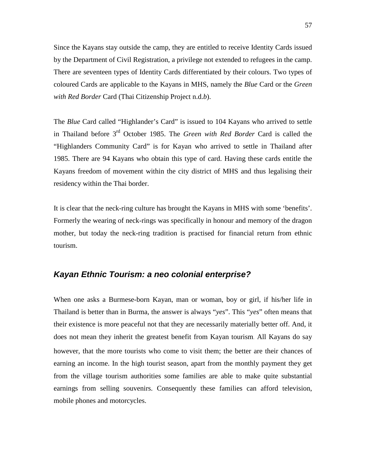Since the Kayans stay outside the camp, they are entitled to receive Identity Cards issued by the Department of Civil Registration, a privilege not extended to refugees in the camp. There are seventeen types of Identity Cards differentiated by their colours. Two types of coloured Cards are applicable to the Kayans in MHS, namely the *Blue* Card or the *Green with Red Border* Card (Thai Citizenship Project n.d.*b*).

The *Blue* Card called "Highlander's Card" is issued to 104 Kayans who arrived to settle in Thailand before 3rd October 1985. The *Green with Red Border* Card is called the "Highlanders Community Card" is for Kayan who arrived to settle in Thailand after 1985. There are 94 Kayans who obtain this type of card. Having these cards entitle the Kayans freedom of movement within the city district of MHS and thus legalising their residency within the Thai border.

It is clear that the neck-ring culture has brought the Kayans in MHS with some 'benefits'. Formerly the wearing of neck-rings was specifically in honour and memory of the dragon mother, but today the neck-ring tradition is practised for financial return from ethnic tourism.

#### **Kayan Ethnic Tourism: a neo colonial enterprise?**

When one asks a Burmese-born Kayan, man or woman, boy or girl, if his/her life in Thailand is better than in Burma, the answer is always "*yes*". This "*yes*" often means that their existence is more peaceful not that they are necessarily materially better off. And, it does not mean they inherit the greatest benefit from Kayan tourism. All Kayans do say however, that the more tourists who come to visit them; the better are their chances of earning an income. In the high tourist season, apart from the monthly payment they get from the village tourism authorities some families are able to make quite substantial earnings from selling souvenirs. Consequently these families can afford television, mobile phones and motorcycles.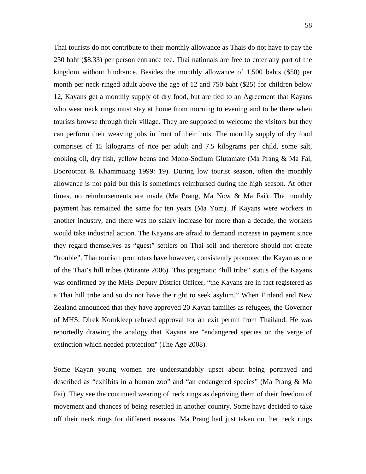Thai tourists do not contribute to their monthly allowance as Thais do not have to pay the 250 baht (\$8.33) per person entrance fee. Thai nationals are free to enter any part of the kingdom without hindrance. Besides the monthly allowance of 1,500 bahts (\$50) per month per neck-ringed adult above the age of 12 and 750 baht (\$25) for children below 12, Kayans get a monthly supply of dry food, but are tied to an Agreement that Kayans who wear neck rings must stay at home from morning to evening and to be there when tourists browse through their village. They are supposed to welcome the visitors but they can perform their weaving jobs in front of their huts. The monthly supply of dry food comprises of 15 kilograms of rice per adult and 7.5 kilograms per child, some salt, cooking oil, dry fish, yellow beans and Mono-Sodium Glutamate (Ma Prang & Ma Fai, Boorootpat & Khammuang 1999: 19). During low tourist season, often the monthly allowance is not paid but this is sometimes reimbursed during the high season. At other times, no reimbursements are made (Ma Prang, Ma Now & Ma Fai). The monthly payment has remained the same for ten years (Ma Yom). If Kayans were workers in another industry, and there was no salary increase for more than a decade, the workers would take industrial action. The Kayans are afraid to demand increase in payment since they regard themselves as "guest" settlers on Thai soil and therefore should not create "trouble". Thai tourism promoters have however, consistently promoted the Kayan as one of the Thai's hill tribes (Mirante 2006). This pragmatic "hill tribe" status of the Kayans was confirmed by the MHS Deputy District Officer, "the Kayans are in fact registered as a Thai hill tribe and so do not have the right to seek asylum." When Finland and New Zealand announced that they have approved 20 Kayan families as refugees, the Governor of MHS, Direk Kornkleep refused approval for an exit permit from Thailand. He was reportedly drawing the analogy that Kayans are "endangered species on the verge of extinction which needed protection" (The Age 2008).

Some Kayan young women are understandably upset about being portrayed and described as "exhibits in a human zoo" and "an endangered species" (Ma Prang & Ma Fai). They see the continued wearing of neck rings as depriving them of their freedom of movement and chances of being resettled in another country. Some have decided to take off their neck rings for different reasons. Ma Prang had just taken out her neck rings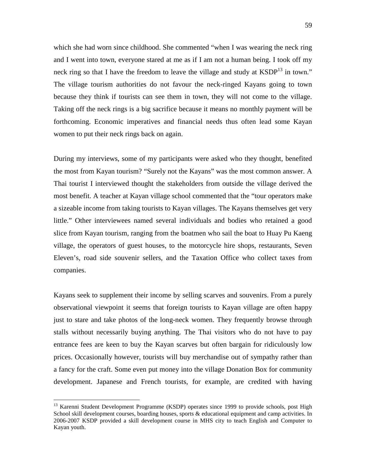which she had worn since childhood. She commented "when I was wearing the neck ring and I went into town, everyone stared at me as if I am not a human being. I took off my neck ring so that I have the freedom to leave the village and study at  $KSDP<sup>13</sup>$  in town." The village tourism authorities do not favour the neck-ringed Kayans going to town because they think if tourists can see them in town, they will not come to the village. Taking off the neck rings is a big sacrifice because it means no monthly payment will be forthcoming. Economic imperatives and financial needs thus often lead some Kayan women to put their neck rings back on again.

During my interviews, some of my participants were asked who they thought, benefited the most from Kayan tourism? "Surely not the Kayans" was the most common answer. A Thai tourist I interviewed thought the stakeholders from outside the village derived the most benefit. A teacher at Kayan village school commented that the "tour operators make a sizeable income from taking tourists to Kayan villages. The Kayans themselves get very little." Other interviewees named several individuals and bodies who retained a good slice from Kayan tourism, ranging from the boatmen who sail the boat to Huay Pu Kaeng village, the operators of guest houses, to the motorcycle hire shops, restaurants, Seven Eleven's, road side souvenir sellers, and the Taxation Office who collect taxes from companies.

Kayans seek to supplement their income by selling scarves and souvenirs. From a purely observational viewpoint it seems that foreign tourists to Kayan village are often happy just to stare and take photos of the long-neck women. They frequently browse through stalls without necessarily buying anything. The Thai visitors who do not have to pay entrance fees are keen to buy the Kayan scarves but often bargain for ridiculously low prices. Occasionally however, tourists will buy merchandise out of sympathy rather than a fancy for the craft. Some even put money into the village Donation Box for community development. Japanese and French tourists, for example, are credited with having

 $\overline{a}$ 

<sup>&</sup>lt;sup>13</sup> Karenni Student Development Programme (KSDP) operates since 1999 to provide schools, post High School skill development courses, boarding houses, sports & educational equipment and camp activities. In 2006-2007 KSDP provided a skill development course in MHS city to teach English and Computer to Kayan youth.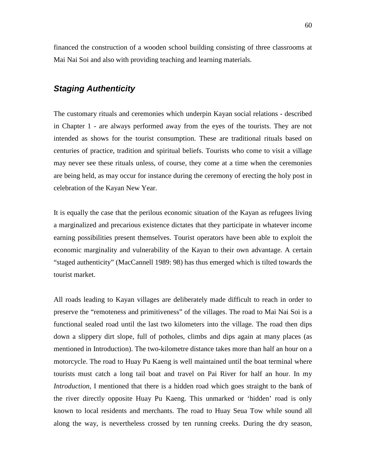financed the construction of a wooden school building consisting of three classrooms at Mai Nai Soi and also with providing teaching and learning materials.

## **Staging Authenticity**

The customary rituals and ceremonies which underpin Kayan social relations - described in Chapter 1 - are always performed away from the eyes of the tourists. They are not intended as shows for the tourist consumption. These are traditional rituals based on centuries of practice, tradition and spiritual beliefs. Tourists who come to visit a village may never see these rituals unless, of course, they come at a time when the ceremonies are being held, as may occur for instance during the ceremony of erecting the holy post in celebration of the Kayan New Year.

It is equally the case that the perilous economic situation of the Kayan as refugees living a marginalized and precarious existence dictates that they participate in whatever income earning possibilities present themselves. Tourist operators have been able to exploit the economic marginality and vulnerability of the Kayan to their own advantage. A certain "staged authenticity" (MacCannell 1989: 98) has thus emerged which is tilted towards the tourist market.

All roads leading to Kayan villages are deliberately made difficult to reach in order to preserve the "remoteness and primitiveness" of the villages. The road to Mai Nai Soi is a functional sealed road until the last two kilometers into the village. The road then dips down a slippery dirt slope, full of potholes, climbs and dips again at many places (as mentioned in Introduction). The two-kilometre distance takes more than half an hour on a motorcycle. The road to Huay Pu Kaeng is well maintained until the boat terminal where tourists must catch a long tail boat and travel on Pai River for half an hour. In my *Introduction*, I mentioned that there is a hidden road which goes straight to the bank of the river directly opposite Huay Pu Kaeng. This unmarked or 'hidden' road is only known to local residents and merchants. The road to Huay Seua Tow while sound all along the way, is nevertheless crossed by ten running creeks. During the dry season,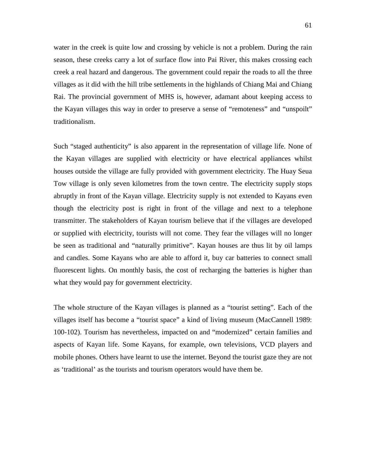water in the creek is quite low and crossing by vehicle is not a problem. During the rain season, these creeks carry a lot of surface flow into Pai River, this makes crossing each creek a real hazard and dangerous. The government could repair the roads to all the three villages as it did with the hill tribe settlements in the highlands of Chiang Mai and Chiang Rai. The provincial government of MHS is, however, adamant about keeping access to the Kayan villages this way in order to preserve a sense of "remoteness" and "unspoilt" traditionalism.

Such "staged authenticity" is also apparent in the representation of village life. None of the Kayan villages are supplied with electricity or have electrical appliances whilst houses outside the village are fully provided with government electricity. The Huay Seua Tow village is only seven kilometres from the town centre. The electricity supply stops abruptly in front of the Kayan village. Electricity supply is not extended to Kayans even though the electricity post is right in front of the village and next to a telephone transmitter. The stakeholders of Kayan tourism believe that if the villages are developed or supplied with electricity, tourists will not come. They fear the villages will no longer be seen as traditional and "naturally primitive". Kayan houses are thus lit by oil lamps and candles. Some Kayans who are able to afford it, buy car batteries to connect small fluorescent lights. On monthly basis, the cost of recharging the batteries is higher than what they would pay for government electricity.

The whole structure of the Kayan villages is planned as a "tourist setting". Each of the villages itself has become a "tourist space" a kind of living museum (MacCannell 1989: 100-102). Tourism has nevertheless, impacted on and "modernized" certain families and aspects of Kayan life. Some Kayans, for example, own televisions, VCD players and mobile phones. Others have learnt to use the internet. Beyond the tourist gaze they are not as 'traditional' as the tourists and tourism operators would have them be.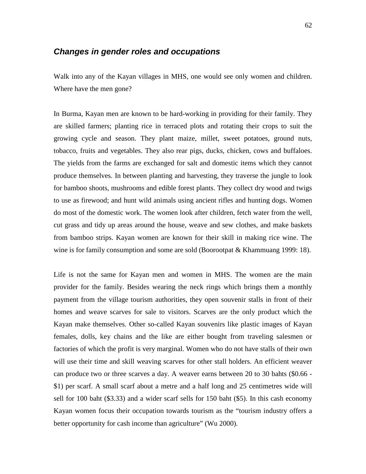#### **Changes in gender roles and occupations**

Walk into any of the Kayan villages in MHS, one would see only women and children. Where have the men gone?

In Burma, Kayan men are known to be hard-working in providing for their family. They are skilled farmers; planting rice in terraced plots and rotating their crops to suit the growing cycle and season. They plant maize, millet, sweet potatoes, ground nuts, tobacco, fruits and vegetables. They also rear pigs, ducks, chicken, cows and buffaloes. The yields from the farms are exchanged for salt and domestic items which they cannot produce themselves. In between planting and harvesting, they traverse the jungle to look for bamboo shoots, mushrooms and edible forest plants. They collect dry wood and twigs to use as firewood; and hunt wild animals using ancient rifles and hunting dogs. Women do most of the domestic work. The women look after children, fetch water from the well, cut grass and tidy up areas around the house, weave and sew clothes, and make baskets from bamboo strips. Kayan women are known for their skill in making rice wine. The wine is for family consumption and some are sold (Boorootpat & Khammuang 1999: 18).

Life is not the same for Kayan men and women in MHS. The women are the main provider for the family. Besides wearing the neck rings which brings them a monthly payment from the village tourism authorities, they open souvenir stalls in front of their homes and weave scarves for sale to visitors. Scarves are the only product which the Kayan make themselves. Other so-called Kayan souvenirs like plastic images of Kayan females, dolls, key chains and the like are either bought from traveling salesmen or factories of which the profit is very marginal. Women who do not have stalls of their own will use their time and skill weaving scarves for other stall holders. An efficient weaver can produce two or three scarves a day. A weaver earns between 20 to 30 bahts (\$0.66 - \$1) per scarf. A small scarf about a metre and a half long and 25 centimetres wide will sell for 100 baht (\$3.33) and a wider scarf sells for 150 baht (\$5). In this cash economy Kayan women focus their occupation towards tourism as the "tourism industry offers a better opportunity for cash income than agriculture" (Wu 2000).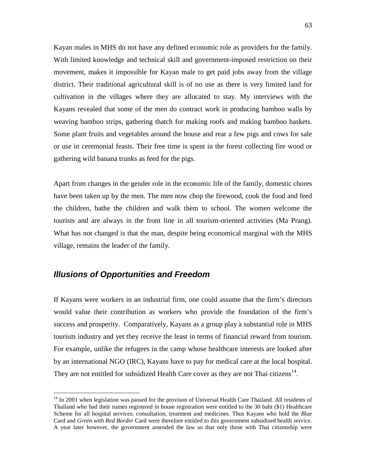Kayan males in MHS do not have any defined economic role as providers for the family. With limited knowledge and technical skill and government-imposed restriction on their movement, makes it impossible for Kayan male to get paid jobs away from the village district. Their traditional agricultural skill is of no use as there is very limited land for cultivation in the villages where they are allocated to stay. My interviews with the Kayans revealed that some of the men do contract work in producing bamboo walls by weaving bamboo strips, gathering thatch for making roofs and making bamboo baskets. Some plant fruits and vegetables around the house and rear a few pigs and cows for sale or use in ceremonial feasts. Their free time is spent in the forest collecting fire wood or gathering wild banana trunks as feed for the pigs.

Apart from changes in the gender role in the economic life of the family, domestic chores have been taken up by the men. The men now chop the firewood, cook the food and feed the children, bathe the children and walk them to school. The women welcome the tourists and are always in the front line in all tourism-oriented activities (Ma Prang). What has not changed is that the man, despite being economical marginal with the MHS village, remains the leader of the family.

#### **Illusions of Opportunities and Freedom**

 $\overline{a}$ 

If Kayans were workers in an industrial firm, one could assume that the firm's directors would value their contribution as workers who provide the foundation of the firm's success and prosperity. Comparatively, Kayans as a group play a substantial role in MHS tourism industry and yet they receive the least in terms of financial reward from tourism. For example, unlike the refugees in the camp whose healthcare interests are looked after by an international NGO (IRC), Kayans have to pay for medical care at the local hospital. They are not entitled for subsidized Health Care cover as they are not Thai citizens<sup>14</sup>.

<sup>&</sup>lt;sup>14</sup> In 2001 when legislation was passed for the provison of Universal Health Care Thailand. All residents of Thailand who had their names registered in house registration were entitled to the 30 baht (\$1) Healthcare Scheme for all hospital services: consultation, treatment and medicines. Thus Kayans who hold the *Blue* Card and *Green with Red Border* Card were therefore entitled to this government subsidised health service. A year later however, the government amended the law so that only those with Thai citizenship were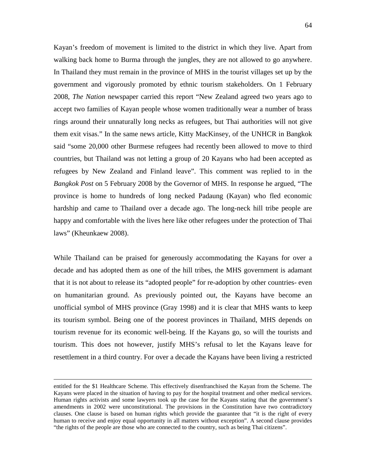Kayan's freedom of movement is limited to the district in which they live. Apart from walking back home to Burma through the jungles, they are not allowed to go anywhere. In Thailand they must remain in the province of MHS in the tourist villages set up by the government and vigorously promoted by ethnic tourism stakeholders. On 1 February 2008, *The Nation* newspaper carried this report "New Zealand agreed two years ago to accept two families of Kayan people whose women traditionally wear a number of brass rings around their unnaturally long necks as refugees, but Thai authorities will not give them exit visas." In the same news article, Kitty MacKinsey, of the UNHCR in Bangkok said "some 20,000 other Burmese refugees had recently been allowed to move to third countries, but Thailand was not letting a group of 20 Kayans who had been accepted as refugees by New Zealand and Finland leave". This comment was replied to in the *Bangkok Post* on 5 February 2008 by the Governor of MHS. In response he argued, "The province is home to hundreds of long necked Padaung (Kayan) who fled economic hardship and came to Thailand over a decade ago. The long-neck hill tribe people are happy and comfortable with the lives here like other refugees under the protection of Thai laws" (Kheunkaew 2008).

While Thailand can be praised for generously accommodating the Kayans for over a decade and has adopted them as one of the hill tribes, the MHS government is adamant that it is not about to release its "adopted people" for re-adoption by other countries- even on humanitarian ground. As previously pointed out, the Kayans have become an unofficial symbol of MHS province (Gray 1998) and it is clear that MHS wants to keep its tourism symbol. Being one of the poorest provinces in Thailand, MHS depends on tourism revenue for its economic well-being. If the Kayans go, so will the tourists and tourism. This does not however, justify MHS's refusal to let the Kayans leave for resettlement in a third country. For over a decade the Kayans have been living a restricted

<u>.</u>

entitled for the \$1 Healthcare Scheme. This effectively disenfranchised the Kayan from the Scheme. The Kayans were placed in the situation of having to pay for the hospital treatment and other medical services. Human rights activists and some lawyers took up the case for the Kayans stating that the government's amendments in 2002 were unconstitutional. The provisions in the Constitution have two contradictory clauses. One clause is based on human rights which provide the guarantee that "it is the right of every human to receive and enjoy equal opportunity in all matters without exception". A second clause provides "the rights of the people are those who are connected to the country, such as being Thai citizens".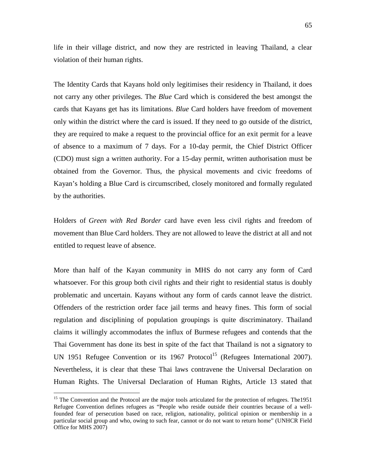life in their village district, and now they are restricted in leaving Thailand, a clear violation of their human rights.

The Identity Cards that Kayans hold only legitimises their residency in Thailand, it does not carry any other privileges. The *Blue* Card which is considered the best amongst the cards that Kayans get has its limitations. *Blue* Card holders have freedom of movement only within the district where the card is issued. If they need to go outside of the district, they are required to make a request to the provincial office for an exit permit for a leave of absence to a maximum of 7 days. For a 10-day permit, the Chief District Officer (CDO) must sign a written authority. For a 15-day permit, written authorisation must be obtained from the Governor. Thus, the physical movements and civic freedoms of Kayan's holding a Blue Card is circumscribed, closely monitored and formally regulated by the authorities.

Holders of *Green with Red Border* card have even less civil rights and freedom of movement than Blue Card holders. They are not allowed to leave the district at all and not entitled to request leave of absence.

More than half of the Kayan community in MHS do not carry any form of Card whatsoever. For this group both civil rights and their right to residential status is doubly problematic and uncertain. Kayans without any form of cards cannot leave the district. Offenders of the restriction order face jail terms and heavy fines. This form of social regulation and disciplining of population groupings is quite discriminatory. Thailand claims it willingly accommodates the influx of Burmese refugees and contends that the Thai Government has done its best in spite of the fact that Thailand is not a signatory to UN 1951 Refugee Convention or its 1967 Protocol<sup>15</sup> (Refugees International 2007). Nevertheless, it is clear that these Thai laws contravene the Universal Declaration on Human Rights. The Universal Declaration of Human Rights, Article 13 stated that

 $\overline{a}$ 

<sup>&</sup>lt;sup>15</sup> The Convention and the Protocol are the major tools articulated for the protection of refugees. The1951 Refugee Convention defines refugees as "People who reside outside their countries because of a wellfounded fear of persecution based on race, religion, nationality, political opinion or membership in a particular social group and who, owing to such fear, cannot or do not want to return home" (UNHCR Field Office for MHS 2007)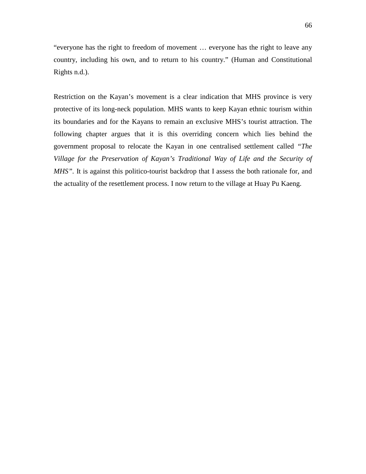"everyone has the right to freedom of movement … everyone has the right to leave any country, including his own, and to return to his country." (Human and Constitutional Rights n.d.).

Restriction on the Kayan's movement is a clear indication that MHS province is very protective of its long-neck population. MHS wants to keep Kayan ethnic tourism within its boundaries and for the Kayans to remain an exclusive MHS's tourist attraction. The following chapter argues that it is this overriding concern which lies behind the government proposal to relocate the Kayan in one centralised settlement called *"The Village for the Preservation of Kayan's Traditional Way of Life and the Security of MHS"*. It is against this politico-tourist backdrop that I assess the both rationale for, and the actuality of the resettlement process. I now return to the village at Huay Pu Kaeng.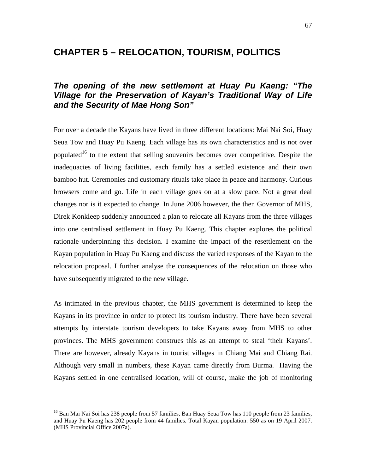# **CHAPTER 5 – RELOCATION, TOURISM, POLITICS**

### **The opening of the new settlement at Huay Pu Kaeng: "The Village for the Preservation of Kayan's Traditional Way of Life and the Security of Mae Hong Son"**

For over a decade the Kayans have lived in three different locations: Mai Nai Soi, Huay Seua Tow and Huay Pu Kaeng. Each village has its own characteristics and is not over populated<sup>16</sup> to the extent that selling souvenirs becomes over competitive. Despite the inadequacies of living facilities, each family has a settled existence and their own bamboo hut. Ceremonies and customary rituals take place in peace and harmony. Curious browsers come and go. Life in each village goes on at a slow pace. Not a great deal changes nor is it expected to change. In June 2006 however, the then Governor of MHS, Direk Konkleep suddenly announced a plan to relocate all Kayans from the three villages into one centralised settlement in Huay Pu Kaeng. This chapter explores the political rationale underpinning this decision. I examine the impact of the resettlement on the Kayan population in Huay Pu Kaeng and discuss the varied responses of the Kayan to the relocation proposal. I further analyse the consequences of the relocation on those who have subsequently migrated to the new village.

As intimated in the previous chapter, the MHS government is determined to keep the Kayans in its province in order to protect its tourism industry. There have been several attempts by interstate tourism developers to take Kayans away from MHS to other provinces. The MHS government construes this as an attempt to steal 'their Kayans'. There are however, already Kayans in tourist villages in Chiang Mai and Chiang Rai. Although very small in numbers, these Kayan came directly from Burma. Having the Kayans settled in one centralised location, will of course, make the job of monitoring

 $\overline{a}$ 

<sup>&</sup>lt;sup>16</sup> Ban Mai Nai Soi has 238 people from 57 families, Ban Huay Seua Tow has 110 people from 23 families, and Huay Pu Kaeng has 202 people from 44 families. Total Kayan population: 550 as on 19 April 2007. (MHS Provincial Office 2007a).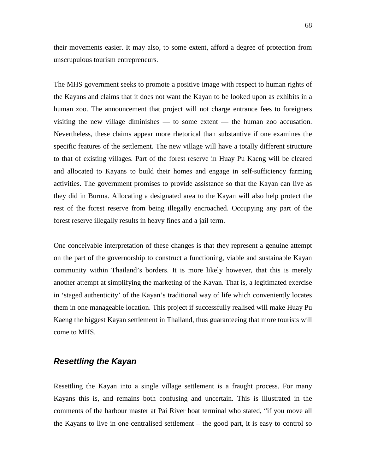their movements easier. It may also, to some extent, afford a degree of protection from unscrupulous tourism entrepreneurs.

The MHS government seeks to promote a positive image with respect to human rights of the Kayans and claims that it does not want the Kayan to be looked upon as exhibits in a human zoo. The announcement that project will not charge entrance fees to foreigners visiting the new village diminishes — to some extent — the human zoo accusation. Nevertheless, these claims appear more rhetorical than substantive if one examines the specific features of the settlement. The new village will have a totally different structure to that of existing villages. Part of the forest reserve in Huay Pu Kaeng will be cleared and allocated to Kayans to build their homes and engage in self-sufficiency farming activities. The government promises to provide assistance so that the Kayan can live as they did in Burma. Allocating a designated area to the Kayan will also help protect the rest of the forest reserve from being illegally encroached. Occupying any part of the forest reserve illegally results in heavy fines and a jail term.

One conceivable interpretation of these changes is that they represent a genuine attempt on the part of the governorship to construct a functioning, viable and sustainable Kayan community within Thailand's borders. It is more likely however, that this is merely another attempt at simplifying the marketing of the Kayan. That is, a legitimated exercise in 'staged authenticity' of the Kayan's traditional way of life which conveniently locates them in one manageable location. This project if successfully realised will make Huay Pu Kaeng the biggest Kayan settlement in Thailand, thus guaranteeing that more tourists will come to MHS.

#### **Resettling the Kayan**

Resettling the Kayan into a single village settlement is a fraught process. For many Kayans this is, and remains both confusing and uncertain. This is illustrated in the comments of the harbour master at Pai River boat terminal who stated, "if you move all the Kayans to live in one centralised settlement – the good part, it is easy to control so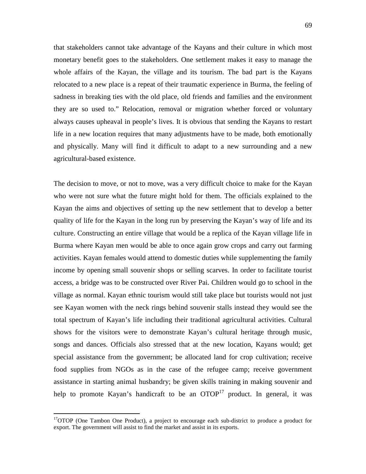that stakeholders cannot take advantage of the Kayans and their culture in which most monetary benefit goes to the stakeholders. One settlement makes it easy to manage the whole affairs of the Kayan, the village and its tourism. The bad part is the Kayans relocated to a new place is a repeat of their traumatic experience in Burma, the feeling of sadness in breaking ties with the old place, old friends and families and the environment they are so used to." Relocation, removal or migration whether forced or voluntary always causes upheaval in people's lives. It is obvious that sending the Kayans to restart life in a new location requires that many adjustments have to be made, both emotionally and physically. Many will find it difficult to adapt to a new surrounding and a new agricultural-based existence.

The decision to move, or not to move, was a very difficult choice to make for the Kayan who were not sure what the future might hold for them. The officials explained to the Kayan the aims and objectives of setting up the new settlement that to develop a better quality of life for the Kayan in the long run by preserving the Kayan's way of life and its culture. Constructing an entire village that would be a replica of the Kayan village life in Burma where Kayan men would be able to once again grow crops and carry out farming activities. Kayan females would attend to domestic duties while supplementing the family income by opening small souvenir shops or selling scarves. In order to facilitate tourist access, a bridge was to be constructed over River Pai. Children would go to school in the village as normal. Kayan ethnic tourism would still take place but tourists would not just see Kayan women with the neck rings behind souvenir stalls instead they would see the total spectrum of Kayan's life including their traditional agricultural activities. Cultural shows for the visitors were to demonstrate Kayan's cultural heritage through music, songs and dances. Officials also stressed that at the new location, Kayans would; get special assistance from the government; be allocated land for crop cultivation; receive food supplies from NGOs as in the case of the refugee camp; receive government assistance in starting animal husbandry; be given skills training in making souvenir and help to promote Kayan's handicraft to be an  $OTOP<sup>17</sup>$  product. In general, it was

 $\overline{a}$ 

 $17$ OTOP (One Tambon One Product), a project to encourage each sub-district to produce a product for export. The government will assist to find the market and assist in its exports.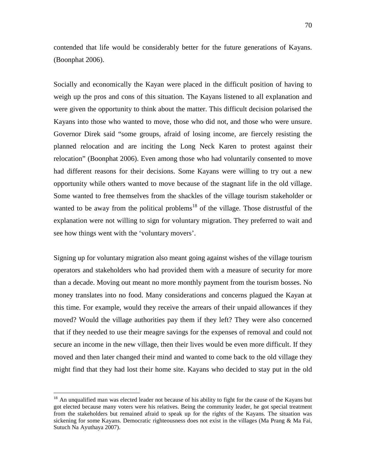contended that life would be considerably better for the future generations of Kayans. (Boonphat 2006).

Socially and economically the Kayan were placed in the difficult position of having to weigh up the pros and cons of this situation. The Kayans listened to all explanation and were given the opportunity to think about the matter. This difficult decision polarised the Kayans into those who wanted to move, those who did not, and those who were unsure. Governor Direk said "some groups, afraid of losing income, are fiercely resisting the planned relocation and are inciting the Long Neck Karen to protest against their relocation" (Boonphat 2006). Even among those who had voluntarily consented to move had different reasons for their decisions. Some Kayans were willing to try out a new opportunity while others wanted to move because of the stagnant life in the old village. Some wanted to free themselves from the shackles of the village tourism stakeholder or wanted to be away from the political problems<sup>18</sup> of the village. Those distrustful of the explanation were not willing to sign for voluntary migration. They preferred to wait and see how things went with the 'voluntary movers'.

Signing up for voluntary migration also meant going against wishes of the village tourism operators and stakeholders who had provided them with a measure of security for more than a decade. Moving out meant no more monthly payment from the tourism bosses. No money translates into no food. Many considerations and concerns plagued the Kayan at this time. For example, would they receive the arrears of their unpaid allowances if they moved? Would the village authorities pay them if they left? They were also concerned that if they needed to use their meagre savings for the expenses of removal and could not secure an income in the new village, then their lives would be even more difficult. If they moved and then later changed their mind and wanted to come back to the old village they might find that they had lost their home site. Kayans who decided to stay put in the old

 $\overline{a}$ 

 $18$  An unqualified man was elected leader not because of his ability to fight for the cause of the Kayans but got elected because many voters were his relatives. Being the community leader, he got special treatment from the stakeholders but remained afraid to speak up for the rights of the Kayans. The situation was sickening for some Kayans. Democratic righteousness does not exist in the villages (Ma Prang & Ma Fai, Sutuch Na Ayuthaya 2007).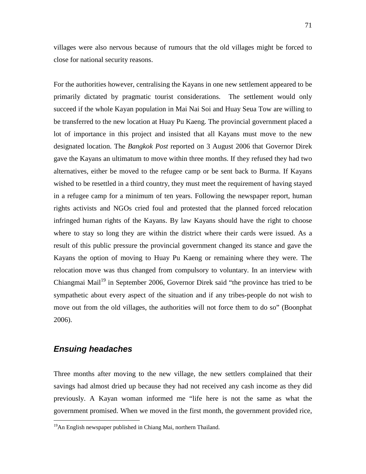villages were also nervous because of rumours that the old villages might be forced to close for national security reasons.

For the authorities however, centralising the Kayans in one new settlement appeared to be primarily dictated by pragmatic tourist considerations. The settlement would only succeed if the whole Kayan population in Mai Nai Soi and Huay Seua Tow are willing to be transferred to the new location at Huay Pu Kaeng. The provincial government placed a lot of importance in this project and insisted that all Kayans must move to the new designated location. The *Bangkok Post* reported on 3 August 2006 that Governor Direk gave the Kayans an ultimatum to move within three months. If they refused they had two alternatives, either be moved to the refugee camp or be sent back to Burma. If Kayans wished to be resettled in a third country, they must meet the requirement of having stayed in a refugee camp for a minimum of ten years. Following the newspaper report, human rights activists and NGOs cried foul and protested that the planned forced relocation infringed human rights of the Kayans. By law Kayans should have the right to choose where to stay so long they are within the district where their cards were issued. As a result of this public pressure the provincial government changed its stance and gave the Kayans the option of moving to Huay Pu Kaeng or remaining where they were. The relocation move was thus changed from compulsory to voluntary. In an interview with Chiangmai Mail<sup>19</sup> in September 2006, Governor Direk said "the province has tried to be sympathetic about every aspect of the situation and if any tribes-people do not wish to move out from the old villages, the authorities will not force them to do so" (Boonphat 2006).

#### **Ensuing headaches**

 $\overline{a}$ 

Three months after moving to the new village, the new settlers complained that their savings had almost dried up because they had not received any cash income as they did previously. A Kayan woman informed me "life here is not the same as what the government promised. When we moved in the first month, the government provided rice,

 $19$ An English newspaper published in Chiang Mai, northern Thailand.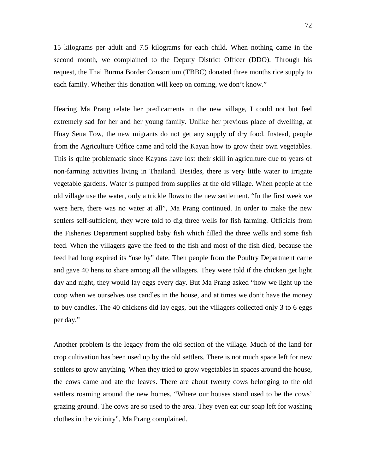72

15 kilograms per adult and 7.5 kilograms for each child. When nothing came in the second month, we complained to the Deputy District Officer (DDO). Through his request, the Thai Burma Border Consortium (TBBC) donated three months rice supply to each family. Whether this donation will keep on coming, we don't know."

Hearing Ma Prang relate her predicaments in the new village, I could not but feel extremely sad for her and her young family. Unlike her previous place of dwelling, at Huay Seua Tow, the new migrants do not get any supply of dry food. Instead, people from the Agriculture Office came and told the Kayan how to grow their own vegetables. This is quite problematic since Kayans have lost their skill in agriculture due to years of non-farming activities living in Thailand. Besides, there is very little water to irrigate vegetable gardens. Water is pumped from supplies at the old village. When people at the old village use the water, only a trickle flows to the new settlement. "In the first week we were here, there was no water at all", Ma Prang continued. In order to make the new settlers self-sufficient, they were told to dig three wells for fish farming. Officials from the Fisheries Department supplied baby fish which filled the three wells and some fish feed. When the villagers gave the feed to the fish and most of the fish died, because the feed had long expired its "use by" date. Then people from the Poultry Department came and gave 40 hens to share among all the villagers. They were told if the chicken get light day and night, they would lay eggs every day. But Ma Prang asked "how we light up the coop when we ourselves use candles in the house, and at times we don't have the money to buy candles. The 40 chickens did lay eggs, but the villagers collected only 3 to 6 eggs per day."

Another problem is the legacy from the old section of the village. Much of the land for crop cultivation has been used up by the old settlers. There is not much space left for new settlers to grow anything. When they tried to grow vegetables in spaces around the house, the cows came and ate the leaves. There are about twenty cows belonging to the old settlers roaming around the new homes. "Where our houses stand used to be the cows' grazing ground. The cows are so used to the area. They even eat our soap left for washing clothes in the vicinity", Ma Prang complained.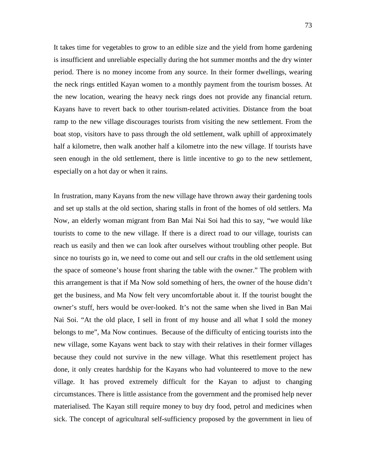It takes time for vegetables to grow to an edible size and the yield from home gardening is insufficient and unreliable especially during the hot summer months and the dry winter period. There is no money income from any source. In their former dwellings, wearing the neck rings entitled Kayan women to a monthly payment from the tourism bosses. At the new location, wearing the heavy neck rings does not provide any financial return. Kayans have to revert back to other tourism-related activities. Distance from the boat ramp to the new village discourages tourists from visiting the new settlement. From the boat stop, visitors have to pass through the old settlement, walk uphill of approximately half a kilometre, then walk another half a kilometre into the new village. If tourists have seen enough in the old settlement, there is little incentive to go to the new settlement, especially on a hot day or when it rains.

In frustration, many Kayans from the new village have thrown away their gardening tools and set up stalls at the old section, sharing stalls in front of the homes of old settlers. Ma Now, an elderly woman migrant from Ban Mai Nai Soi had this to say, "we would like tourists to come to the new village. If there is a direct road to our village, tourists can reach us easily and then we can look after ourselves without troubling other people. But since no tourists go in, we need to come out and sell our crafts in the old settlement using the space of someone's house front sharing the table with the owner." The problem with this arrangement is that if Ma Now sold something of hers, the owner of the house didn't get the business, and Ma Now felt very uncomfortable about it. If the tourist bought the owner's stuff, hers would be over-looked. It's not the same when she lived in Ban Mai Nai Soi. "At the old place, I sell in front of my house and all what I sold the money belongs to me", Ma Now continues. Because of the difficulty of enticing tourists into the new village, some Kayans went back to stay with their relatives in their former villages because they could not survive in the new village. What this resettlement project has done, it only creates hardship for the Kayans who had volunteered to move to the new village. It has proved extremely difficult for the Kayan to adjust to changing circumstances. There is little assistance from the government and the promised help never materialised. The Kayan still require money to buy dry food, petrol and medicines when sick. The concept of agricultural self-sufficiency proposed by the government in lieu of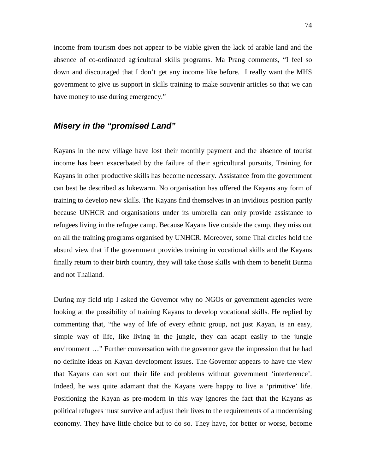income from tourism does not appear to be viable given the lack of arable land and the absence of co-ordinated agricultural skills programs. Ma Prang comments, "I feel so down and discouraged that I don't get any income like before. I really want the MHS government to give us support in skills training to make souvenir articles so that we can have money to use during emergency."

### **Misery in the "promised Land"**

Kayans in the new village have lost their monthly payment and the absence of tourist income has been exacerbated by the failure of their agricultural pursuits, Training for Kayans in other productive skills has become necessary. Assistance from the government can best be described as lukewarm. No organisation has offered the Kayans any form of training to develop new skills. The Kayans find themselves in an invidious position partly because UNHCR and organisations under its umbrella can only provide assistance to refugees living in the refugee camp. Because Kayans live outside the camp, they miss out on all the training programs organised by UNHCR. Moreover, some Thai circles hold the absurd view that if the government provides training in vocational skills and the Kayans finally return to their birth country, they will take those skills with them to benefit Burma and not Thailand.

During my field trip I asked the Governor why no NGOs or government agencies were looking at the possibility of training Kayans to develop vocational skills. He replied by commenting that, "the way of life of every ethnic group, not just Kayan, is an easy, simple way of life, like living in the jungle, they can adapt easily to the jungle environment …" Further conversation with the governor gave the impression that he had no definite ideas on Kayan development issues. The Governor appears to have the view that Kayans can sort out their life and problems without government 'interference'. Indeed, he was quite adamant that the Kayans were happy to live a 'primitive' life. Positioning the Kayan as pre-modern in this way ignores the fact that the Kayans as political refugees must survive and adjust their lives to the requirements of a modernising economy. They have little choice but to do so. They have, for better or worse, become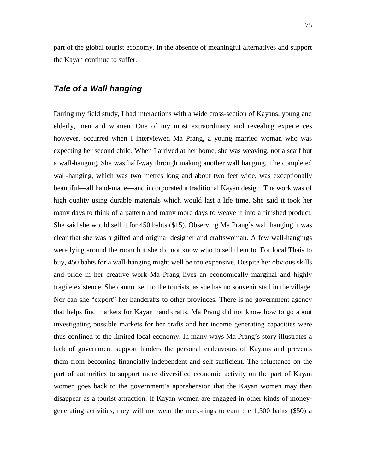part of the global tourist economy. In the absence of meaningful alternatives and support the Kayan continue to suffer.

#### **Tale of a Wall hanging**

During my field study, I had interactions with a wide cross-section of Kayans, young and elderly, men and women. One of my most extraordinary and revealing experiences however, occurred when I interviewed Ma Prang, a young married woman who was expecting her second child. When I arrived at her home, she was weaving, not a scarf but a wall-hanging. She was half-way through making another wall hanging. The completed wall-hanging, which was two metres long and about two feet wide, was exceptionally beautiful—all hand-made—and incorporated a traditional Kayan design. The work was of high quality using durable materials which would last a life time. She said it took her many days to think of a pattern and many more days to weave it into a finished product. She said she would sell it for 450 bahts (\$15). Observing Ma Prang's wall hanging it was clear that she was a gifted and original designer and craftswoman. A few wall-hangings were lying around the room but she did not know who to sell them to. For local Thais to buy, 450 bahts for a wall-hanging might well be too expensive. Despite her obvious skills and pride in her creative work Ma Prang lives an economically marginal and highly fragile existence. She cannot sell to the tourists, as she has no souvenir stall in the village. Nor can she "export" her handcrafts to other provinces. There is no government agency that helps find markets for Kayan handicrafts. Ma Prang did not know how to go about investigating possible markets for her crafts and her income generating capacities were thus confined to the limited local economy. In many ways Ma Prang's story illustrates a lack of government support hinders the personal endeavours of Kayans and prevents them from becoming financially independent and self-sufficient. The reluctance on the part of authorities to support more diversified economic activity on the part of Kayan women goes back to the government's apprehension that the Kayan women may then disappear as a tourist attraction. If Kayan women are engaged in other kinds of moneygenerating activities, they will not wear the neck-rings to earn the 1,500 bahts (\$50) a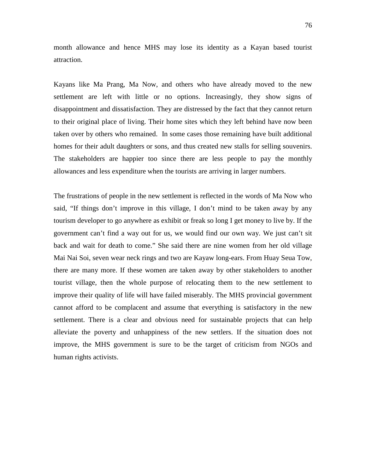month allowance and hence MHS may lose its identity as a Kayan based tourist attraction.

Kayans like Ma Prang, Ma Now, and others who have already moved to the new settlement are left with little or no options. Increasingly, they show signs of disappointment and dissatisfaction. They are distressed by the fact that they cannot return to their original place of living. Their home sites which they left behind have now been taken over by others who remained. In some cases those remaining have built additional homes for their adult daughters or sons, and thus created new stalls for selling souvenirs. The stakeholders are happier too since there are less people to pay the monthly allowances and less expenditure when the tourists are arriving in larger numbers.

The frustrations of people in the new settlement is reflected in the words of Ma Now who said, "If things don't improve in this village, I don't mind to be taken away by any tourism developer to go anywhere as exhibit or freak so long I get money to live by. If the government can't find a way out for us, we would find our own way. We just can't sit back and wait for death to come." She said there are nine women from her old village Mai Nai Soi, seven wear neck rings and two are Kayaw long-ears. From Huay Seua Tow, there are many more. If these women are taken away by other stakeholders to another tourist village, then the whole purpose of relocating them to the new settlement to improve their quality of life will have failed miserably. The MHS provincial government cannot afford to be complacent and assume that everything is satisfactory in the new settlement. There is a clear and obvious need for sustainable projects that can help alleviate the poverty and unhappiness of the new settlers. If the situation does not improve, the MHS government is sure to be the target of criticism from NGOs and human rights activists.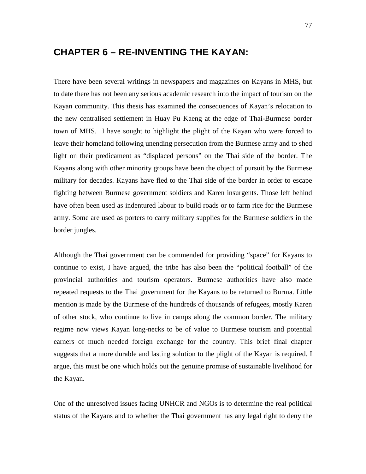## **CHAPTER 6 – RE-INVENTING THE KAYAN:**

There have been several writings in newspapers and magazines on Kayans in MHS, but to date there has not been any serious academic research into the impact of tourism on the Kayan community. This thesis has examined the consequences of Kayan's relocation to the new centralised settlement in Huay Pu Kaeng at the edge of Thai-Burmese border town of MHS. I have sought to highlight the plight of the Kayan who were forced to leave their homeland following unending persecution from the Burmese army and to shed light on their predicament as "displaced persons" on the Thai side of the border. The Kayans along with other minority groups have been the object of pursuit by the Burmese military for decades. Kayans have fled to the Thai side of the border in order to escape fighting between Burmese government soldiers and Karen insurgents. Those left behind have often been used as indentured labour to build roads or to farm rice for the Burmese army. Some are used as porters to carry military supplies for the Burmese soldiers in the border jungles.

Although the Thai government can be commended for providing "space" for Kayans to continue to exist, I have argued, the tribe has also been the "political football" of the provincial authorities and tourism operators. Burmese authorities have also made repeated requests to the Thai government for the Kayans to be returned to Burma. Little mention is made by the Burmese of the hundreds of thousands of refugees, mostly Karen of other stock, who continue to live in camps along the common border. The military regime now views Kayan long-necks to be of value to Burmese tourism and potential earners of much needed foreign exchange for the country. This brief final chapter suggests that a more durable and lasting solution to the plight of the Kayan is required. I argue, this must be one which holds out the genuine promise of sustainable livelihood for the Kayan.

One of the unresolved issues facing UNHCR and NGOs is to determine the real political status of the Kayans and to whether the Thai government has any legal right to deny the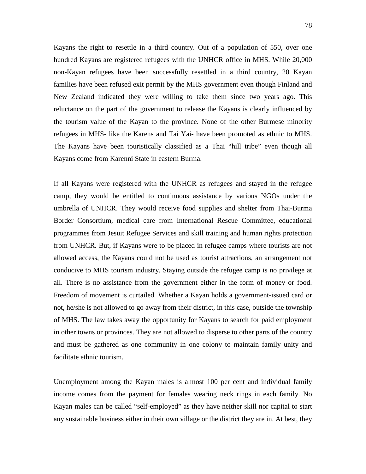Kayans the right to resettle in a third country. Out of a population of 550, over one hundred Kayans are registered refugees with the UNHCR office in MHS. While 20,000 non-Kayan refugees have been successfully resettled in a third country, 20 Kayan families have been refused exit permit by the MHS government even though Finland and New Zealand indicated they were willing to take them since two years ago. This reluctance on the part of the government to release the Kayans is clearly influenced by the tourism value of the Kayan to the province. None of the other Burmese minority refugees in MHS- like the Karens and Tai Yai- have been promoted as ethnic to MHS. The Kayans have been touristically classified as a Thai "hill tribe" even though all Kayans come from Karenni State in eastern Burma.

If all Kayans were registered with the UNHCR as refugees and stayed in the refugee camp, they would be entitled to continuous assistance by various NGOs under the umbrella of UNHCR. They would receive food supplies and shelter from Thai-Burma Border Consortium, medical care from International Rescue Committee, educational programmes from Jesuit Refugee Services and skill training and human rights protection from UNHCR. But, if Kayans were to be placed in refugee camps where tourists are not allowed access, the Kayans could not be used as tourist attractions, an arrangement not conducive to MHS tourism industry. Staying outside the refugee camp is no privilege at all. There is no assistance from the government either in the form of money or food. Freedom of movement is curtailed. Whether a Kayan holds a government-issued card or not, he/she is not allowed to go away from their district, in this case, outside the township of MHS. The law takes away the opportunity for Kayans to search for paid employment in other towns or provinces. They are not allowed to disperse to other parts of the country and must be gathered as one community in one colony to maintain family unity and facilitate ethnic tourism.

Unemployment among the Kayan males is almost 100 per cent and individual family income comes from the payment for females wearing neck rings in each family. No Kayan males can be called "self-employed" as they have neither skill nor capital to start any sustainable business either in their own village or the district they are in. At best, they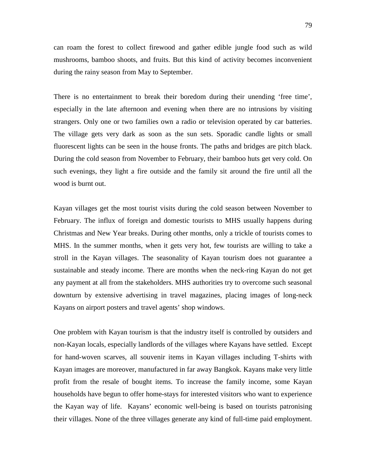can roam the forest to collect firewood and gather edible jungle food such as wild mushrooms, bamboo shoots, and fruits. But this kind of activity becomes inconvenient during the rainy season from May to September.

There is no entertainment to break their boredom during their unending 'free time', especially in the late afternoon and evening when there are no intrusions by visiting strangers. Only one or two families own a radio or television operated by car batteries. The village gets very dark as soon as the sun sets. Sporadic candle lights or small fluorescent lights can be seen in the house fronts. The paths and bridges are pitch black. During the cold season from November to February, their bamboo huts get very cold. On such evenings, they light a fire outside and the family sit around the fire until all the wood is burnt out.

Kayan villages get the most tourist visits during the cold season between November to February. The influx of foreign and domestic tourists to MHS usually happens during Christmas and New Year breaks. During other months, only a trickle of tourists comes to MHS. In the summer months, when it gets very hot, few tourists are willing to take a stroll in the Kayan villages. The seasonality of Kayan tourism does not guarantee a sustainable and steady income. There are months when the neck-ring Kayan do not get any payment at all from the stakeholders. MHS authorities try to overcome such seasonal downturn by extensive advertising in travel magazines, placing images of long-neck Kayans on airport posters and travel agents' shop windows.

One problem with Kayan tourism is that the industry itself is controlled by outsiders and non-Kayan locals, especially landlords of the villages where Kayans have settled. Except for hand-woven scarves, all souvenir items in Kayan villages including T-shirts with Kayan images are moreover, manufactured in far away Bangkok. Kayans make very little profit from the resale of bought items. To increase the family income, some Kayan households have begun to offer home-stays for interested visitors who want to experience the Kayan way of life. Kayans' economic well-being is based on tourists patronising their villages. None of the three villages generate any kind of full-time paid employment.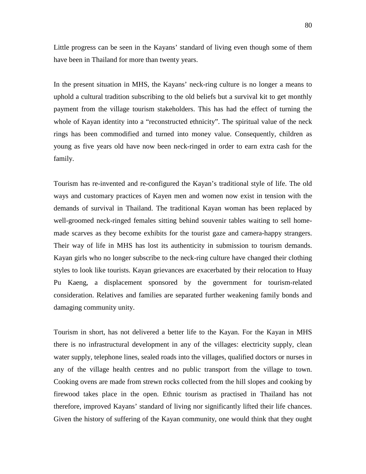Little progress can be seen in the Kayans' standard of living even though some of them have been in Thailand for more than twenty years.

In the present situation in MHS, the Kayans' neck-ring culture is no longer a means to uphold a cultural tradition subscribing to the old beliefs but a survival kit to get monthly payment from the village tourism stakeholders. This has had the effect of turning the whole of Kayan identity into a "reconstructed ethnicity". The spiritual value of the neck rings has been commodified and turned into money value. Consequently, children as young as five years old have now been neck-ringed in order to earn extra cash for the family.

Tourism has re-invented and re-configured the Kayan's traditional style of life. The old ways and customary practices of Kayen men and women now exist in tension with the demands of survival in Thailand. The traditional Kayan woman has been replaced by well-groomed neck-ringed females sitting behind souvenir tables waiting to sell homemade scarves as they become exhibits for the tourist gaze and camera-happy strangers. Their way of life in MHS has lost its authenticity in submission to tourism demands. Kayan girls who no longer subscribe to the neck-ring culture have changed their clothing styles to look like tourists. Kayan grievances are exacerbated by their relocation to Huay Pu Kaeng, a displacement sponsored by the government for tourism-related consideration. Relatives and families are separated further weakening family bonds and damaging community unity.

Tourism in short, has not delivered a better life to the Kayan. For the Kayan in MHS there is no infrastructural development in any of the villages: electricity supply, clean water supply, telephone lines, sealed roads into the villages, qualified doctors or nurses in any of the village health centres and no public transport from the village to town. Cooking ovens are made from strewn rocks collected from the hill slopes and cooking by firewood takes place in the open. Ethnic tourism as practised in Thailand has not therefore, improved Kayans' standard of living nor significantly lifted their life chances. Given the history of suffering of the Kayan community, one would think that they ought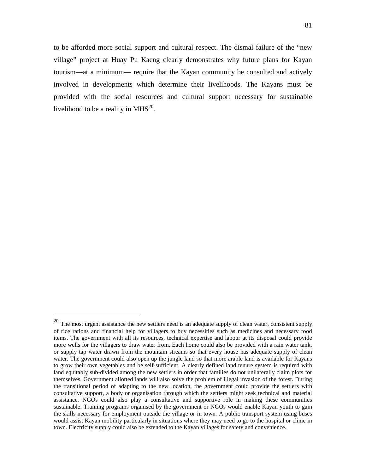to be afforded more social support and cultural respect. The dismal failure of the "new village" project at Huay Pu Kaeng clearly demonstrates why future plans for Kayan tourism—at a minimum— require that the Kayan community be consulted and actively involved in developments which determine their livelihoods. The Kayans must be provided with the social resources and cultural support necessary for sustainable livelihood to be a reality in  $MHS^{20}$ .

 $\overline{a}$ 

 $20$  The most urgent assistance the new settlers need is an adequate supply of clean water, consistent supply of rice rations and financial help for villagers to buy necessities such as medicines and necessary food items. The government with all its resources, technical expertise and labour at its disposal could provide more wells for the villagers to draw water from. Each home could also be provided with a rain water tank, or supply tap water drawn from the mountain streams so that every house has adequate supply of clean water. The government could also open up the jungle land so that more arable land is available for Kayans to grow their own vegetables and be self-sufficient. A clearly defined land tenure system is required with land equitably sub-divided among the new settlers in order that families do not unilaterally claim plots for themselves. Government allotted lands will also solve the problem of illegal invasion of the forest. During the transitional period of adapting to the new location, the government could provide the settlers with consultative support, a body or organisation through which the settlers might seek technical and material assistance. NGOs could also play a consultative and supportive role in making these communities sustainable. Training programs organised by the government or NGOs would enable Kayan youth to gain the skills necessary for employment outside the village or in town. A public transport system using buses would assist Kayan mobility particularly in situations where they may need to go to the hospital or clinic in town. Electricity supply could also be extended to the Kayan villages for safety and convenience.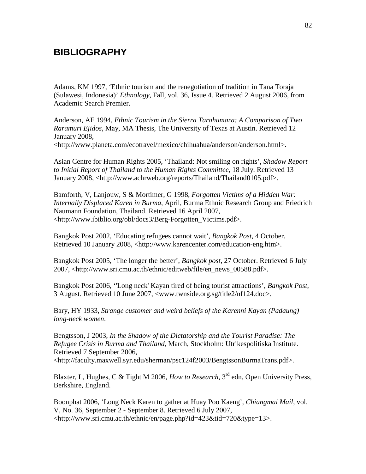# **BIBLIOGRAPHY**

Adams, KM 1997, 'Ethnic tourism and the renegotiation of tradition in Tana Toraja (Sulawesi, Indonesia)' *Ethnology*, Fall, vol. 36, Issue 4. Retrieved 2 August 2006, from Academic Search Premier.

Anderson, AE 1994, *Ethnic Tourism in the Sierra Tarahumara: A Comparison of Two Raramuri Ejidos*, May, MA Thesis, The University of Texas at Austin. Retrieved 12 January 2008,

<http://www.planeta.com/ecotravel/mexico/chihuahua/anderson/anderson.html>.

Asian Centre for Human Rights 2005, 'Thailand: Not smiling on rights', *Shadow Report to Initial Report of Thailand to the Human Rights Committee*, 18 July. Retrieved 13 January 2008, <http://www.achrweb.org/reports/Thailand/Thailand0105.pdf>.

Bamforth, V, Lanjouw, S & Mortimer, G 1998, *Forgotten Victims of a Hidden War: Internally Displaced Karen in Burma*, April, Burma Ethnic Research Group and Friedrich Naumann Foundation, Thailand. Retrieved 16 April 2007, <http://www.ibiblio.org/obl/docs3/Berg-Forgotten\_Victims.pdf>.

Bangkok Post 2002, 'Educating refugees cannot wait', *Bangkok Post*, 4 October. Retrieved 10 January 2008, <http://www.karencenter.com/education-eng.htm>.

Bangkok Post 2005, 'The longer the better', *Bangkok post*, 27 October. Retrieved 6 July 2007, <http://www.sri.cmu.ac.th/ethnic/editweb/file/en\_news\_00588.pdf>.

Bangkok Post 2006, ''Long neck' Kayan tired of being tourist attractions', *Bangkok Post*, 3 August. Retrieved 10 June 2007, <www.twnside.org.sg/title2/nf124.doc>.

Bary, HY 1933, *Strange customer and weird beliefs of the Karenni Kayan (Padaung) long-neck women*.

Bengtsson, J 2003, *In the Shadow of the Dictatorship and the Tourist Paradise: The Refugee Crisis in Burma and Thailand*, March, Stockholm: Utrikespolitiska Institute. Retrieved 7 September 2006, <http://faculty.maxwell.syr.edu/sherman/psc124f2003/BengtssonBurmaTrans.pdf>.

Blaxter, L, Hughes, C & Tight M 2006, *How to Research*, 3rd edn, Open University Press, Berkshire, England.

Boonphat 2006, 'Long Neck Karen to gather at Huay Poo Kaeng', *Chiangmai Mail*, vol. V, No. 36, September 2 - September 8. Retrieved 6 July 2007, <http://www.sri.cmu.ac.th/ethnic/en/page.php?id=423&tid=720&type=13>.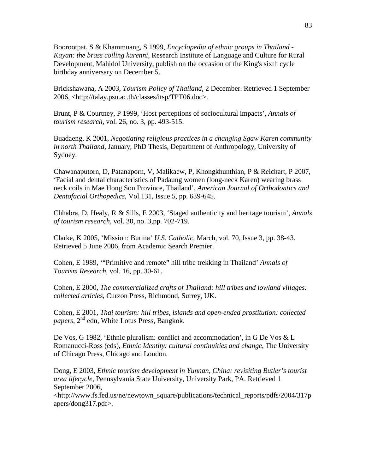Boorootpat, S & Khammuang, S 1999, *Encyclopedia of ethnic groups in Thailand - Kayan: the brass coiling karenni*, Research Institute of Language and Culture for Rural Development, Mahidol University, publish on the occasion of the King's sixth cycle birthday anniversary on December 5.

Brickshawana, A 2003, *Tourism Policy of Thailand,* 2 December. Retrieved 1 September 2006, <http://talay.psu.ac.th/classes/itsp/TPT06.doc>.

Brunt, P & Courtney, P 1999, 'Host perceptions of sociocultural impacts', *Annals of tourism research*, vol. 26, no. 3, pp. 493-515.

Buadaeng, K 2001, *Negotiating religious practices in a changing Sgaw Karen community in north Thailand*, January, PhD Thesis, Department of Anthropology, University of Sydney.

Chawanaputorn, D, Patanaporn, V, Malikaew, P, Khongkhunthian, P & Reichart, P 2007, 'Facial and dental characteristics of Padaung women (long-neck Karen) wearing brass neck coils in Mae Hong Son Province, Thailand', *American Journal of Orthodontics and Dentofacial Orthopedics*, Vol.131, Issue 5, pp. 639-645.

Chhabra, D, Healy, R & Sills, E 2003, 'Staged authenticity and heritage tourism', *Annals of tourism research*, vol. 30, no. 3,pp. 702-719.

Clarke, K 2005, 'Mission: Burma' *U.S. Catholic*, March, vol. 70, Issue 3, pp. 38-43. Retrieved 5 June 2006, from Academic Search Premier.

Cohen, E 1989, '"Primitive and remote" hill tribe trekking in Thailand' *Annals of Tourism Research*, vol. 16, pp. 30-61.

Cohen, E 2000, *The commercialized crafts of Thailand: hill tribes and lowland villages: collected articles*, Curzon Press, Richmond, Surrey, UK.

Cohen, E 2001, *Thai tourism: hill tribes, islands and open-ended prostitution: collected papers*, 2nd edn, White Lotus Press, Bangkok.

De Vos, G 1982, 'Ethnic pluralism: conflict and accommodation', in G De Vos & L Romanucci-Ross (eds), *Ethnic Identity: cultural continuities and change*, The University of Chicago Press, Chicago and London.

Dong, E 2003, *Ethnic tourism development in Yunnan, China: revisiting Butler's tourist area lifecycle*, Pennsylvania State University, University Park, PA. Retrieved 1 September 2006,

<http://www.fs.fed.us/ne/newtown\_square/publications/technical\_reports/pdfs/2004/317p apers/dong317.pdf>.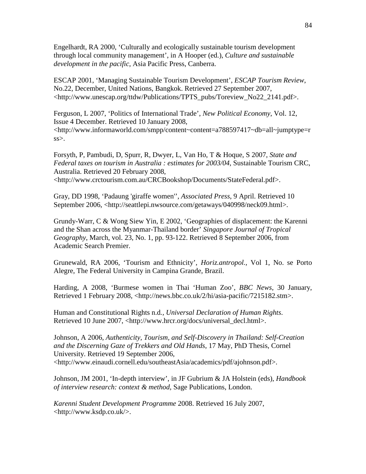Engelhardt, RA 2000, 'Culturally and ecologically sustainable tourism development through local community management', in A Hooper (ed.), *Culture and sustainable development in the pacific*, Asia Pacific Press, Canberra.

ESCAP 2001, 'Managing Sustainable Tourism Development', *ESCAP Tourism Review*, No.22, December, United Nations, Bangkok. Retrieved 27 September 2007, <http://www.unescap.org/ttdw/Publications/TPTS\_pubs/Toreview\_No22\_2141.pdf>.

Ferguson, L 2007, 'Politics of International Trade', *New Political Economy*, Vol. 12, Issue 4 December. Retrieved 10 January 2008, <http://www.informaworld.com/smpp/content~content=a788597417~db=all~jumptype=r ss>.

Forsyth, P, Pambudi, D, Spurr, R, Dwyer, L, Van Ho, T & Hoque, S 2007, *State and Federal taxes on tourism in Australia : estimates for 2003/04*, Sustainable Tourism CRC, Australia. Retrieved 20 February 2008, <http://www.crctourism.com.au/CRCBookshop/Documents/StateFederal.pdf>.

Gray, DD 1998, 'Padaung 'giraffe women'', *Associated Press*, 9 April. Retrieved 10 September 2006, <http://seattlepi.nwsource.com/getaways/040998/neck09.html>.

Grundy-Warr, C & Wong Siew Yin, E 2002, 'Geographies of displacement: the Karenni and the Shan across the Myanmar-Thailand border' *Singapore Journal of Tropical Geography*, March, vol. 23, No. 1, pp. 93-122. Retrieved 8 September 2006, from Academic Search Premier.

Grunewald, RA 2006, 'Tourism and Ethnicity', *Horiz.antropol.,* Vol 1, No. se Porto Alegre, The Federal University in Campina Grande, Brazil.

Harding, A 2008, 'Burmese women in Thai 'Human Zoo', *BBC News*, 30 January, Retrieved 1 February 2008, <http://news.bbc.co.uk/2/hi/asia-pacific/7215182.stm>.

Human and Constitutional Rights n.d*., Universal Declaration of Human Rights*. Retrieved 10 June 2007, <http://www.hrcr.org/docs/universal\_decl.html>.

Johnson, A 2006, *Authenticity, Tourism, and Self-Discovery in Thailand: Self-Creation and the Discerning Gaze of Trekkers and Old Hands*, 17 May, PhD Thesis, Cornel University. Retrieved 19 September 2006, <http://www.einaudi.cornell.edu/southeastAsia/academics/pdf/ajohnson.pdf>.

Johnson, JM 2001, 'In-depth interview', in JF Gubrium & JA Holstein (eds), *Handbook of interview research: context & method*, Sage Publications, London.

*Karenni Student Development Programme* 2008. Retrieved 16 July 2007, <http://www.ksdp.co.uk/>.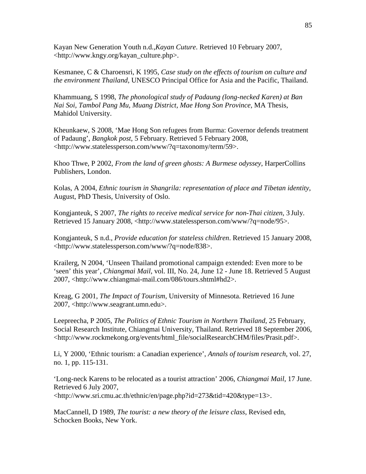Kayan New Generation Youth n.d.,*Kayan Cuture*. Retrieved 10 February 2007, <http://www.kngy.org/kayan\_culture.php>.

Kesmanee, C & Charoensri, K 1995, *Case study on the effects of tourism on culture and the environment Thailand*, UNESCO Principal Office for Asia and the Pacific, Thailand.

Khammuang, S 1998, *The phonological study of Padaung (long-necked Karen) at Ban Nai Soi, Tambol Pang Mu, Muang District, Mae Hong Son Province*, MA Thesis, Mahidol University.

Kheunkaew, S 2008, 'Mae Hong Son refugees from Burma: Governor defends treatment of Padaung', *Bangkok post*, 5 February. Retrieved 5 February 2008, <http://www.statelessperson.com/www/?q=taxonomy/term/59>.

Khoo Thwe, P 2002, *From the land of green ghosts: A Burmese odyssey*, HarperCollins Publishers, London.

Kolas, A 2004, *Ethnic tourism in Shangrila: representation of place and Tibetan identity*, August, PhD Thesis, University of Oslo.

Kongjanteuk, S 2007, *The rights to receive medical service for non-Thai citizen*, 3 July. Retrieved 15 January 2008, <http://www.statelessperson.com/www/?q=node/95>.

Kongjanteuk, S n.d., *Provide education for stateless children*. Retrieved 15 January 2008, <http://www.statelessperson.com/www/?q=node/838>.

Krailerg, N 2004, 'Unseen Thailand promotional campaign extended: Even more to be 'seen' this year', *Chiangmai Mail*, vol. III, No. 24, June 12 - June 18. Retrieved 5 August 2007, <http://www.chiangmai-mail.com/086/tours.shtml#hd2>.

Kreag, G 2001, *The Impact of Tourism*, University of Minnesota. Retrieved 16 June 2007, <http://www.seagrant.umn.edu>.

Leepreecha, P 2005, *The Politics of Ethnic Tourism in Northern Thailand*, 25 February, Social Research Institute, Chiangmai University, Thailand. Retrieved 18 September 2006, <http://www.rockmekong.org/events/html\_file/socialResearchCHM/files/Prasit.pdf>.

Li, Y 2000, 'Ethnic tourism: a Canadian experience', *Annals of tourism research*, vol. 27, no. 1, pp. 115-131.

'Long-neck Karens to be relocated as a tourist attraction' 2006, *Chiangmai Mail*, 17 June. Retrieved 6 July 2007,

<http://www.sri.cmu.ac.th/ethnic/en/page.php?id=273&tid=420&type=13>.

MacCannell, D 1989, *The tourist: a new theory of the leisure class*, Revised edn, Schocken Books, New York.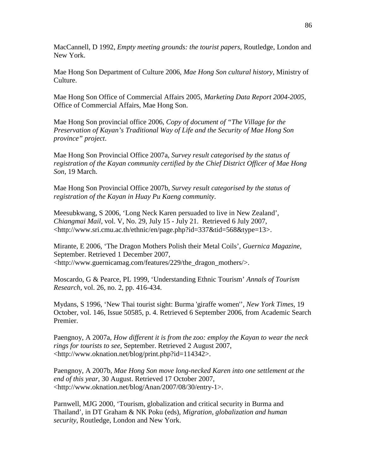MacCannell, D 1992, *Empty meeting grounds: the tourist papers*, Routledge, London and New York.

Mae Hong Son Department of Culture 2006, *Mae Hong Son cultural history*, Ministry of Culture.

Mae Hong Son Office of Commercial Affairs 2005, *Marketing Data Report 2004-2005*, Office of Commercial Affairs, Mae Hong Son.

Mae Hong Son provincial office 2006, *Copy of document of "The Village for the Preservation of Kayan's Traditional Way of Life and the Security of Mae Hong Son province" project*.

Mae Hong Son Provincial Office 2007a, *Survey result categorised by the status of registration of the Kayan community certified by the Chief District Officer of Mae Hong Son*, 19 March.

Mae Hong Son Provincial Office 2007b, *Survey result categorised by the status of registration of the Kayan in Huay Pu Kaeng community*.

Meesubkwang, S 2006, 'Long Neck Karen persuaded to live in New Zealand', *Chiangmai Mail*, vol. V, No. 29, July 15 - July 21. Retrieved 6 July 2007, <http://www.sri.cmu.ac.th/ethnic/en/page.php?id=337&tid=568&type=13>.

Mirante, E 2006, 'The Dragon Mothers Polish their Metal Coils', *Guernica Magazine*, September. Retrieved 1 December 2007, <http://www.guernicamag.com/features/229/the\_dragon\_mothers/>.

Moscardo, G & Pearce, PL 1999, 'Understanding Ethnic Tourism' *Annals of Tourism Research*, vol. 26, no. 2, pp. 416-434.

Mydans, S 1996, 'New Thai tourist sight: Burma 'giraffe women'', *New York Times*, 19 October, vol. 146, Issue 50585, p. 4. Retrieved 6 September 2006, from Academic Search Premier.

Paengnoy, A 2007a, *How different it is from the zoo: employ the Kayan to wear the neck rings for tourists to see*, September. Retrieved 2 August 2007, <http://www.oknation.net/blog/print.php?id=114342>.

Paengnoy, A 2007b, *Mae Hong Son move long-necked Karen into one settlement at the end of this year*, 30 August. Retrieved 17 October 2007, <http://www.oknation.net/blog/Anan/2007/08/30/entry-1>.

Parnwell, MJG 2000, 'Tourism, globalization and critical security in Burma and Thailand', in DT Graham & NK Poku (eds), *Migration, globalization and human security*, Routledge, London and New York.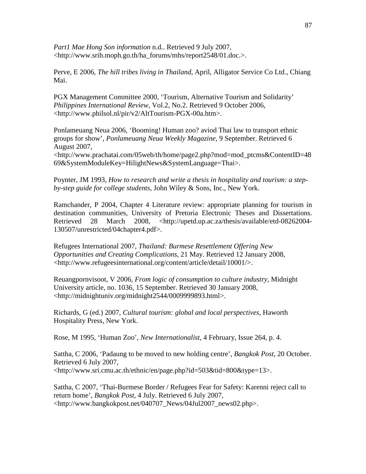*Part1 Mae Hong Son information* n.d.. Retrieved 9 July 2007, <http://www.srih.moph.go.th/ha\_forums/mhs/report2548/01.doc.>.

Perve, E 2006, *The hill tribes living in Thailand*, April, Alligator Service Co Ltd., Chiang Mai.

PGX Management Committee 2000, 'Tourism, Alternative Tourism and Solidarity' *Philippines International Review*, Vol.2, No.2. Retrieved 9 October 2006, <http://www.philsol.nl/pir/v2/AltTourism-PGX-00a.htm>.

Ponlameuang Neua 2006, 'Booming! Human zoo? aviod Thai law to transport ethnic groups for show', *Ponlameuang Neua Weekly Magazine*, 9 September. Retrieved 6 August 2007, <http://www.prachatai.com/05web/th/home/page2.php?mod=mod\_ptcms&ContentID=48 69&SystemModuleKey=HilightNews&SystemLanguage=Thai>.

Poynter, JM 1993, *How to research and write a thesis in hospitality and tourism: a stepby-step guide for college students*, John Wiley & Sons, Inc., New York.

Ramchander, P 2004, Chapter 4 Literature review: appropriate planning for tourism in destination communities, University of Pretoria Electronic Theses and Dissertations. Retrieved 28 March 2008, <http://upetd.up.ac.za/thesis/available/etd-08262004- 130507/unrestricted/04chapter4.pdf>.

Refugees International 2007, *Thailand: Burmese Resettlement Offering New Opportunities and Creating Complications*, 21 May. Retrieved 12 January 2008, <http://www.refugeesinternational.org/content/article/detail/10001/>.

Reuangpornvisoot, V 2006, *From logic of consumption to culture industry*, Midnight University article, no. 1036, 15 September. Retrieved 30 January 2008, <http://midnightuniv.org/midnight2544/0009999893.html>.

Richards, G (ed.) 2007, *Cultural tourism: global and local perspectives*, Haworth Hospitality Press, New York.

Rose, M 1995, 'Human Zoo', *New Internationalist*, 4 February, Issue 264, p. 4.

Sattha, C 2006, 'Padaung to be moved to new holding centre', *Bangkok Post*, 20 October. Retrieved 6 July 2007, <http://www.sri.cmu.ac.th/ethnic/en/page.php?id=503&tid=800&type=13>.

Sattha, C 2007, 'Thai-Burmese Border / Refugees Fear for Safety: Karenni reject call to return home', *Bangkok Post*, 4 July. Retrieved 6 July 2007, <http://www.bangkokpost.net/040707\_News/04Jul2007\_news02.php>.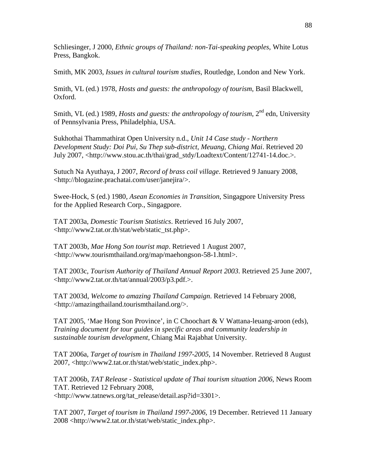Schliesinger, J 2000, *Ethnic groups of Thailand: non-Tai-speaking peoples*, White Lotus Press, Bangkok.

Smith, MK 2003, *Issues in cultural tourism studies*, Routledge, London and New York.

Smith, VL (ed.) 1978, *Hosts and guests: the anthropology of tourism*, Basil Blackwell, Oxford.

Smith, VL (ed.) 1989, *Hosts and guests: the anthropology of tourism*,  $2^{nd}$  edn, University of Pennsylvania Press, Philadelphia, USA.

Sukhothai Thammathirat Open University n.d., *Unit 14 Case study - Northern Development Study: Doi Pui, Su Thep sub-district, Meuang, Chiang Mai*. Retrieved 20 July 2007, <http://www.stou.ac.th/thai/grad\_stdy/Loadtext/Content/12741-14.doc.>.

Sutuch Na Ayuthaya, J 2007, *Record of brass coil village*. Retrieved 9 January 2008, <http://blogazine.prachatai.com/user/janejira/>.

Swee-Hock, S (ed.) 1980, *Asean Economies in Transition*, Singagpore University Press for the Applied Research Corp., Singagpore.

TAT 2003a, *Domestic Tourism Statistics*. Retrieved 16 July 2007, <http://www2.tat.or.th/stat/web/static\_tst.php>.

TAT 2003b, *Mae Hong Son tourist map*. Retrieved 1 August 2007, <http://www.tourismthailand.org/map/maehongson-58-1.html>.

TAT 2003c, *Tourism Authority of Thailand Annual Report 2003*. Retrieved 25 June 2007, <http://www2.tat.or.th/tat/annual/2003/p3.pdf.>.

TAT 2003d, *Welcome to amazing Thailand Campaign*. Retrieved 14 February 2008, <http://amazingthailand.tourismthailand.org/>.

TAT 2005, 'Mae Hong Son Province', in C Choochart & V Wattana-leuang-aroon (eds), *Training document for tour guides in specific areas and community leadership in sustainable tourism development*, Chiang Mai Rajabhat University.

TAT 2006a, *Target of tourism in Thailand 1997-2005*, 14 November. Retrieved 8 August 2007, <http://www2.tat.or.th/stat/web/static\_index.php>.

TAT 2006b, *TAT Release - Statistical update of Thai tourism situation 2006*, News Room TAT. Retrieved 12 February 2008, <http://www.tatnews.org/tat\_release/detail.asp?id=3301>.

TAT 2007, *Target of tourism in Thailand 1997-2006*, 19 December. Retrieved 11 January 2008 <http://www2.tat.or.th/stat/web/static\_index.php>.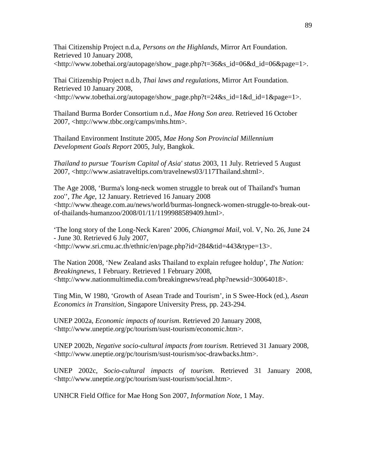Thai Citizenship Project n.d.a, *Persons on the Highlands*, Mirror Art Foundation. Retrieved 10 January 2008,  $\langle$ http://www.tobethai.org/autopage/show\_page.php?t=36&s\_id=06&d\_id=06&page=1>.

Thai Citizenship Project n.d.b, *Thai laws and regulations*, Mirror Art Foundation. Retrieved 10 January 2008, <http://www.tobethai.org/autopage/show\_page.php?t=24&s\_id=1&d\_id=1&page=1>.

Thailand Burma Border Consortium n.d., *Mae Hong Son area*. Retrieved 16 October 2007, <http://www.tbbc.org/camps/mhs.htm>.

Thailand Environment Institute 2005, *Mae Hong Son Provincial Millennium Development Goals Report* 2005, July, Bangkok.

*Thailand to pursue 'Tourism Capital of Asia' status* 2003, 11 July. Retrieved 5 August 2007, <http://www.asiatraveltips.com/travelnews03/117Thailand.shtml>.

The Age 2008, 'Burma's long-neck women struggle to break out of Thailand's 'human zoo'', *The Age*, 12 January. Retrieved 16 January 2008 <http://www.theage.com.au/news/world/burmas-longneck-women-struggle-to-break-outof-thailands-humanzoo/2008/01/11/1199988589409.html>.

'The long story of the Long-Neck Karen' 2006, *Chiangmai Mail*, vol. V, No. 26, June 24 - June 30. Retrieved 6 July 2007, <http://www.sri.cmu.ac.th/ethnic/en/page.php?id=284&tid=443&type=13>.

The Nation 2008, 'New Zealand asks Thailand to explain refugee holdup', *The Nation: Breakingnews*, 1 February. Retrieved 1 February 2008, <http://www.nationmultimedia.com/breakingnews/read.php?newsid=30064018>.

Ting Min, W 1980, 'Growth of Asean Trade and Tourism', in S Swee-Hock (ed.), *Asean Economics in Transition*, Singapore University Press, pp. 243-294.

UNEP 2002a, *Economic impacts of tourism*. Retrieved 20 January 2008, <http://www.uneptie.org/pc/tourism/sust-tourism/economic.htm>.

UNEP 2002b, *Negative socio-cultural impacts from tourism*. Retrieved 31 January 2008, <http://www.uneptie.org/pc/tourism/sust-tourism/soc-drawbacks.htm>.

UNEP 2002c, *Socio-cultural impacts of tourism*. Retrieved 31 January 2008, <http://www.uneptie.org/pc/tourism/sust-tourism/social.htm>.

UNHCR Field Office for Mae Hong Son 2007, *Information Note*, 1 May.